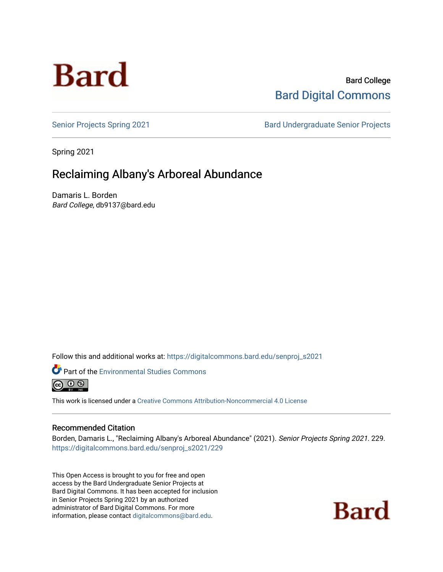

# Bard College [Bard Digital Commons](https://digitalcommons.bard.edu/)

[Senior Projects Spring 2021](https://digitalcommons.bard.edu/senproj_s2021) **Bard Undergraduate Senior Projects** 

Spring 2021

# Reclaiming Albany's Arboreal Abundance

Damaris L. Borden Bard College, db9137@bard.edu

Follow this and additional works at: [https://digitalcommons.bard.edu/senproj\\_s2021](https://digitalcommons.bard.edu/senproj_s2021?utm_source=digitalcommons.bard.edu%2Fsenproj_s2021%2F229&utm_medium=PDF&utm_campaign=PDFCoverPages)



Part of the [Environmental Studies Commons](http://network.bepress.com/hgg/discipline/1333?utm_source=digitalcommons.bard.edu%2Fsenproj_s2021%2F229&utm_medium=PDF&utm_campaign=PDFCoverPages)

This work is licensed under a [Creative Commons Attribution-Noncommercial 4.0 License](https://creativecommons.org/licenses/by-nc/4.0/) 

### Recommended Citation

Borden, Damaris L., "Reclaiming Albany's Arboreal Abundance" (2021). Senior Projects Spring 2021. 229. [https://digitalcommons.bard.edu/senproj\\_s2021/229](https://digitalcommons.bard.edu/senproj_s2021/229?utm_source=digitalcommons.bard.edu%2Fsenproj_s2021%2F229&utm_medium=PDF&utm_campaign=PDFCoverPages)

This Open Access is brought to you for free and open access by the Bard Undergraduate Senior Projects at Bard Digital Commons. It has been accepted for inclusion in Senior Projects Spring 2021 by an authorized administrator of Bard Digital Commons. For more information, please contact [digitalcommons@bard.edu.](mailto:digitalcommons@bard.edu)

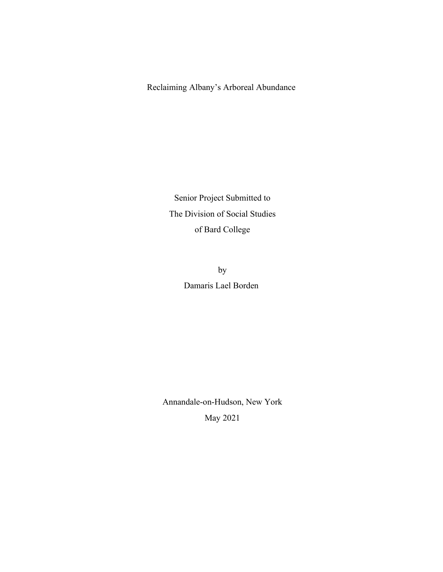Reclaiming Albany's Arboreal Abundance

Senior Project Submitted to The Division of Social Studies of Bard College

> by Damaris Lael Borden

Annandale-on-Hudson, New York May 2021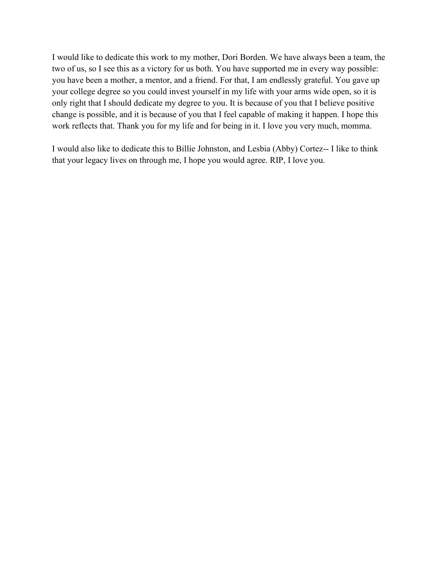I would like to dedicate this work to my mother, Dori Borden. We have always been a team, the two of us, so I see this as a victory for us both. You have supported me in every way possible: you have been a mother, a mentor, and a friend. For that, I am endlessly grateful. You gave up your college degree so you could invest yourself in my life with your arms wide open, so it is only right that I should dedicate my degree to you. It is because of you that I believe positive change is possible, and it is because of you that I feel capable of making it happen. I hope this work reflects that. Thank you for my life and for being in it. I love you very much, momma.

I would also like to dedicate this to Billie Johnston, and Lesbia (Abby) Cortez-- I like to think that your legacy lives on through me, I hope you would agree. RIP, I love you.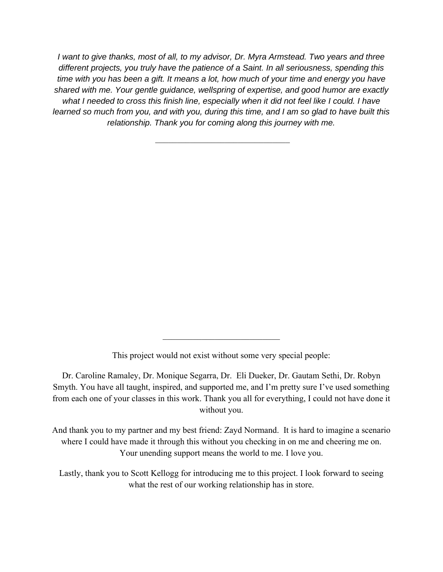*I want to give thanks, most of all, to my advisor, Dr. Myra Armstead. Two years and three different projects, you truly have the patience of a Saint. In all seriousness, spending this time with you has been a gift. It means a lot, how much of your time and energy you have shared with me. Your gentle guidance, wellspring of expertise, and good humor are exactly what I needed to cross this finish line, especially when it did not feel like I could. I have learned so much from you, and with you, during this time, and I am so glad to have built this relationship. Thank you for coming along this journey with me.* 

 $\mathcal{L}_\text{max}$  , where  $\mathcal{L}_\text{max}$  and  $\mathcal{L}_\text{max}$ 

This project would not exist without some very special people:

Dr. Caroline Ramaley, Dr. Monique Segarra, Dr. Eli Dueker, Dr. Gautam Sethi, Dr. Robyn Smyth. You have all taught, inspired, and supported me, and I'm pretty sure I've used something from each one of your classes in this work. Thank you all for everything, I could not have done it without you.

And thank you to my partner and my best friend: Zayd Normand. It is hard to imagine a scenario where I could have made it through this without you checking in on me and cheering me on. Your unending support means the world to me. I love you.

Lastly, thank you to Scott Kellogg for introducing me to this project. I look forward to seeing what the rest of our working relationship has in store.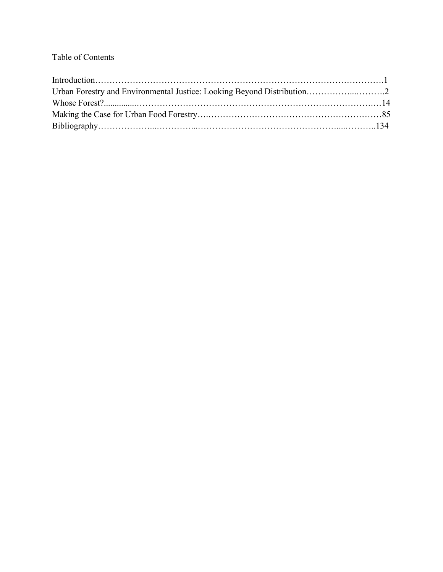## Table of Contents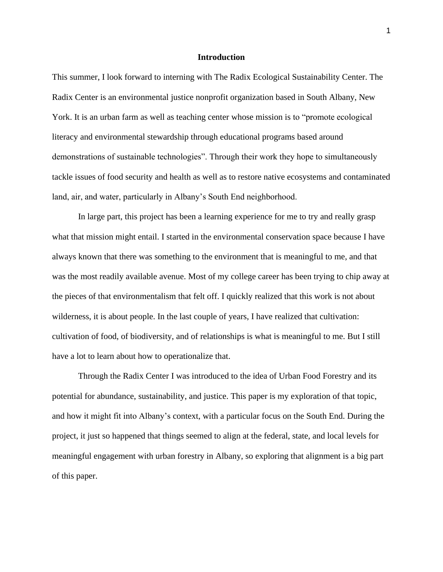#### **Introduction**

This summer, I look forward to interning with The Radix Ecological Sustainability Center. The Radix Center is an environmental justice nonprofit organization based in South Albany, New York. It is an urban farm as well as teaching center whose mission is to "promote ecological literacy and environmental stewardship through educational programs based around demonstrations of sustainable technologies". Through their work they hope to simultaneously tackle issues of food security and health as well as to restore native ecosystems and contaminated land, air, and water, particularly in Albany's South End neighborhood.

In large part, this project has been a learning experience for me to try and really grasp what that mission might entail. I started in the environmental conservation space because I have always known that there was something to the environment that is meaningful to me, and that was the most readily available avenue. Most of my college career has been trying to chip away at the pieces of that environmentalism that felt off. I quickly realized that this work is not about wilderness, it is about people. In the last couple of years, I have realized that cultivation: cultivation of food, of biodiversity, and of relationships is what is meaningful to me. But I still have a lot to learn about how to operationalize that.

Through the Radix Center I was introduced to the idea of Urban Food Forestry and its potential for abundance, sustainability, and justice. This paper is my exploration of that topic, and how it might fit into Albany's context, with a particular focus on the South End. During the project, it just so happened that things seemed to align at the federal, state, and local levels for meaningful engagement with urban forestry in Albany, so exploring that alignment is a big part of this paper.

1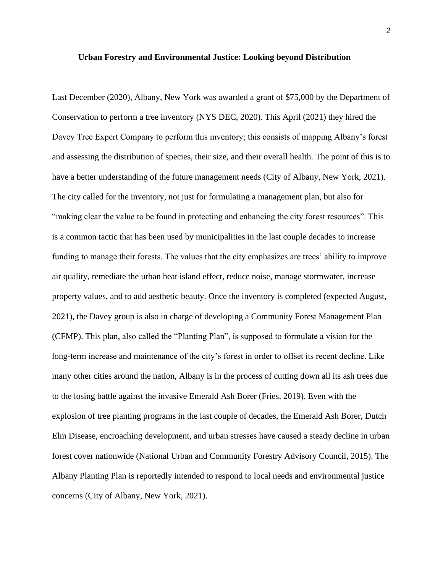#### **Urban Forestry and Environmental Justice: Looking beyond Distribution**

Last December (2020), Albany, New York was awarded a grant of \$75,000 by the Department of Conservation to perform a tree inventory (NYS DEC, 2020). This April (2021) they hired the Davey Tree Expert Company to perform this inventory; this consists of mapping Albany's forest and assessing the distribution of species, their size, and their overall health. The point of this is to have a better understanding of the future management needs (City of Albany, New York, 2021). The city called for the inventory, not just for formulating a management plan, but also for "making clear the value to be found in protecting and enhancing the city forest resources". This is a common tactic that has been used by municipalities in the last couple decades to increase funding to manage their forests. The values that the city emphasizes are trees' ability to improve air quality, remediate the urban heat island effect, reduce noise, manage stormwater, increase property values, and to add aesthetic beauty. Once the inventory is completed (expected August, 2021), the Davey group is also in charge of developing a Community Forest Management Plan (CFMP). This plan, also called the "Planting Plan", is supposed to formulate a vision for the long-term increase and maintenance of the city's forest in order to offset its recent decline. Like many other cities around the nation, Albany is in the process of cutting down all its ash trees due to the losing battle against the invasive Emerald Ash Borer (Fries, 2019). Even with the explosion of tree planting programs in the last couple of decades, the Emerald Ash Borer, Dutch Elm Disease, encroaching development, and urban stresses have caused a steady decline in urban forest cover nationwide (National Urban and Community Forestry Advisory Council, 2015). The Albany Planting Plan is reportedly intended to respond to local needs and environmental justice concerns (City of Albany, New York, 2021).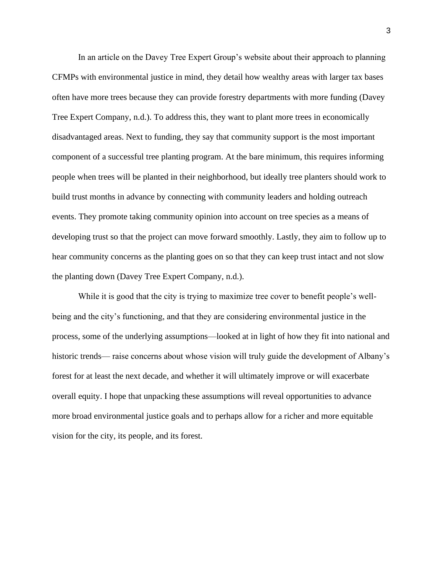In an article on the Davey Tree Expert Group's website about their approach to planning CFMPs with environmental justice in mind, they detail how wealthy areas with larger tax bases often have more trees because they can provide forestry departments with more funding (Davey Tree Expert Company, n.d.). To address this, they want to plant more trees in economically disadvantaged areas. Next to funding, they say that community support is the most important component of a successful tree planting program. At the bare minimum, this requires informing people when trees will be planted in their neighborhood, but ideally tree planters should work to build trust months in advance by connecting with community leaders and holding outreach events. They promote taking community opinion into account on tree species as a means of developing trust so that the project can move forward smoothly. Lastly, they aim to follow up to hear community concerns as the planting goes on so that they can keep trust intact and not slow the planting down (Davey Tree Expert Company, n.d.).

While it is good that the city is trying to maximize tree cover to benefit people's wellbeing and the city's functioning, and that they are considering environmental justice in the process, some of the underlying assumptions—looked at in light of how they fit into national and historic trends— raise concerns about whose vision will truly guide the development of Albany's forest for at least the next decade, and whether it will ultimately improve or will exacerbate overall equity. I hope that unpacking these assumptions will reveal opportunities to advance more broad environmental justice goals and to perhaps allow for a richer and more equitable vision for the city, its people, and its forest.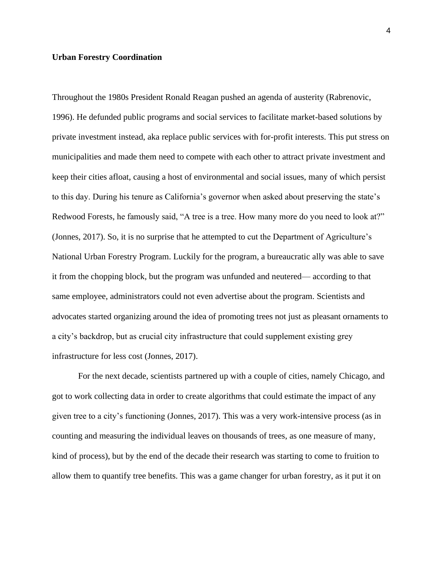#### **Urban Forestry Coordination**

Throughout the 1980s President Ronald Reagan pushed an agenda of austerity (Rabrenovic, 1996). He defunded public programs and social services to facilitate market-based solutions by private investment instead, aka replace public services with for-profit interests. This put stress on municipalities and made them need to compete with each other to attract private investment and keep their cities afloat, causing a host of environmental and social issues, many of which persist to this day. During his tenure as California's governor when asked about preserving the state's Redwood Forests, he famously said, "A tree is a tree. How many more do you need to look at?" (Jonnes, 2017). So, it is no surprise that he attempted to cut the Department of Agriculture's National Urban Forestry Program. Luckily for the program, a bureaucratic ally was able to save it from the chopping block, but the program was unfunded and neutered— according to that same employee, administrators could not even advertise about the program. Scientists and advocates started organizing around the idea of promoting trees not just as pleasant ornaments to a city's backdrop, but as crucial city infrastructure that could supplement existing grey infrastructure for less cost (Jonnes, 2017).

For the next decade, scientists partnered up with a couple of cities, namely Chicago, and got to work collecting data in order to create algorithms that could estimate the impact of any given tree to a city's functioning (Jonnes, 2017). This was a very work-intensive process (as in counting and measuring the individual leaves on thousands of trees, as one measure of many, kind of process), but by the end of the decade their research was starting to come to fruition to allow them to quantify tree benefits. This was a game changer for urban forestry, as it put it on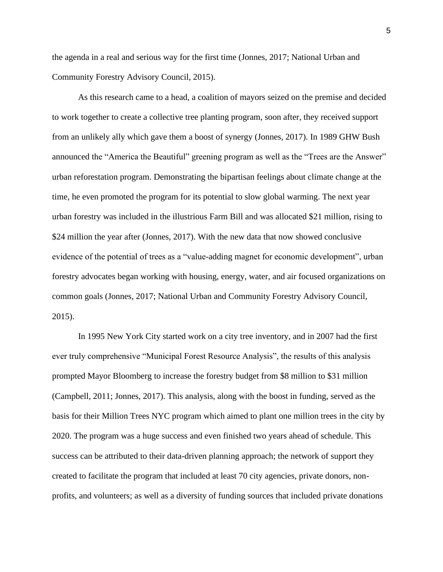the agenda in a real and serious way for the first time (Jonnes, 2017; National Urban and Community Forestry Advisory Council, 2015).

As this research came to a head, a coalition of mayors seized on the premise and decided to work together to create a collective tree planting program, soon after, they received support from an unlikely ally which gave them a boost of synergy (Jonnes, 2017). In 1989 GHW Bush announced the "America the Beautiful" greening program as well as the "Trees are the Answer" urban reforestation program. Demonstrating the bipartisan feelings about climate change at the time, he even promoted the program for its potential to slow global warming. The next year urban forestry was included in the illustrious Farm Bill and was allocated \$21 million, rising to \$24 million the year after (Jonnes, 2017). With the new data that now showed conclusive evidence of the potential of trees as a "value-adding magnet for economic development", urban forestry advocates began working with housing, energy, water, and air focused organizations on common goals (Jonnes, 2017; National Urban and Community Forestry Advisory Council, 2015).

In 1995 New York City started work on a city tree inventory, and in 2007 had the first ever truly comprehensive "Municipal Forest Resource Analysis", the results of this analysis prompted Mayor Bloomberg to increase the forestry budget from \$8 million to \$31 million (Campbell, 2011; Jonnes, 2017). This analysis, along with the boost in funding, served as the basis for their Million Trees NYC program which aimed to plant one million trees in the city by 2020. The program was a huge success and even finished two years ahead of schedule. This success can be attributed to their data-driven planning approach; the network of support they created to facilitate the program that included at least 70 city agencies, private donors, nonprofits, and volunteers; as well as a diversity of funding sources that included private donations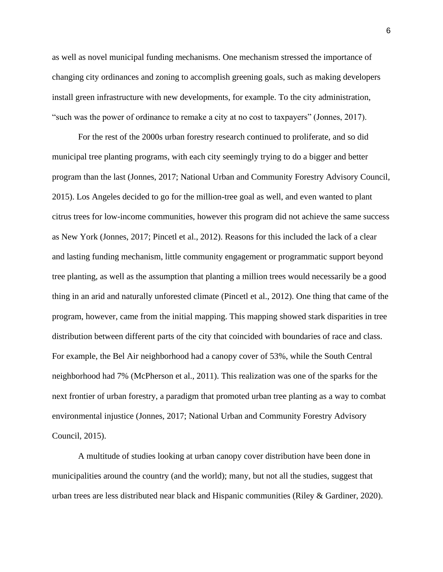as well as novel municipal funding mechanisms. One mechanism stressed the importance of changing city ordinances and zoning to accomplish greening goals, such as making developers install green infrastructure with new developments, for example. To the city administration, "such was the power of ordinance to remake a city at no cost to taxpayers" (Jonnes, 2017).

For the rest of the 2000s urban forestry research continued to proliferate, and so did municipal tree planting programs, with each city seemingly trying to do a bigger and better program than the last (Jonnes, 2017; National Urban and Community Forestry Advisory Council, 2015). Los Angeles decided to go for the million-tree goal as well, and even wanted to plant citrus trees for low-income communities, however this program did not achieve the same success as New York (Jonnes, 2017; Pincetl et al., 2012). Reasons for this included the lack of a clear and lasting funding mechanism, little community engagement or programmatic support beyond tree planting, as well as the assumption that planting a million trees would necessarily be a good thing in an arid and naturally unforested climate (Pincetl et al., 2012). One thing that came of the program, however, came from the initial mapping. This mapping showed stark disparities in tree distribution between different parts of the city that coincided with boundaries of race and class. For example, the Bel Air neighborhood had a canopy cover of 53%, while the South Central neighborhood had 7% (McPherson et al., 2011). This realization was one of the sparks for the next frontier of urban forestry, a paradigm that promoted urban tree planting as a way to combat environmental injustice (Jonnes, 2017; National Urban and Community Forestry Advisory Council, 2015).

A multitude of studies looking at urban canopy cover distribution have been done in municipalities around the country (and the world); many, but not all the studies, suggest that urban trees are less distributed near black and Hispanic communities (Riley & Gardiner, 2020).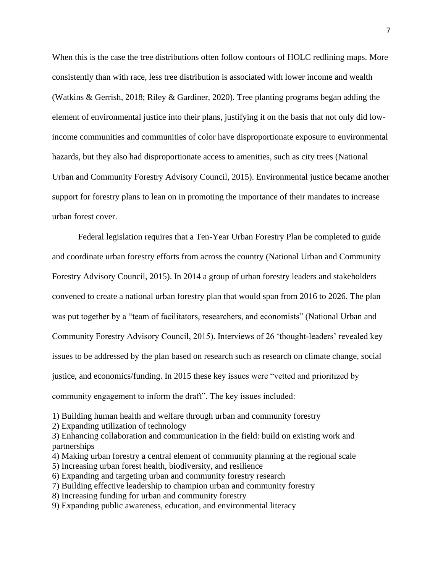When this is the case the tree distributions often follow contours of HOLC redlining maps. More consistently than with race, less tree distribution is associated with lower income and wealth (Watkins & Gerrish, 2018; Riley & Gardiner, 2020). Tree planting programs began adding the element of environmental justice into their plans, justifying it on the basis that not only did lowincome communities and communities of color have disproportionate exposure to environmental hazards, but they also had disproportionate access to amenities, such as city trees (National Urban and Community Forestry Advisory Council, 2015). Environmental justice became another support for forestry plans to lean on in promoting the importance of their mandates to increase urban forest cover.

Federal legislation requires that a Ten-Year Urban Forestry Plan be completed to guide and coordinate urban forestry efforts from across the country (National Urban and Community Forestry Advisory Council, 2015). In 2014 a group of urban forestry leaders and stakeholders convened to create a national urban forestry plan that would span from 2016 to 2026. The plan was put together by a "team of facilitators, researchers, and economists" (National Urban and Community Forestry Advisory Council, 2015). Interviews of 26 'thought-leaders' revealed key issues to be addressed by the plan based on research such as research on climate change, social justice, and economics/funding. In 2015 these key issues were "vetted and prioritized by community engagement to inform the draft". The key issues included:

1) Building human health and welfare through urban and community forestry

2) Expanding utilization of technology

3) Enhancing collaboration and communication in the field: build on existing work and partnerships

4) Making urban forestry a central element of community planning at the regional scale

5) Increasing urban forest health, biodiversity, and resilience

6) Expanding and targeting urban and community forestry research

- 7) Building effective leadership to champion urban and community forestry
- 8) Increasing funding for urban and community forestry

9) Expanding public awareness, education, and environmental literacy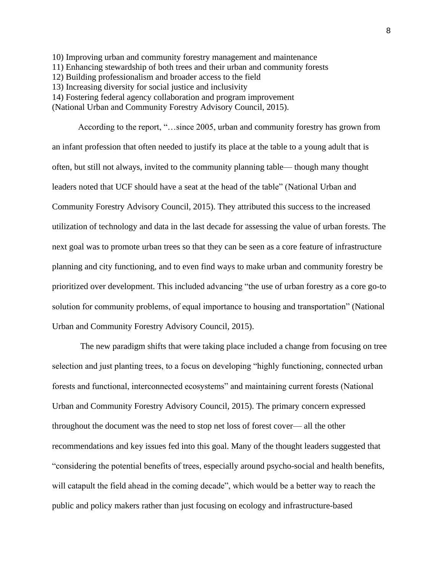10) Improving urban and community forestry management and maintenance 11) Enhancing stewardship of both trees and their urban and community forests 12) Building professionalism and broader access to the field 13) Increasing diversity for social justice and inclusivity 14) Fostering federal agency collaboration and program improvement

(National Urban and Community Forestry Advisory Council, 2015).

According to the report, "…since 2005, urban and community forestry has grown from an infant profession that often needed to justify its place at the table to a young adult that is often, but still not always, invited to the community planning table— though many thought leaders noted that UCF should have a seat at the head of the table" (National Urban and Community Forestry Advisory Council, 2015). They attributed this success to the increased utilization of technology and data in the last decade for assessing the value of urban forests. The next goal was to promote urban trees so that they can be seen as a core feature of infrastructure planning and city functioning, and to even find ways to make urban and community forestry be prioritized over development. This included advancing "the use of urban forestry as a core go-to solution for community problems, of equal importance to housing and transportation" (National Urban and Community Forestry Advisory Council, 2015).

The new paradigm shifts that were taking place included a change from focusing on tree selection and just planting trees, to a focus on developing "highly functioning, connected urban forests and functional, interconnected ecosystems" and maintaining current forests (National Urban and Community Forestry Advisory Council, 2015). The primary concern expressed throughout the document was the need to stop net loss of forest cover— all the other recommendations and key issues fed into this goal. Many of the thought leaders suggested that "considering the potential benefits of trees, especially around psycho-social and health benefits, will catapult the field ahead in the coming decade", which would be a better way to reach the public and policy makers rather than just focusing on ecology and infrastructure-based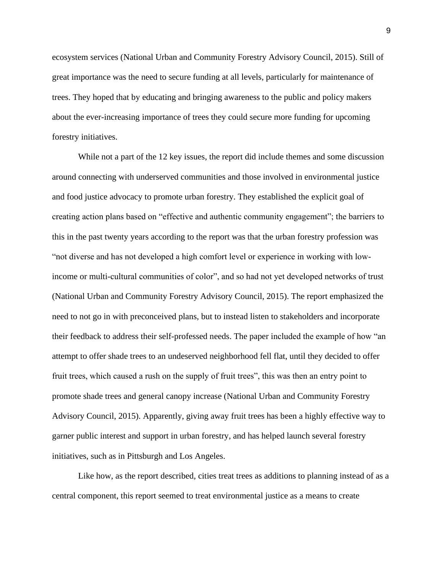ecosystem services (National Urban and Community Forestry Advisory Council, 2015). Still of great importance was the need to secure funding at all levels, particularly for maintenance of trees. They hoped that by educating and bringing awareness to the public and policy makers about the ever-increasing importance of trees they could secure more funding for upcoming forestry initiatives.

While not a part of the 12 key issues, the report did include themes and some discussion around connecting with underserved communities and those involved in environmental justice and food justice advocacy to promote urban forestry. They established the explicit goal of creating action plans based on "effective and authentic community engagement"; the barriers to this in the past twenty years according to the report was that the urban forestry profession was "not diverse and has not developed a high comfort level or experience in working with lowincome or multi-cultural communities of color", and so had not yet developed networks of trust (National Urban and Community Forestry Advisory Council, 2015). The report emphasized the need to not go in with preconceived plans, but to instead listen to stakeholders and incorporate their feedback to address their self-professed needs. The paper included the example of how "an attempt to offer shade trees to an undeserved neighborhood fell flat, until they decided to offer fruit trees, which caused a rush on the supply of fruit trees", this was then an entry point to promote shade trees and general canopy increase (National Urban and Community Forestry Advisory Council, 2015). Apparently, giving away fruit trees has been a highly effective way to garner public interest and support in urban forestry, and has helped launch several forestry initiatives, such as in Pittsburgh and Los Angeles.

Like how, as the report described, cities treat trees as additions to planning instead of as a central component, this report seemed to treat environmental justice as a means to create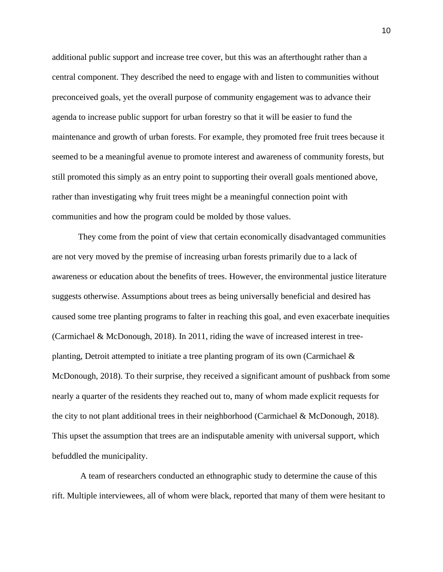additional public support and increase tree cover, but this was an afterthought rather than a central component. They described the need to engage with and listen to communities without preconceived goals, yet the overall purpose of community engagement was to advance their agenda to increase public support for urban forestry so that it will be easier to fund the maintenance and growth of urban forests. For example, they promoted free fruit trees because it seemed to be a meaningful avenue to promote interest and awareness of community forests, but still promoted this simply as an entry point to supporting their overall goals mentioned above, rather than investigating why fruit trees might be a meaningful connection point with communities and how the program could be molded by those values.

They come from the point of view that certain economically disadvantaged communities are not very moved by the premise of increasing urban forests primarily due to a lack of awareness or education about the benefits of trees. However, the environmental justice literature suggests otherwise. Assumptions about trees as being universally beneficial and desired has caused some tree planting programs to falter in reaching this goal, and even exacerbate inequities (Carmichael & McDonough, 2018). In 2011, riding the wave of increased interest in treeplanting, Detroit attempted to initiate a tree planting program of its own (Carmichael  $\&$ McDonough, 2018). To their surprise, they received a significant amount of pushback from some nearly a quarter of the residents they reached out to, many of whom made explicit requests for the city to not plant additional trees in their neighborhood (Carmichael & McDonough, 2018). This upset the assumption that trees are an indisputable amenity with universal support, which befuddled the municipality.

A team of researchers conducted an ethnographic study to determine the cause of this rift. Multiple interviewees, all of whom were black, reported that many of them were hesitant to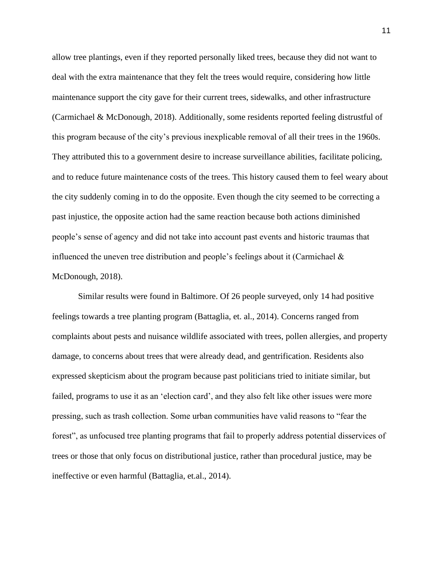allow tree plantings, even if they reported personally liked trees, because they did not want to deal with the extra maintenance that they felt the trees would require, considering how little maintenance support the city gave for their current trees, sidewalks, and other infrastructure (Carmichael & McDonough, 2018). Additionally, some residents reported feeling distrustful of this program because of the city's previous inexplicable removal of all their trees in the 1960s. They attributed this to a government desire to increase surveillance abilities, facilitate policing, and to reduce future maintenance costs of the trees. This history caused them to feel weary about the city suddenly coming in to do the opposite. Even though the city seemed to be correcting a past injustice, the opposite action had the same reaction because both actions diminished people's sense of agency and did not take into account past events and historic traumas that influenced the uneven tree distribution and people's feelings about it (Carmichael  $\&$ McDonough, 2018).

Similar results were found in Baltimore. Of 26 people surveyed, only 14 had positive feelings towards a tree planting program (Battaglia, et. al., 2014). Concerns ranged from complaints about pests and nuisance wildlife associated with trees, pollen allergies, and property damage, to concerns about trees that were already dead, and gentrification. Residents also expressed skepticism about the program because past politicians tried to initiate similar, but failed, programs to use it as an 'election card', and they also felt like other issues were more pressing, such as trash collection. Some urban communities have valid reasons to "fear the forest", as unfocused tree planting programs that fail to properly address potential disservices of trees or those that only focus on distributional justice, rather than procedural justice, may be ineffective or even harmful (Battaglia, et.al., 2014).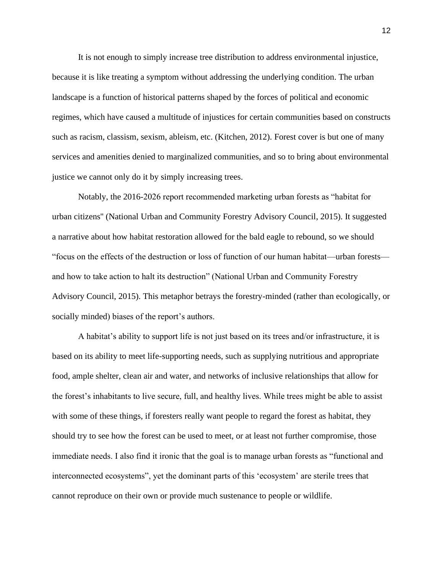It is not enough to simply increase tree distribution to address environmental injustice, because it is like treating a symptom without addressing the underlying condition. The urban landscape is a function of historical patterns shaped by the forces of political and economic regimes, which have caused a multitude of injustices for certain communities based on constructs such as racism, classism, sexism, ableism, etc. (Kitchen, 2012). Forest cover is but one of many services and amenities denied to marginalized communities, and so to bring about environmental justice we cannot only do it by simply increasing trees.

Notably, the 2016-2026 report recommended marketing urban forests as "habitat for urban citizens'' (National Urban and Community Forestry Advisory Council, 2015). It suggested a narrative about how habitat restoration allowed for the bald eagle to rebound, so we should "focus on the effects of the destruction or loss of function of our human habitat—urban forests and how to take action to halt its destruction" (National Urban and Community Forestry Advisory Council, 2015). This metaphor betrays the forestry-minded (rather than ecologically, or socially minded) biases of the report's authors.

A habitat's ability to support life is not just based on its trees and/or infrastructure, it is based on its ability to meet life-supporting needs, such as supplying nutritious and appropriate food, ample shelter, clean air and water, and networks of inclusive relationships that allow for the forest's inhabitants to live secure, full, and healthy lives. While trees might be able to assist with some of these things, if foresters really want people to regard the forest as habitat, they should try to see how the forest can be used to meet, or at least not further compromise, those immediate needs. I also find it ironic that the goal is to manage urban forests as "functional and interconnected ecosystems", yet the dominant parts of this 'ecosystem' are sterile trees that cannot reproduce on their own or provide much sustenance to people or wildlife.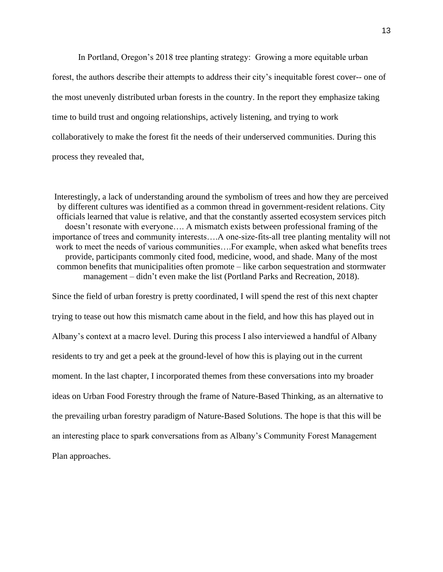In Portland, Oregon's 2018 tree planting strategy: Growing a more equitable urban forest, the authors describe their attempts to address their city's inequitable forest cover-- one of the most unevenly distributed urban forests in the country. In the report they emphasize taking time to build trust and ongoing relationships, actively listening, and trying to work collaboratively to make the forest fit the needs of their underserved communities. During this process they revealed that,

Interestingly, a lack of understanding around the symbolism of trees and how they are perceived by different cultures was identified as a common thread in government-resident relations. City officials learned that value is relative, and that the constantly asserted ecosystem services pitch doesn't resonate with everyone…. A mismatch exists between professional framing of the importance of trees and community interests....A one-size-fits-all tree planting mentality will not work to meet the needs of various communities….For example, when asked what benefits trees provide, participants commonly cited food, medicine, wood, and shade. Many of the most common benefits that municipalities often promote – like carbon sequestration and stormwater management – didn't even make the list (Portland Parks and Recreation, 2018).

Since the field of urban forestry is pretty coordinated, I will spend the rest of this next chapter trying to tease out how this mismatch came about in the field, and how this has played out in Albany's context at a macro level. During this process I also interviewed a handful of Albany residents to try and get a peek at the ground-level of how this is playing out in the current moment. In the last chapter, I incorporated themes from these conversations into my broader ideas on Urban Food Forestry through the frame of Nature-Based Thinking, as an alternative to the prevailing urban forestry paradigm of Nature-Based Solutions. The hope is that this will be an interesting place to spark conversations from as Albany's Community Forest Management Plan approaches.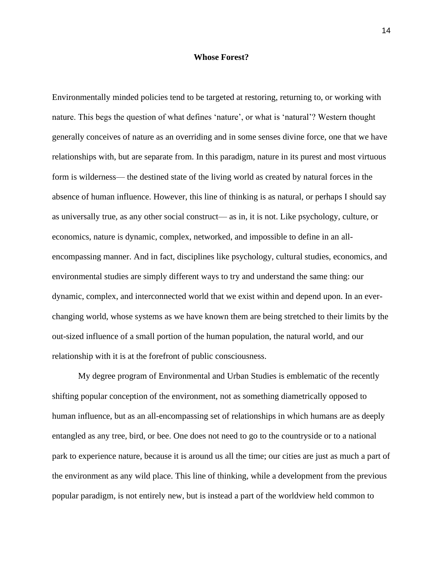#### **Whose Forest?**

Environmentally minded policies tend to be targeted at restoring, returning to, or working with nature. This begs the question of what defines 'nature', or what is 'natural'? Western thought generally conceives of nature as an overriding and in some senses divine force, one that we have relationships with, but are separate from. In this paradigm, nature in its purest and most virtuous form is wilderness— the destined state of the living world as created by natural forces in the absence of human influence. However, this line of thinking is as natural, or perhaps I should say as universally true, as any other social construct— as in, it is not. Like psychology, culture, or economics, nature is dynamic, complex, networked, and impossible to define in an allencompassing manner. And in fact, disciplines like psychology, cultural studies, economics, and environmental studies are simply different ways to try and understand the same thing: our dynamic, complex, and interconnected world that we exist within and depend upon. In an everchanging world, whose systems as we have known them are being stretched to their limits by the out-sized influence of a small portion of the human population, the natural world, and our relationship with it is at the forefront of public consciousness.

My degree program of Environmental and Urban Studies is emblematic of the recently shifting popular conception of the environment, not as something diametrically opposed to human influence, but as an all-encompassing set of relationships in which humans are as deeply entangled as any tree, bird, or bee. One does not need to go to the countryside or to a national park to experience nature, because it is around us all the time; our cities are just as much a part of the environment as any wild place. This line of thinking, while a development from the previous popular paradigm, is not entirely new, but is instead a part of the worldview held common to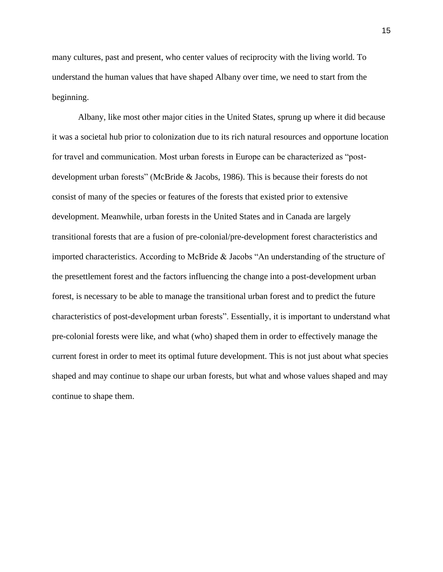many cultures, past and present, who center values of reciprocity with the living world. To understand the human values that have shaped Albany over time, we need to start from the beginning.

Albany, like most other major cities in the United States, sprung up where it did because it was a societal hub prior to colonization due to its rich natural resources and opportune location for travel and communication. Most urban forests in Europe can be characterized as "postdevelopment urban forests" (McBride & Jacobs, 1986). This is because their forests do not consist of many of the species or features of the forests that existed prior to extensive development. Meanwhile, urban forests in the United States and in Canada are largely transitional forests that are a fusion of pre-colonial/pre-development forest characteristics and imported characteristics. According to McBride & Jacobs "An understanding of the structure of the presettlement forest and the factors influencing the change into a post-development urban forest, is necessary to be able to manage the transitional urban forest and to predict the future characteristics of post-development urban forests". Essentially, it is important to understand what pre-colonial forests were like, and what (who) shaped them in order to effectively manage the current forest in order to meet its optimal future development. This is not just about what species shaped and may continue to shape our urban forests, but what and whose values shaped and may continue to shape them.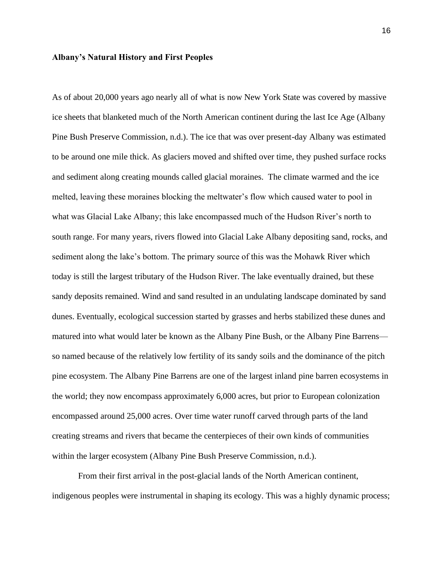#### **Albany's Natural History and First Peoples**

As of about 20,000 years ago nearly all of what is now New York State was covered by massive ice sheets that blanketed much of the North American continent during the last Ice Age (Albany Pine Bush Preserve Commission, n.d.). The ice that was over present-day Albany was estimated to be around one mile thick. As glaciers moved and shifted over time, they pushed surface rocks and sediment along creating mounds called glacial moraines. The climate warmed and the ice melted, leaving these moraines blocking the meltwater's flow which caused water to pool in what was Glacial Lake Albany; this lake encompassed much of the Hudson River's north to south range. For many years, rivers flowed into Glacial Lake Albany depositing sand, rocks, and sediment along the lake's bottom. The primary source of this was the Mohawk River which today is still the largest tributary of the Hudson River. The lake eventually drained, but these sandy deposits remained. Wind and sand resulted in an undulating landscape dominated by sand dunes. Eventually, ecological succession started by grasses and herbs stabilized these dunes and matured into what would later be known as the Albany Pine Bush, or the Albany Pine Barrens so named because of the relatively low fertility of its sandy soils and the dominance of the pitch pine ecosystem. The Albany Pine Barrens are one of the largest inland pine barren ecosystems in the world; they now encompass approximately 6,000 acres, but prior to European colonization encompassed around 25,000 acres. Over time water runoff carved through parts of the land creating streams and rivers that became the centerpieces of their own kinds of communities within the larger ecosystem (Albany Pine Bush Preserve Commission, n.d.).

From their first arrival in the post-glacial lands of the North American continent, indigenous peoples were instrumental in shaping its ecology. This was a highly dynamic process;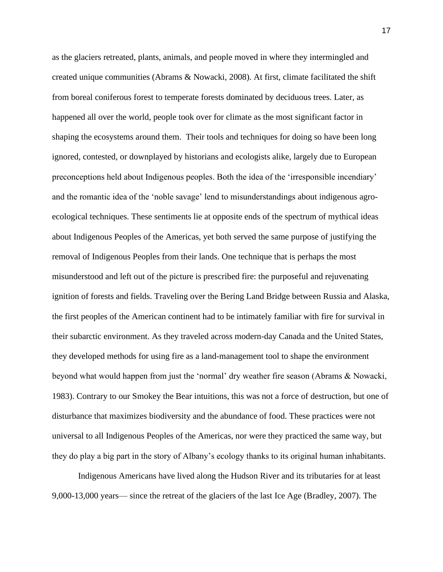as the glaciers retreated, plants, animals, and people moved in where they intermingled and created unique communities (Abrams & Nowacki, 2008). At first, climate facilitated the shift from boreal coniferous forest to temperate forests dominated by deciduous trees. Later, as happened all over the world, people took over for climate as the most significant factor in shaping the ecosystems around them. Their tools and techniques for doing so have been long ignored, contested, or downplayed by historians and ecologists alike, largely due to European preconceptions held about Indigenous peoples. Both the idea of the 'irresponsible incendiary' and the romantic idea of the 'noble savage' lend to misunderstandings about indigenous agroecological techniques. These sentiments lie at opposite ends of the spectrum of mythical ideas about Indigenous Peoples of the Americas, yet both served the same purpose of justifying the removal of Indigenous Peoples from their lands. One technique that is perhaps the most misunderstood and left out of the picture is prescribed fire: the purposeful and rejuvenating ignition of forests and fields. Traveling over the Bering Land Bridge between Russia and Alaska, the first peoples of the American continent had to be intimately familiar with fire for survival in their subarctic environment. As they traveled across modern-day Canada and the United States, they developed methods for using fire as a land-management tool to shape the environment beyond what would happen from just the 'normal' dry weather fire season (Abrams & Nowacki, 1983). Contrary to our Smokey the Bear intuitions, this was not a force of destruction, but one of disturbance that maximizes biodiversity and the abundance of food. These practices were not universal to all Indigenous Peoples of the Americas, nor were they practiced the same way, but they do play a big part in the story of Albany's ecology thanks to its original human inhabitants.

Indigenous Americans have lived along the Hudson River and its tributaries for at least 9,000-13,000 years— since the retreat of the glaciers of the last Ice Age (Bradley, 2007). The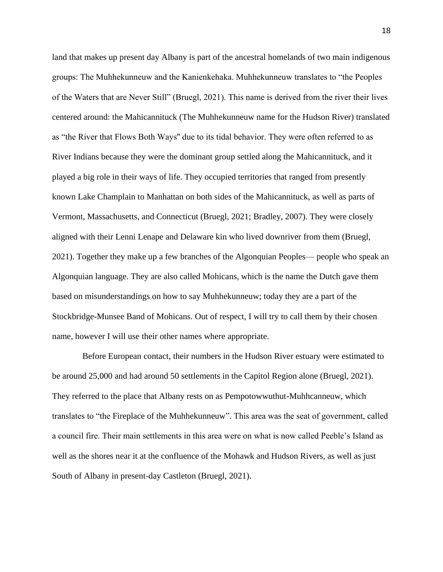land that makes up present day Albany is part of the ancestral homelands of two main indigenous groups: The Muhhekunneuw and the Kanienkehaka. Muhhekunneuw translates to "the Peoples of the Waters that are Never Still" (Bruegl, 2021). This name is derived from the river their lives centered around: the Mahicannituck (The Muhhekunneuw name for the Hudson River) translated as "the River that Flows Both Ways'' due to its tidal behavior. They were often referred to as River Indians because they were the dominant group settled along the Mahicannituck, and it played a big role in their ways of life. They occupied territories that ranged from presently known Lake Champlain to Manhattan on both sides of the Mahicannituck, as well as parts of Vermont, Massachusetts, and Connecticut (Bruegl, 2021; Bradley, 2007). They were closely aligned with their Lenni Lenape and Delaware kin who lived downriver from them (Bruegl, 2021). Together they make up a few branches of the Algonquian Peoples— people who speak an Algonquian language. They are also called Mohicans, which is the name the Dutch gave them based on misunderstandings on how to say Muhhekunneuw; today they are a part of the Stockbridge-Munsee Band of Mohicans. Out of respect, I will try to call them by their chosen name, however I will use their other names where appropriate.

 Before European contact, their numbers in the Hudson River estuary were estimated to be around 25,000 and had around 50 settlements in the Capitol Region alone (Bruegl, 2021). They referred to the place that Albany rests on as Pempotowwuthut-Muhhcanneuw, which translates to "the Fireplace of the Muhhekunneuw". This area was the seat of government, called a council fire. Their main settlements in this area were on what is now called Peeble's Island as well as the shores near it at the confluence of the Mohawk and Hudson Rivers, as well as just South of Albany in present-day Castleton (Bruegl, 2021).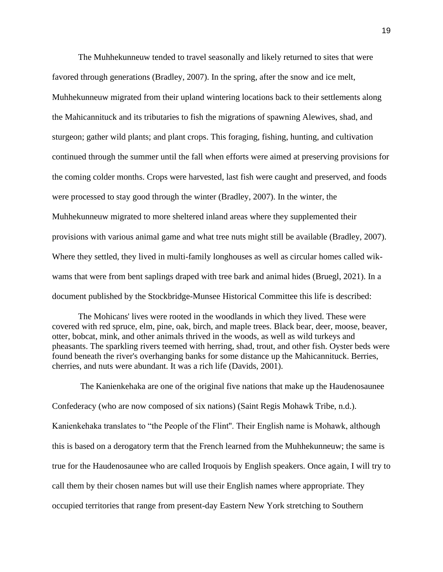The Muhhekunneuw tended to travel seasonally and likely returned to sites that were favored through generations (Bradley, 2007). In the spring, after the snow and ice melt, Muhhekunneuw migrated from their upland wintering locations back to their settlements along the Mahicannituck and its tributaries to fish the migrations of spawning Alewives, shad, and sturgeon; gather wild plants; and plant crops. This foraging, fishing, hunting, and cultivation continued through the summer until the fall when efforts were aimed at preserving provisions for the coming colder months. Crops were harvested, last fish were caught and preserved, and foods were processed to stay good through the winter (Bradley, 2007). In the winter, the Muhhekunneuw migrated to more sheltered inland areas where they supplemented their provisions with various animal game and what tree nuts might still be available (Bradley, 2007). Where they settled, they lived in multi-family longhouses as well as circular homes called wikwams that were from bent saplings draped with tree bark and animal hides (Bruegl, 2021). In a document published by the Stockbridge-Munsee Historical Committee this life is described:

The Mohicans' lives were rooted in the woodlands in which they lived. These were covered with red spruce, elm, pine, oak, birch, and maple trees. Black bear, deer, moose, beaver, otter, bobcat, mink, and other animals thrived in the woods, as well as wild turkeys and pheasants. The sparkling rivers teemed with herring, shad, trout, and other fish. Oyster beds were found beneath the river's overhanging banks for some distance up the Mahicannituck. Berries, cherries, and nuts were abundant. It was a rich life (Davids, 2001).

The Kanienkehaka are one of the original five nations that make up the Haudenosaunee Confederacy (who are now composed of six nations) (Saint Regis Mohawk Tribe, n.d.). Kanienkehaka translates to "the People of the Flint''. Their English name is Mohawk, although this is based on a derogatory term that the French learned from the Muhhekunneuw; the same is true for the Haudenosaunee who are called Iroquois by English speakers. Once again, I will try to call them by their chosen names but will use their English names where appropriate. They occupied territories that range from present-day Eastern New York stretching to Southern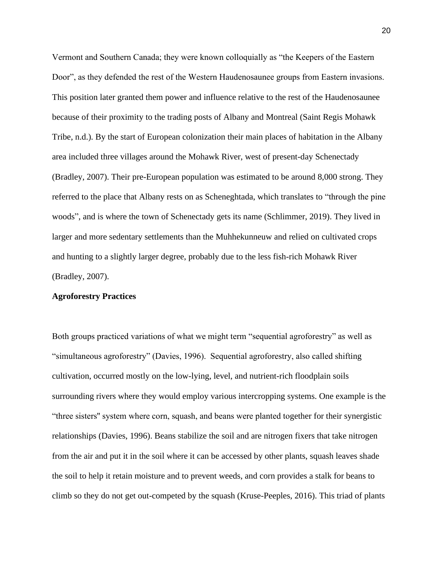Vermont and Southern Canada; they were known colloquially as "the Keepers of the Eastern Door", as they defended the rest of the Western Haudenosaunee groups from Eastern invasions. This position later granted them power and influence relative to the rest of the Haudenosaunee because of their proximity to the trading posts of Albany and Montreal (Saint Regis Mohawk Tribe, n.d.). By the start of European colonization their main places of habitation in the Albany area included three villages around the Mohawk River, west of present-day Schenectady (Bradley, 2007). Their pre-European population was estimated to be around 8,000 strong. They referred to the place that Albany rests on as Scheneghtada, which translates to "through the pine woods", and is where the town of Schenectady gets its name (Schlimmer, 2019). They lived in larger and more sedentary settlements than the Muhhekunneuw and relied on cultivated crops and hunting to a slightly larger degree, probably due to the less fish-rich Mohawk River (Bradley, 2007).

### **Agroforestry Practices**

Both groups practiced variations of what we might term "sequential agroforestry" as well as "simultaneous agroforestry" (Davies, 1996). Sequential agroforestry, also called shifting cultivation, occurred mostly on the low-lying, level, and nutrient-rich floodplain soils surrounding rivers where they would employ various intercropping systems. One example is the "three sisters'' system where corn, squash, and beans were planted together for their synergistic relationships (Davies, 1996). Beans stabilize the soil and are nitrogen fixers that take nitrogen from the air and put it in the soil where it can be accessed by other plants, squash leaves shade the soil to help it retain moisture and to prevent weeds, and corn provides a stalk for beans to climb so they do not get out-competed by the squash (Kruse-Peeples, 2016). This triad of plants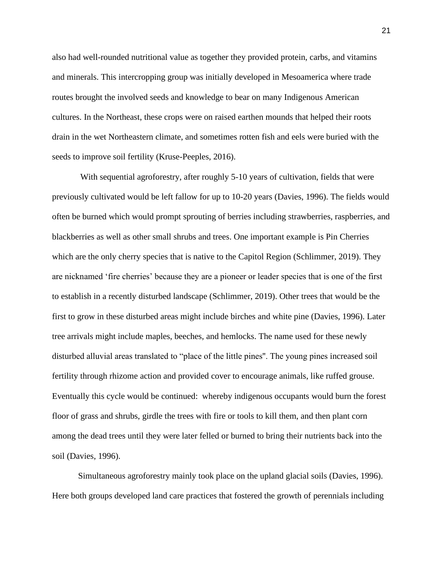also had well-rounded nutritional value as together they provided protein, carbs, and vitamins and minerals. This intercropping group was initially developed in Mesoamerica where trade routes brought the involved seeds and knowledge to bear on many Indigenous American cultures. In the Northeast, these crops were on raised earthen mounds that helped their roots drain in the wet Northeastern climate, and sometimes rotten fish and eels were buried with the seeds to improve soil fertility (Kruse-Peeples, 2016).

With sequential agroforestry, after roughly 5-10 years of cultivation, fields that were previously cultivated would be left fallow for up to 10-20 years (Davies, 1996). The fields would often be burned which would prompt sprouting of berries including strawberries, raspberries, and blackberries as well as other small shrubs and trees. One important example is Pin Cherries which are the only cherry species that is native to the Capitol Region (Schlimmer, 2019). They are nicknamed 'fire cherries' because they are a pioneer or leader species that is one of the first to establish in a recently disturbed landscape (Schlimmer, 2019). Other trees that would be the first to grow in these disturbed areas might include birches and white pine (Davies, 1996). Later tree arrivals might include maples, beeches, and hemlocks. The name used for these newly disturbed alluvial areas translated to "place of the little pines''. The young pines increased soil fertility through rhizome action and provided cover to encourage animals, like ruffed grouse. Eventually this cycle would be continued: whereby indigenous occupants would burn the forest floor of grass and shrubs, girdle the trees with fire or tools to kill them, and then plant corn among the dead trees until they were later felled or burned to bring their nutrients back into the soil (Davies, 1996).

Simultaneous agroforestry mainly took place on the upland glacial soils (Davies, 1996). Here both groups developed land care practices that fostered the growth of perennials including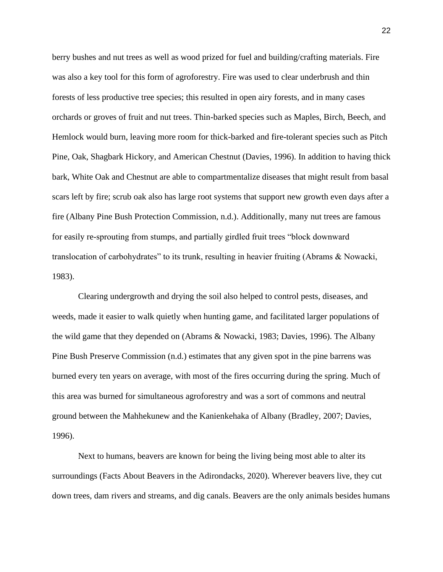berry bushes and nut trees as well as wood prized for fuel and building/crafting materials. Fire was also a key tool for this form of agroforestry. Fire was used to clear underbrush and thin forests of less productive tree species; this resulted in open airy forests, and in many cases orchards or groves of fruit and nut trees. Thin-barked species such as Maples, Birch, Beech, and Hemlock would burn, leaving more room for thick-barked and fire-tolerant species such as Pitch Pine, Oak, Shagbark Hickory, and American Chestnut (Davies, 1996). In addition to having thick bark, White Oak and Chestnut are able to compartmentalize diseases that might result from basal scars left by fire; scrub oak also has large root systems that support new growth even days after a fire (Albany Pine Bush Protection Commission, n.d.). Additionally, many nut trees are famous for easily re-sprouting from stumps, and partially girdled fruit trees "block downward translocation of carbohydrates" to its trunk, resulting in heavier fruiting (Abrams & Nowacki, 1983).

Clearing undergrowth and drying the soil also helped to control pests, diseases, and weeds, made it easier to walk quietly when hunting game, and facilitated larger populations of the wild game that they depended on (Abrams & Nowacki, 1983; Davies, 1996). The Albany Pine Bush Preserve Commission (n.d.) estimates that any given spot in the pine barrens was burned every ten years on average, with most of the fires occurring during the spring. Much of this area was burned for simultaneous agroforestry and was a sort of commons and neutral ground between the Mahhekunew and the Kanienkehaka of Albany (Bradley, 2007; Davies, 1996).

Next to humans, beavers are known for being the living being most able to alter its surroundings (Facts About Beavers in the Adirondacks, 2020). Wherever beavers live, they cut down trees, dam rivers and streams, and dig canals. Beavers are the only animals besides humans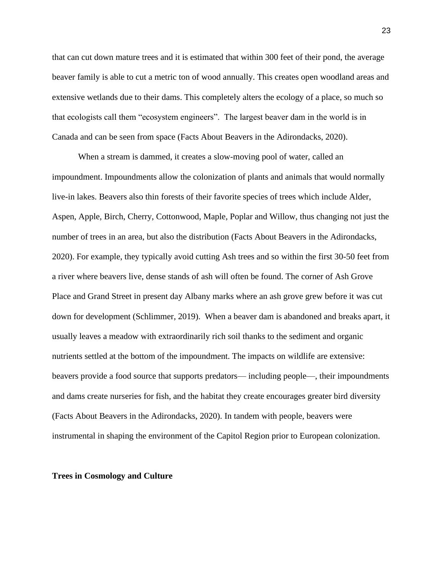that can cut down mature trees and it is estimated that within 300 feet of their pond, the average beaver family is able to cut a metric ton of wood annually. This creates open woodland areas and extensive wetlands due to their dams. This completely alters the ecology of a place, so much so that ecologists call them "ecosystem engineers". The largest beaver dam in the world is in Canada and can be seen from space (Facts About Beavers in the Adirondacks, 2020).

When a stream is dammed, it creates a slow-moving pool of water, called an impoundment. Impoundments allow the colonization of plants and animals that would normally live-in lakes. Beavers also thin forests of their favorite species of trees which include Alder, Aspen, Apple, Birch, Cherry, Cottonwood, Maple, Poplar and Willow, thus changing not just the number of trees in an area, but also the distribution (Facts About Beavers in the Adirondacks, 2020). For example, they typically avoid cutting Ash trees and so within the first 30-50 feet from a river where beavers live, dense stands of ash will often be found. The corner of Ash Grove Place and Grand Street in present day Albany marks where an ash grove grew before it was cut down for development (Schlimmer, 2019). When a beaver dam is abandoned and breaks apart, it usually leaves a meadow with extraordinarily rich soil thanks to the sediment and organic nutrients settled at the bottom of the impoundment. The impacts on wildlife are extensive: beavers provide a food source that supports predators— including people—, their impoundments and dams create nurseries for fish, and the habitat they create encourages greater bird diversity (Facts About Beavers in the Adirondacks, 2020). In tandem with people, beavers were instrumental in shaping the environment of the Capitol Region prior to European colonization.

#### **Trees in Cosmology and Culture**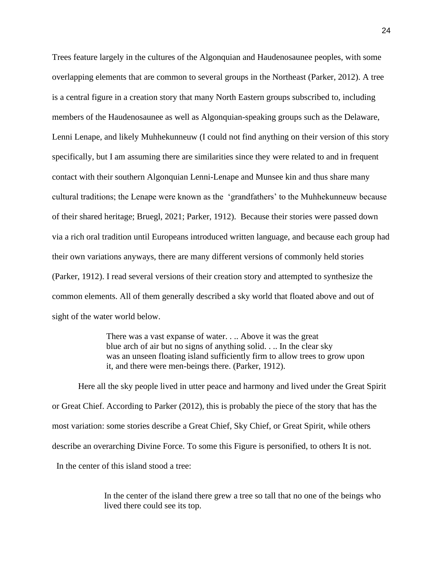Trees feature largely in the cultures of the Algonquian and Haudenosaunee peoples, with some overlapping elements that are common to several groups in the Northeast (Parker, 2012). A tree is a central figure in a creation story that many North Eastern groups subscribed to, including members of the Haudenosaunee as well as Algonquian-speaking groups such as the Delaware, Lenni Lenape, and likely Muhhekunneuw (I could not find anything on their version of this story specifically, but I am assuming there are similarities since they were related to and in frequent contact with their southern Algonquian Lenni-Lenape and Munsee kin and thus share many cultural traditions; the Lenape were known as the 'grandfathers' to the Muhhekunneuw because of their shared heritage; Bruegl, 2021; Parker, 1912). Because their stories were passed down via a rich oral tradition until Europeans introduced written language, and because each group had their own variations anyways, there are many different versions of commonly held stories (Parker, 1912). I read several versions of their creation story and attempted to synthesize the common elements. All of them generally described a sky world that floated above and out of sight of the water world below.

> There was a vast expanse of water. . .. Above it was the great blue arch of air but no signs of anything solid. . .. In the clear sky was an unseen floating island sufficiently firm to allow trees to grow upon it, and there were men-beings there. (Parker, 1912).

Here all the sky people lived in utter peace and harmony and lived under the Great Spirit or Great Chief. According to Parker (2012), this is probably the piece of the story that has the most variation: some stories describe a Great Chief, Sky Chief, or Great Spirit, while others describe an overarching Divine Force. To some this Figure is personified, to others It is not. In the center of this island stood a tree:

> In the center of the island there grew a tree so tall that no one of the beings who lived there could see its top.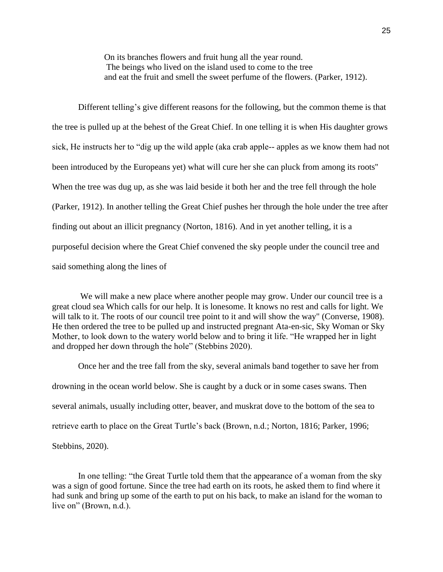On its branches flowers and fruit hung all the year round. The beings who lived on the island used to come to the tree and eat the fruit and smell the sweet perfume of the flowers. (Parker, 1912).

Different telling's give different reasons for the following, but the common theme is that the tree is pulled up at the behest of the Great Chief. In one telling it is when His daughter grows sick, He instructs her to "dig up the wild apple (aka crab apple-- apples as we know them had not been introduced by the Europeans yet) what will cure her she can pluck from among its roots'' When the tree was dug up, as she was laid beside it both her and the tree fell through the hole (Parker, 1912). In another telling the Great Chief pushes her through the hole under the tree after finding out about an illicit pregnancy (Norton, 1816). And in yet another telling, it is a purposeful decision where the Great Chief convened the sky people under the council tree and said something along the lines of

We will make a new place where another people may grow. Under our council tree is a great cloud sea Which calls for our help. It is lonesome. It knows no rest and calls for light. We will talk to it. The roots of our council tree point to it and will show the way" (Converse, 1908). He then ordered the tree to be pulled up and instructed pregnant Ata-en-sic, Sky Woman or Sky Mother, to look down to the watery world below and to bring it life. "He wrapped her in light and dropped her down through the hole" (Stebbins 2020).

Once her and the tree fall from the sky, several animals band together to save her from drowning in the ocean world below. She is caught by a duck or in some cases swans. Then several animals, usually including otter, beaver, and muskrat dove to the bottom of the sea to retrieve earth to place on the Great Turtle's back (Brown, n.d.; Norton, 1816; Parker, 1996; Stebbins, 2020).

In one telling: "the Great Turtle told them that the appearance of a woman from the sky was a sign of good fortune. Since the tree had earth on its roots, he asked them to find where it had sunk and bring up some of the earth to put on his back, to make an island for the woman to live on" (Brown, n.d.).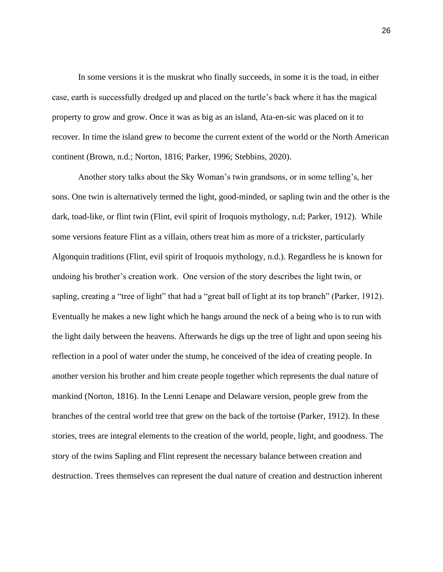In some versions it is the muskrat who finally succeeds, in some it is the toad, in either case, earth is successfully dredged up and placed on the turtle's back where it has the magical property to grow and grow. Once it was as big as an island, Ata-en-sic was placed on it to recover. In time the island grew to become the current extent of the world or the North American continent (Brown, n.d.; Norton, 1816; Parker, 1996; Stebbins, 2020).

Another story talks about the Sky Woman's twin grandsons, or in some telling's, her sons. One twin is alternatively termed the light, good-minded, or sapling twin and the other is the dark, toad-like, or flint twin (Flint, evil spirit of Iroquois mythology, n.d; Parker, 1912). While some versions feature Flint as a villain, others treat him as more of a trickster, particularly Algonquin traditions (Flint, evil spirit of Iroquois mythology, n.d.). Regardless he is known for undoing his brother's creation work. One version of the story describes the light twin, or sapling, creating a "tree of light" that had a "great ball of light at its top branch" (Parker, 1912). Eventually he makes a new light which he hangs around the neck of a being who is to run with the light daily between the heavens. Afterwards he digs up the tree of light and upon seeing his reflection in a pool of water under the stump, he conceived of the idea of creating people. In another version his brother and him create people together which represents the dual nature of mankind (Norton, 1816). In the Lenni Lenape and Delaware version, people grew from the branches of the central world tree that grew on the back of the tortoise (Parker, 1912). In these stories, trees are integral elements to the creation of the world, people, light, and goodness. The story of the twins Sapling and Flint represent the necessary balance between creation and destruction. Trees themselves can represent the dual nature of creation and destruction inherent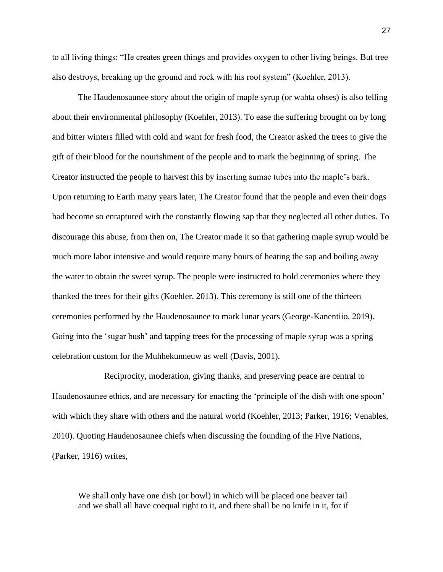to all living things: "He creates green things and provides oxygen to other living beings. But tree also destroys, breaking up the ground and rock with his root system" (Koehler, 2013).

The Haudenosaunee story about the origin of maple syrup (or wahta ohses) is also telling about their environmental philosophy (Koehler, 2013). To ease the suffering brought on by long and bitter winters filled with cold and want for fresh food, the Creator asked the trees to give the gift of their blood for the nourishment of the people and to mark the beginning of spring. The Creator instructed the people to harvest this by inserting sumac tubes into the maple's bark. Upon returning to Earth many years later, The Creator found that the people and even their dogs had become so enraptured with the constantly flowing sap that they neglected all other duties. To discourage this abuse, from then on, The Creator made it so that gathering maple syrup would be much more labor intensive and would require many hours of heating the sap and boiling away the water to obtain the sweet syrup. The people were instructed to hold ceremonies where they thanked the trees for their gifts (Koehler, 2013). This ceremony is still one of the thirteen ceremonies performed by the Haudenosaunee to mark lunar years (George-Kanentiio, 2019). Going into the 'sugar bush' and tapping trees for the processing of maple syrup was a spring celebration custom for the Muhhekunneuw as well (Davis, 2001).

Reciprocity, moderation, giving thanks, and preserving peace are central to Haudenosaunee ethics, and are necessary for enacting the 'principle of the dish with one spoon' with which they share with others and the natural world (Koehler, 2013; Parker, 1916; Venables, 2010). Quoting Haudenosaunee chiefs when discussing the founding of the Five Nations, (Parker, 1916) writes,

We shall only have one dish (or bowl) in which will be placed one beaver tail and we shall all have coequal right to it, and there shall be no knife in it, for if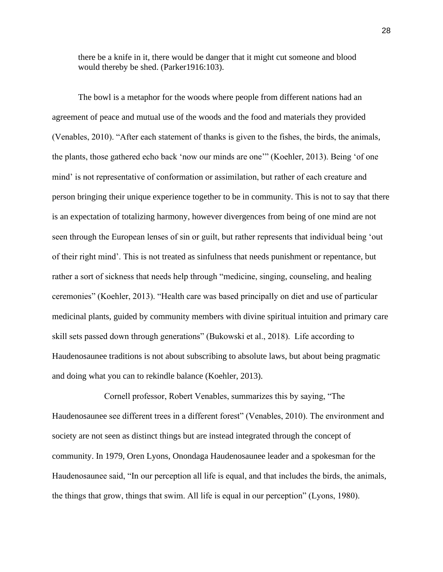there be a knife in it, there would be danger that it might cut someone and blood would thereby be shed. (Parker1916:103).

The bowl is a metaphor for the woods where people from different nations had an agreement of peace and mutual use of the woods and the food and materials they provided (Venables, 2010). "After each statement of thanks is given to the fishes, the birds, the animals, the plants, those gathered echo back 'now our minds are one'" (Koehler, 2013). Being 'of one mind' is not representative of conformation or assimilation, but rather of each creature and person bringing their unique experience together to be in community. This is not to say that there is an expectation of totalizing harmony, however divergences from being of one mind are not seen through the European lenses of sin or guilt, but rather represents that individual being 'out of their right mind'. This is not treated as sinfulness that needs punishment or repentance, but rather a sort of sickness that needs help through "medicine, singing, counseling, and healing ceremonies" (Koehler, 2013). "Health care was based principally on diet and use of particular medicinal plants, guided by community members with divine spiritual intuition and primary care skill sets passed down through generations" (Bukowski et al., 2018). Life according to Haudenosaunee traditions is not about subscribing to absolute laws, but about being pragmatic and doing what you can to rekindle balance (Koehler, 2013).

Cornell professor, Robert Venables, summarizes this by saying, "The Haudenosaunee see different trees in a different forest" (Venables, 2010). The environment and society are not seen as distinct things but are instead integrated through the concept of community. In 1979, Oren Lyons, Onondaga Haudenosaunee leader and a spokesman for the Haudenosaunee said, "In our perception all life is equal, and that includes the birds, the animals, the things that grow, things that swim. All life is equal in our perception" (Lyons, 1980).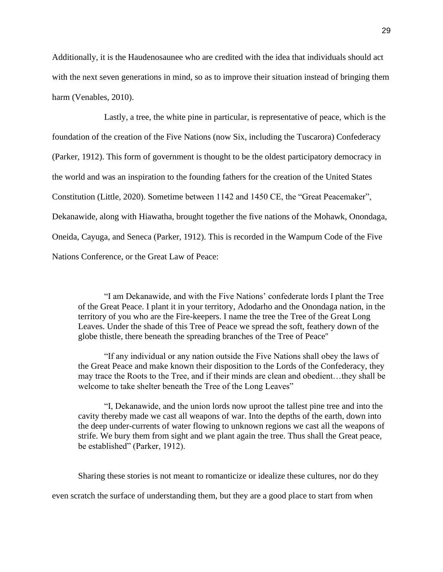Additionally, it is the Haudenosaunee who are credited with the idea that individuals should act with the next seven generations in mind, so as to improve their situation instead of bringing them harm (Venables, 2010).

Lastly, a tree, the white pine in particular, is representative of peace, which is the foundation of the creation of the Five Nations (now Six, including the Tuscarora) Confederacy (Parker, 1912). This form of government is thought to be the oldest participatory democracy in the world and was an inspiration to the founding fathers for the creation of the United States Constitution (Little, 2020). Sometime between 1142 and 1450 CE, the "Great Peacemaker", Dekanawide, along with Hiawatha, brought together the five nations of the Mohawk, Onondaga, Oneida, Cayuga, and Seneca (Parker, 1912). This is recorded in the Wampum Code of the Five Nations Conference, or the Great Law of Peace:

"I am Dekanawide, and with the Five Nations' confederate lords I plant the Tree of the Great Peace. I plant it in your territory, Adodarho and the Onondaga nation, in the territory of you who are the Fire-keepers. I name the tree the Tree of the Great Long Leaves. Under the shade of this Tree of Peace we spread the soft, feathery down of the globe thistle, there beneath the spreading branches of the Tree of Peace''

"If any individual or any nation outside the Five Nations shall obey the laws of the Great Peace and make known their disposition to the Lords of the Confederacy, they may trace the Roots to the Tree, and if their minds are clean and obedient…they shall be welcome to take shelter beneath the Tree of the Long Leaves"

"I, Dekanawide, and the union lords now uproot the tallest pine tree and into the cavity thereby made we cast all weapons of war. Into the depths of the earth, down into the deep under-currents of water flowing to unknown regions we cast all the weapons of strife. We bury them from sight and we plant again the tree. Thus shall the Great peace, be established" (Parker, 1912).

Sharing these stories is not meant to romanticize or idealize these cultures, nor do they

even scratch the surface of understanding them, but they are a good place to start from when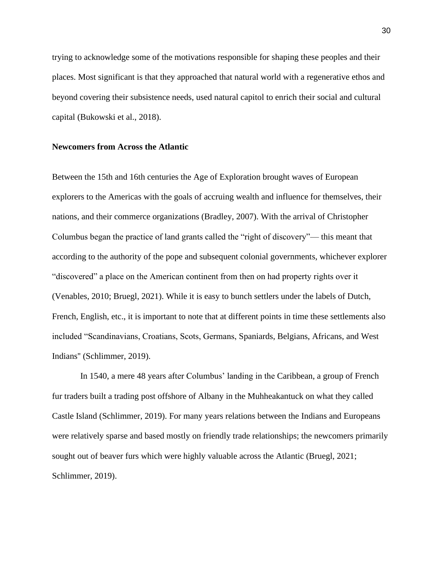trying to acknowledge some of the motivations responsible for shaping these peoples and their places. Most significant is that they approached that natural world with a regenerative ethos and beyond covering their subsistence needs, used natural capitol to enrich their social and cultural capital (Bukowski et al., 2018).

## **Newcomers from Across the Atlantic**

Between the 15th and 16th centuries the Age of Exploration brought waves of European explorers to the Americas with the goals of accruing wealth and influence for themselves, their nations, and their commerce organizations (Bradley, 2007). With the arrival of Christopher Columbus began the practice of land grants called the "right of discovery"— this meant that according to the authority of the pope and subsequent colonial governments, whichever explorer "discovered" a place on the American continent from then on had property rights over it (Venables, 2010; Bruegl, 2021). While it is easy to bunch settlers under the labels of Dutch, French, English, etc., it is important to note that at different points in time these settlements also included "Scandinavians, Croatians, Scots, Germans, Spaniards, Belgians, Africans, and West Indians'' (Schlimmer, 2019).

In 1540, a mere 48 years after Columbus' landing in the Caribbean, a group of French fur traders built a trading post offshore of Albany in the Muhheakantuck on what they called Castle Island (Schlimmer, 2019). For many years relations between the Indians and Europeans were relatively sparse and based mostly on friendly trade relationships; the newcomers primarily sought out of beaver furs which were highly valuable across the Atlantic (Bruegl, 2021; Schlimmer, 2019).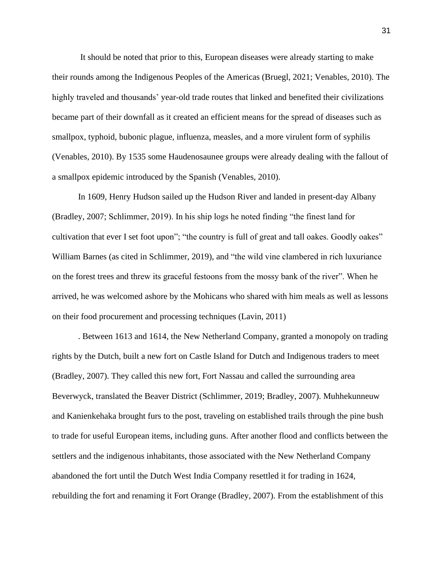It should be noted that prior to this, European diseases were already starting to make their rounds among the Indigenous Peoples of the Americas (Bruegl, 2021; Venables, 2010). The highly traveled and thousands' year-old trade routes that linked and benefited their civilizations became part of their downfall as it created an efficient means for the spread of diseases such as smallpox, typhoid, bubonic plague, influenza, measles, and a more virulent form of syphilis (Venables, 2010). By 1535 some Haudenosaunee groups were already dealing with the fallout of a smallpox epidemic introduced by the Spanish (Venables, 2010).

In 1609, Henry Hudson sailed up the Hudson River and landed in present-day Albany (Bradley, 2007; Schlimmer, 2019). In his ship logs he noted finding "the finest land for cultivation that ever I set foot upon"; "the country is full of great and tall oakes. Goodly oakes" William Barnes (as cited in Schlimmer, 2019), and "the wild vine clambered in rich luxuriance on the forest trees and threw its graceful festoons from the mossy bank of the river". When he arrived, he was welcomed ashore by the Mohicans who shared with him meals as well as lessons on their food procurement and processing techniques (Lavin, 2011)

. Between 1613 and 1614, the New Netherland Company, granted a monopoly on trading rights by the Dutch, built a new fort on Castle Island for Dutch and Indigenous traders to meet (Bradley, 2007). They called this new fort, Fort Nassau and called the surrounding area Beverwyck, translated the Beaver District (Schlimmer, 2019; Bradley, 2007). Muhhekunneuw and Kanienkehaka brought furs to the post, traveling on established trails through the pine bush to trade for useful European items, including guns. After another flood and conflicts between the settlers and the indigenous inhabitants, those associated with the New Netherland Company abandoned the fort until the Dutch West India Company resettled it for trading in 1624, rebuilding the fort and renaming it Fort Orange (Bradley, 2007). From the establishment of this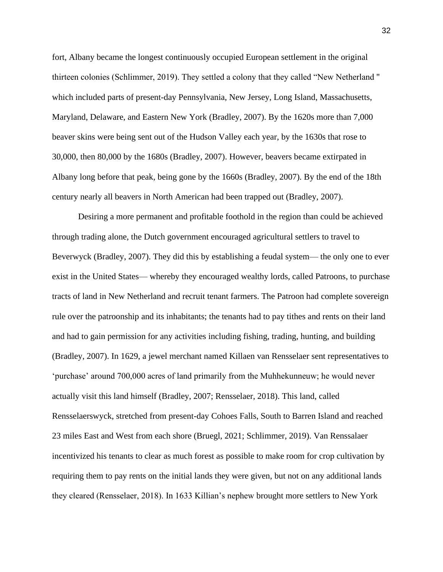fort, Albany became the longest continuously occupied European settlement in the original thirteen colonies (Schlimmer, 2019). They settled a colony that they called "New Netherland '' which included parts of present-day Pennsylvania, New Jersey, Long Island, Massachusetts, Maryland, Delaware, and Eastern New York (Bradley, 2007). By the 1620s more than 7,000 beaver skins were being sent out of the Hudson Valley each year, by the 1630s that rose to 30,000, then 80,000 by the 1680s (Bradley, 2007). However, beavers became extirpated in Albany long before that peak, being gone by the 1660s (Bradley, 2007). By the end of the 18th century nearly all beavers in North American had been trapped out (Bradley, 2007).

Desiring a more permanent and profitable foothold in the region than could be achieved through trading alone, the Dutch government encouraged agricultural settlers to travel to Beverwyck (Bradley, 2007). They did this by establishing a feudal system— the only one to ever exist in the United States— whereby they encouraged wealthy lords, called Patroons, to purchase tracts of land in New Netherland and recruit tenant farmers. The Patroon had complete sovereign rule over the patroonship and its inhabitants; the tenants had to pay tithes and rents on their land and had to gain permission for any activities including fishing, trading, hunting, and building (Bradley, 2007). In 1629, a jewel merchant named Killaen van Rensselaer sent representatives to 'purchase' around 700,000 acres of land primarily from the Muhhekunneuw; he would never actually visit this land himself (Bradley, 2007; Rensselaer, 2018). This land, called Rensselaerswyck, stretched from present-day Cohoes Falls, South to Barren Island and reached 23 miles East and West from each shore (Bruegl, 2021; Schlimmer, 2019). Van Renssalaer incentivized his tenants to clear as much forest as possible to make room for crop cultivation by requiring them to pay rents on the initial lands they were given, but not on any additional lands they cleared (Rensselaer, 2018). In 1633 Killian's nephew brought more settlers to New York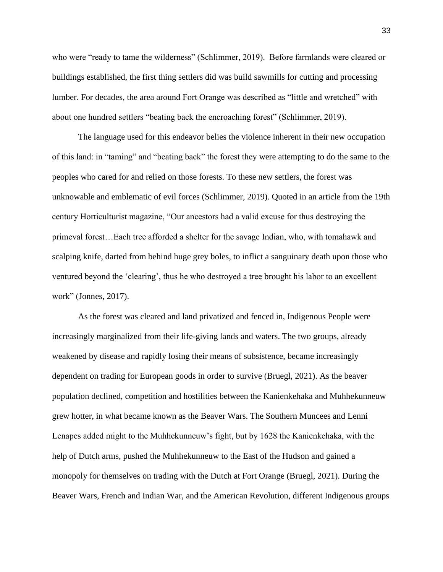who were "ready to tame the wilderness" (Schlimmer, 2019). Before farmlands were cleared or buildings established, the first thing settlers did was build sawmills for cutting and processing lumber. For decades, the area around Fort Orange was described as "little and wretched" with about one hundred settlers "beating back the encroaching forest" (Schlimmer, 2019).

The language used for this endeavor belies the violence inherent in their new occupation of this land: in "taming" and "beating back" the forest they were attempting to do the same to the peoples who cared for and relied on those forests. To these new settlers, the forest was unknowable and emblematic of evil forces (Schlimmer, 2019). Quoted in an article from the 19th century Horticulturist magazine, "Our ancestors had a valid excuse for thus destroying the primeval forest…Each tree afforded a shelter for the savage Indian, who, with tomahawk and scalping knife, darted from behind huge grey boles, to inflict a sanguinary death upon those who ventured beyond the 'clearing', thus he who destroyed a tree brought his labor to an excellent work" (Jonnes, 2017).

As the forest was cleared and land privatized and fenced in, Indigenous People were increasingly marginalized from their life-giving lands and waters. The two groups, already weakened by disease and rapidly losing their means of subsistence, became increasingly dependent on trading for European goods in order to survive (Bruegl, 2021). As the beaver population declined, competition and hostilities between the Kanienkehaka and Muhhekunneuw grew hotter, in what became known as the Beaver Wars. The Southern Muncees and Lenni Lenapes added might to the Muhhekunneuw's fight, but by 1628 the Kanienkehaka, with the help of Dutch arms, pushed the Muhhekunneuw to the East of the Hudson and gained a monopoly for themselves on trading with the Dutch at Fort Orange (Bruegl, 2021). During the Beaver Wars, French and Indian War, and the American Revolution, different Indigenous groups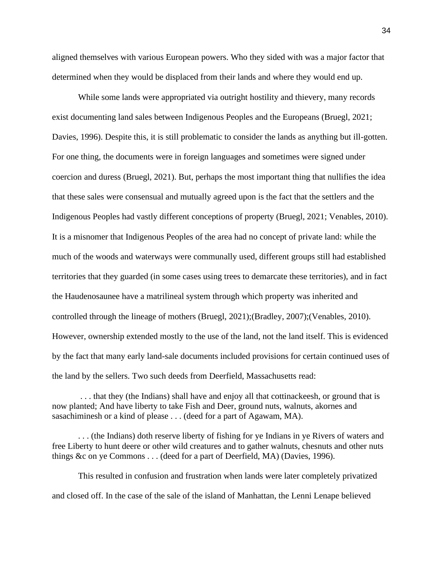aligned themselves with various European powers. Who they sided with was a major factor that determined when they would be displaced from their lands and where they would end up.

While some lands were appropriated via outright hostility and thievery, many records exist documenting land sales between Indigenous Peoples and the Europeans (Bruegl, 2021; Davies, 1996). Despite this, it is still problematic to consider the lands as anything but ill-gotten. For one thing, the documents were in foreign languages and sometimes were signed under coercion and duress (Bruegl, 2021). But, perhaps the most important thing that nullifies the idea that these sales were consensual and mutually agreed upon is the fact that the settlers and the Indigenous Peoples had vastly different conceptions of property (Bruegl, 2021; Venables, 2010). It is a misnomer that Indigenous Peoples of the area had no concept of private land: while the much of the woods and waterways were communally used, different groups still had established territories that they guarded (in some cases using trees to demarcate these territories), and in fact the Haudenosaunee have a matrilineal system through which property was inherited and controlled through the lineage of mothers (Bruegl, 2021);(Bradley, 2007);(Venables, 2010). However, ownership extended mostly to the use of the land, not the land itself. This is evidenced by the fact that many early land-sale documents included provisions for certain continued uses of the land by the sellers. Two such deeds from Deerfield, Massachusetts read:

. . . that they (the Indians) shall have and enjoy all that cottinackeesh, or ground that is now planted; And have liberty to take Fish and Deer, ground nuts, walnuts, akornes and sasachiminesh or a kind of please . . . (deed for a part of Agawam, MA).

. . . (the Indians) doth reserve liberty of fishing for ye Indians in ye Rivers of waters and free Liberty to hunt deere or other wild creatures and to gather walnuts, chesnuts and other nuts things &c on ye Commons . . . (deed for a part of Deerfield, MA) (Davies, 1996).

This resulted in confusion and frustration when lands were later completely privatized and closed off. In the case of the sale of the island of Manhattan, the Lenni Lenape believed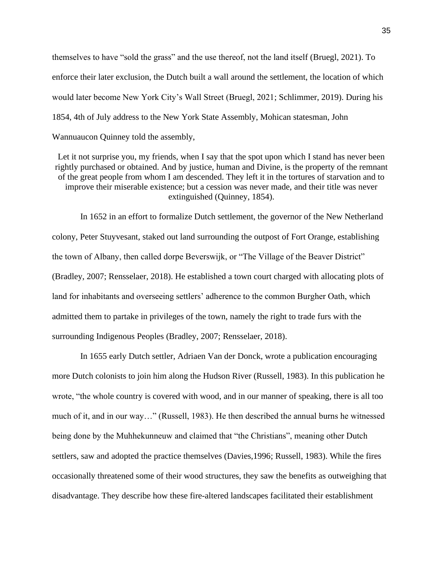themselves to have "sold the grass" and the use thereof, not the land itself (Bruegl, 2021). To enforce their later exclusion, the Dutch built a wall around the settlement, the location of which would later become New York City's Wall Street (Bruegl, 2021; Schlimmer, 2019). During his 1854, 4th of July address to the New York State Assembly, Mohican statesman, John Wannuaucon Quinney told the assembly,

Let it not surprise you, my friends, when I say that the spot upon which I stand has never been rightly purchased or obtained. And by justice, human and Divine, is the property of the remnant of the great people from whom I am descended. They left it in the tortures of starvation and to improve their miserable existence; but a cession was never made, and their title was never extinguished (Quinney, 1854).

In 1652 in an effort to formalize Dutch settlement, the governor of the New Netherland colony, Peter Stuyvesant, staked out land surrounding the outpost of Fort Orange, establishing the town of Albany, then called dorpe Beverswijk, or "The Village of the Beaver District" (Bradley, 2007; Rensselaer, 2018). He established a town court charged with allocating plots of land for inhabitants and overseeing settlers' adherence to the common Burgher Oath, which admitted them to partake in privileges of the town, namely the right to trade furs with the surrounding Indigenous Peoples (Bradley, 2007; Rensselaer, 2018).

In 1655 early Dutch settler, Adriaen Van der Donck, wrote a publication encouraging more Dutch colonists to join him along the Hudson River (Russell, 1983). In this publication he wrote, "the whole country is covered with wood, and in our manner of speaking, there is all too much of it, and in our way…" (Russell, 1983). He then described the annual burns he witnessed being done by the Muhhekunneuw and claimed that "the Christians", meaning other Dutch settlers, saw and adopted the practice themselves (Davies,1996; Russell, 1983). While the fires occasionally threatened some of their wood structures, they saw the benefits as outweighing that disadvantage. They describe how these fire-altered landscapes facilitated their establishment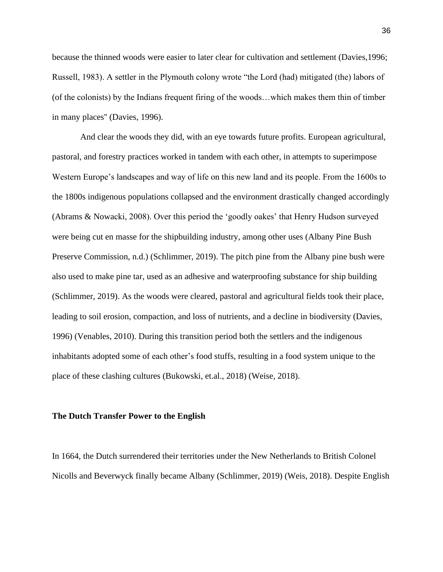because the thinned woods were easier to later clear for cultivation and settlement (Davies,1996; Russell, 1983). A settler in the Plymouth colony wrote "the Lord (had) mitigated (the) labors of (of the colonists) by the Indians frequent firing of the woods…which makes them thin of timber in many places'' (Davies, 1996).

And clear the woods they did, with an eye towards future profits. European agricultural, pastoral, and forestry practices worked in tandem with each other, in attempts to superimpose Western Europe's landscapes and way of life on this new land and its people. From the 1600s to the 1800s indigenous populations collapsed and the environment drastically changed accordingly (Abrams & Nowacki, 2008). Over this period the 'goodly oakes' that Henry Hudson surveyed were being cut en masse for the shipbuilding industry, among other uses (Albany Pine Bush Preserve Commission, n.d.) (Schlimmer, 2019). The pitch pine from the Albany pine bush were also used to make pine tar, used as an adhesive and waterproofing substance for ship building (Schlimmer, 2019). As the woods were cleared, pastoral and agricultural fields took their place, leading to soil erosion, compaction, and loss of nutrients, and a decline in biodiversity (Davies, 1996) (Venables, 2010). During this transition period both the settlers and the indigenous inhabitants adopted some of each other's food stuffs, resulting in a food system unique to the place of these clashing cultures (Bukowski, et.al., 2018) (Weise, 2018).

#### **The Dutch Transfer Power to the English**

In 1664, the Dutch surrendered their territories under the New Netherlands to British Colonel Nicolls and Beverwyck finally became Albany (Schlimmer, 2019) (Weis, 2018). Despite English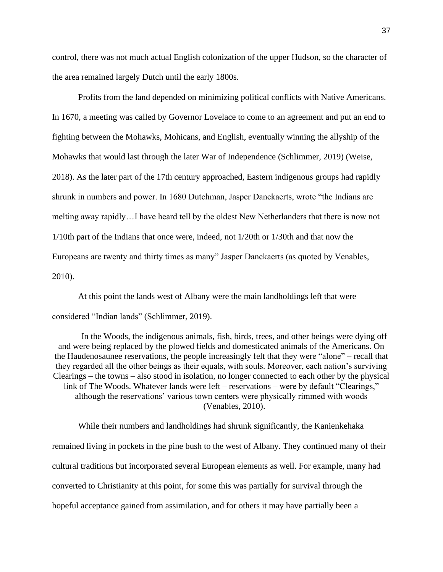control, there was not much actual English colonization of the upper Hudson, so the character of the area remained largely Dutch until the early 1800s.

Profits from the land depended on minimizing political conflicts with Native Americans. In 1670, a meeting was called by Governor Lovelace to come to an agreement and put an end to fighting between the Mohawks, Mohicans, and English, eventually winning the allyship of the Mohawks that would last through the later War of Independence (Schlimmer, 2019) (Weise, 2018). As the later part of the 17th century approached, Eastern indigenous groups had rapidly shrunk in numbers and power. In 1680 Dutchman, Jasper Danckaerts, wrote "the Indians are melting away rapidly…I have heard tell by the oldest New Netherlanders that there is now not 1/10th part of the Indians that once were, indeed, not 1/20th or 1/30th and that now the Europeans are twenty and thirty times as many" Jasper Danckaerts (as quoted by Venables, 2010).

At this point the lands west of Albany were the main landholdings left that were considered "Indian lands" (Schlimmer, 2019).

In the Woods, the indigenous animals, fish, birds, trees, and other beings were dying off and were being replaced by the plowed fields and domesticated animals of the Americans. On the Haudenosaunee reservations, the people increasingly felt that they were "alone" – recall that they regarded all the other beings as their equals, with souls. Moreover, each nation's surviving Clearings – the towns – also stood in isolation, no longer connected to each other by the physical link of The Woods. Whatever lands were left – reservations – were by default "Clearings," although the reservations' various town centers were physically rimmed with woods (Venables, 2010).

While their numbers and landholdings had shrunk significantly, the Kanienkehaka remained living in pockets in the pine bush to the west of Albany. They continued many of their cultural traditions but incorporated several European elements as well. For example, many had converted to Christianity at this point, for some this was partially for survival through the hopeful acceptance gained from assimilation, and for others it may have partially been a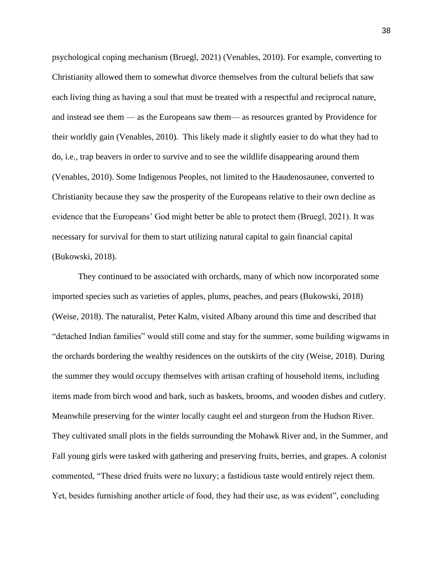psychological coping mechanism (Bruegl, 2021) (Venables, 2010). For example, converting to Christianity allowed them to somewhat divorce themselves from the cultural beliefs that saw each living thing as having a soul that must be treated with a respectful and reciprocal nature, and instead see them — as the Europeans saw them— as resources granted by Providence for their worldly gain (Venables, 2010). This likely made it slightly easier to do what they had to do, i.e., trap beavers in order to survive and to see the wildlife disappearing around them (Venables, 2010). Some Indigenous Peoples, not limited to the Haudenosaunee, converted to Christianity because they saw the prosperity of the Europeans relative to their own decline as evidence that the Europeans' God might better be able to protect them (Bruegl, 2021). It was necessary for survival for them to start utilizing natural capital to gain financial capital (Bukowski, 2018).

They continued to be associated with orchards, many of which now incorporated some imported species such as varieties of apples, plums, peaches, and pears (Bukowski, 2018) (Weise, 2018). The naturalist, Peter Kalm, visited Albany around this time and described that "detached Indian families" would still come and stay for the summer, some building wigwams in the orchards bordering the wealthy residences on the outskirts of the city (Weise, 2018). During the summer they would occupy themselves with artisan crafting of household items, including items made from birch wood and bark, such as baskets, brooms, and wooden dishes and cutlery. Meanwhile preserving for the winter locally caught eel and sturgeon from the Hudson River. They cultivated small plots in the fields surrounding the Mohawk River and, in the Summer, and Fall young girls were tasked with gathering and preserving fruits, berries, and grapes. A colonist commented, "These dried fruits were no luxury; a fastidious taste would entirely reject them. Yet, besides furnishing another article of food, they had their use, as was evident", concluding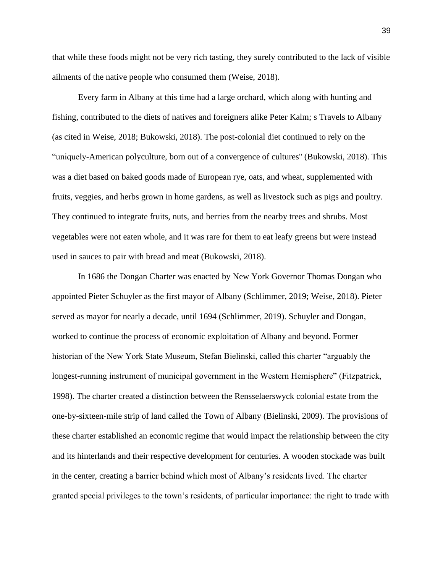that while these foods might not be very rich tasting, they surely contributed to the lack of visible ailments of the native people who consumed them (Weise, 2018).

Every farm in Albany at this time had a large orchard, which along with hunting and fishing, contributed to the diets of natives and foreigners alike Peter Kalm; s Travels to Albany (as cited in Weise, 2018; Bukowski, 2018). The post-colonial diet continued to rely on the "uniquely-American polyculture, born out of a convergence of cultures'' (Bukowski, 2018). This was a diet based on baked goods made of European rye, oats, and wheat, supplemented with fruits, veggies, and herbs grown in home gardens, as well as livestock such as pigs and poultry. They continued to integrate fruits, nuts, and berries from the nearby trees and shrubs. Most vegetables were not eaten whole, and it was rare for them to eat leafy greens but were instead used in sauces to pair with bread and meat (Bukowski, 2018).

In 1686 the Dongan Charter was enacted by New York Governor Thomas Dongan who appointed Pieter Schuyler as the first mayor of Albany (Schlimmer, 2019; Weise, 2018). Pieter served as mayor for nearly a decade, until 1694 (Schlimmer, 2019). Schuyler and Dongan, worked to continue the process of economic exploitation of Albany and beyond. Former historian of the New York State Museum, Stefan Bielinski, called this charter "arguably the longest-running instrument of municipal government in the Western Hemisphere" (Fitzpatrick, 1998). The charter created a distinction between the Rensselaerswyck colonial estate from the one-by-sixteen-mile strip of land called the Town of Albany (Bielinski, 2009). The provisions of these charter established an economic regime that would impact the relationship between the city and its hinterlands and their respective development for centuries. A wooden stockade was built in the center, creating a barrier behind which most of Albany's residents lived. The charter granted special privileges to the town's residents, of particular importance: the right to trade with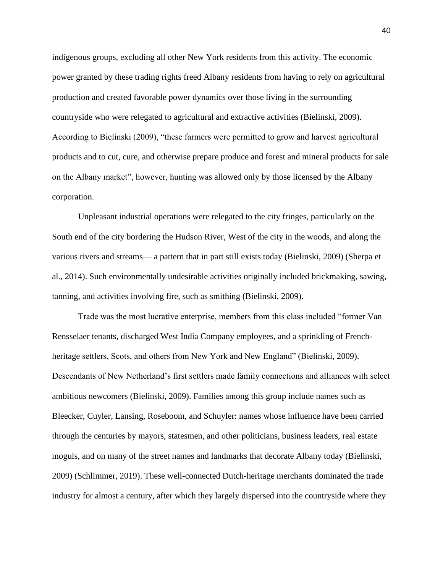indigenous groups, excluding all other New York residents from this activity. The economic power granted by these trading rights freed Albany residents from having to rely on agricultural production and created favorable power dynamics over those living in the surrounding countryside who were relegated to agricultural and extractive activities (Bielinski, 2009). According to Bielinski (2009), "these farmers were permitted to grow and harvest agricultural products and to cut, cure, and otherwise prepare produce and forest and mineral products for sale on the Albany market", however, hunting was allowed only by those licensed by the Albany corporation.

Unpleasant industrial operations were relegated to the city fringes, particularly on the South end of the city bordering the Hudson River, West of the city in the woods, and along the various rivers and streams— a pattern that in part still exists today (Bielinski, 2009) (Sherpa et al., 2014). Such environmentally undesirable activities originally included brickmaking, sawing, tanning, and activities involving fire, such as smithing (Bielinski, 2009).

Trade was the most lucrative enterprise, members from this class included "former Van Rensselaer tenants, discharged West India Company employees, and a sprinkling of Frenchheritage settlers, Scots, and others from New York and New England" (Bielinski, 2009). Descendants of New Netherland's first settlers made family connections and alliances with select ambitious newcomers (Bielinski, 2009). Families among this group include names such as Bleecker, Cuyler, Lansing, Roseboom, and Schuyler: names whose influence have been carried through the centuries by mayors, statesmen, and other politicians, business leaders, real estate moguls, and on many of the street names and landmarks that decorate Albany today (Bielinski, 2009) (Schlimmer, 2019). These well-connected Dutch-heritage merchants dominated the trade industry for almost a century, after which they largely dispersed into the countryside where they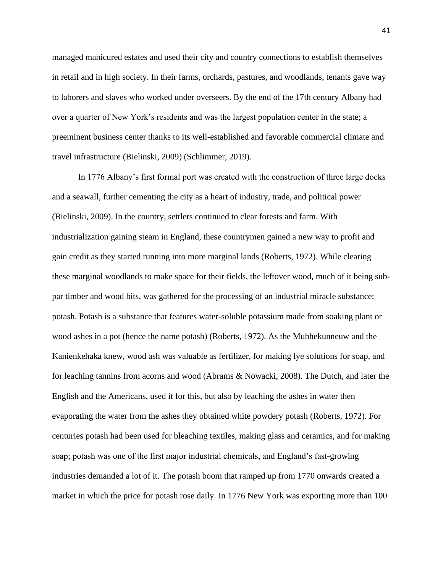managed manicured estates and used their city and country connections to establish themselves in retail and in high society. In their farms, orchards, pastures, and woodlands, tenants gave way to laborers and slaves who worked under overseers. By the end of the 17th century Albany had over a quarter of New York's residents and was the largest population center in the state; a preeminent business center thanks to its well-established and favorable commercial climate and travel infrastructure (Bielinski, 2009) (Schlimmer, 2019).

In 1776 Albany's first formal port was created with the construction of three large docks and a seawall, further cementing the city as a heart of industry, trade, and political power (Bielinski, 2009). In the country, settlers continued to clear forests and farm. With industrialization gaining steam in England, these countrymen gained a new way to profit and gain credit as they started running into more marginal lands (Roberts, 1972). While clearing these marginal woodlands to make space for their fields, the leftover wood, much of it being subpar timber and wood bits, was gathered for the processing of an industrial miracle substance: potash. Potash is a substance that features water-soluble potassium made from soaking plant or wood ashes in a pot (hence the name potash) (Roberts, 1972). As the Muhhekunneuw and the Kanienkehaka knew, wood ash was valuable as fertilizer, for making lye solutions for soap, and for leaching tannins from acorns and wood (Abrams & Nowacki, 2008). The Dutch, and later the English and the Americans, used it for this, but also by leaching the ashes in water then evaporating the water from the ashes they obtained white powdery potash (Roberts, 1972). For centuries potash had been used for bleaching textiles, making glass and ceramics, and for making soap; potash was one of the first major industrial chemicals, and England's fast-growing industries demanded a lot of it. The potash boom that ramped up from 1770 onwards created a market in which the price for potash rose daily. In 1776 New York was exporting more than 100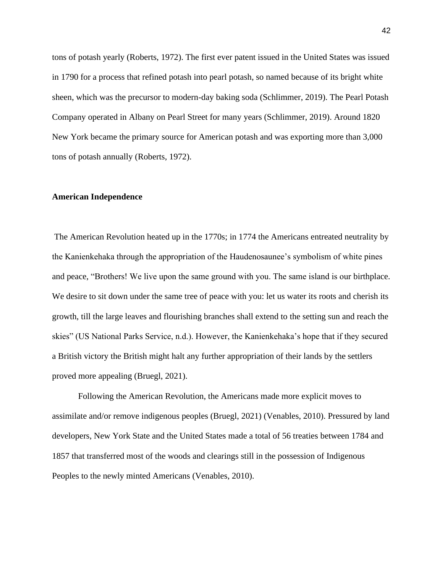tons of potash yearly (Roberts, 1972). The first ever patent issued in the United States was issued in 1790 for a process that refined potash into pearl potash, so named because of its bright white sheen, which was the precursor to modern-day baking soda (Schlimmer, 2019). The Pearl Potash Company operated in Albany on Pearl Street for many years (Schlimmer, 2019). Around 1820 New York became the primary source for American potash and was exporting more than 3,000 tons of potash annually (Roberts, 1972).

### **American Independence**

The American Revolution heated up in the 1770s; in 1774 the Americans entreated neutrality by the Kanienkehaka through the appropriation of the Haudenosaunee's symbolism of white pines and peace, "Brothers! We live upon the same ground with you. The same island is our birthplace. We desire to sit down under the same tree of peace with you: let us water its roots and cherish its growth, till the large leaves and flourishing branches shall extend to the setting sun and reach the skies" (US National Parks Service, n.d.). However, the Kanienkehaka's hope that if they secured a British victory the British might halt any further appropriation of their lands by the settlers proved more appealing (Bruegl, 2021).

Following the American Revolution, the Americans made more explicit moves to assimilate and/or remove indigenous peoples (Bruegl, 2021) (Venables, 2010). Pressured by land developers, New York State and the United States made a total of 56 treaties between 1784 and 1857 that transferred most of the woods and clearings still in the possession of Indigenous Peoples to the newly minted Americans (Venables, 2010).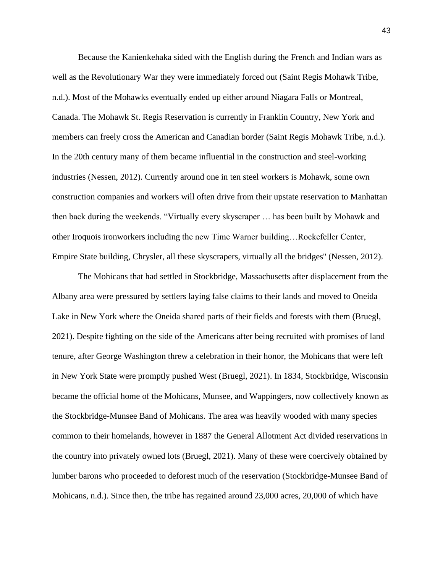Because the Kanienkehaka sided with the English during the French and Indian wars as well as the Revolutionary War they were immediately forced out (Saint Regis Mohawk Tribe, n.d.). Most of the Mohawks eventually ended up either around Niagara Falls or Montreal, Canada. The Mohawk St. Regis Reservation is currently in Franklin Country, New York and members can freely cross the American and Canadian border (Saint Regis Mohawk Tribe, n.d.). In the 20th century many of them became influential in the construction and steel-working industries (Nessen, 2012). Currently around one in ten steel workers is Mohawk, some own construction companies and workers will often drive from their upstate reservation to Manhattan then back during the weekends. "Virtually every skyscraper … has been built by Mohawk and other Iroquois ironworkers including the new Time Warner building…Rockefeller Center, Empire State building, Chrysler, all these skyscrapers, virtually all the bridges'' (Nessen, 2012).

The Mohicans that had settled in Stockbridge, Massachusetts after displacement from the Albany area were pressured by settlers laying false claims to their lands and moved to Oneida Lake in New York where the Oneida shared parts of their fields and forests with them (Bruegl, 2021). Despite fighting on the side of the Americans after being recruited with promises of land tenure, after George Washington threw a celebration in their honor, the Mohicans that were left in New York State were promptly pushed West (Bruegl, 2021). In 1834, Stockbridge, Wisconsin became the official home of the Mohicans, Munsee, and Wappingers, now collectively known as the Stockbridge-Munsee Band of Mohicans. The area was heavily wooded with many species common to their homelands, however in 1887 the General Allotment Act divided reservations in the country into privately owned lots (Bruegl, 2021). Many of these were coercively obtained by lumber barons who proceeded to deforest much of the reservation (Stockbridge-Munsee Band of Mohicans, n.d.). Since then, the tribe has regained around 23,000 acres, 20,000 of which have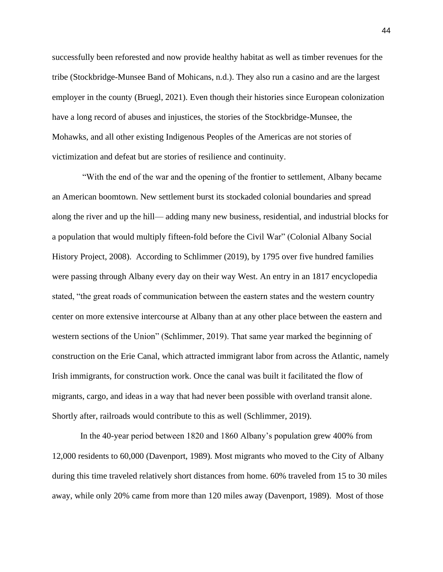successfully been reforested and now provide healthy habitat as well as timber revenues for the tribe (Stockbridge-Munsee Band of Mohicans, n.d.). They also run a casino and are the largest employer in the county (Bruegl, 2021). Even though their histories since European colonization have a long record of abuses and injustices, the stories of the Stockbridge-Munsee, the Mohawks, and all other existing Indigenous Peoples of the Americas are not stories of victimization and defeat but are stories of resilience and continuity.

 "With the end of the war and the opening of the frontier to settlement, Albany became an American boomtown. New settlement burst its stockaded colonial boundaries and spread along the river and up the hill— adding many new business, residential, and industrial blocks for a population that would multiply fifteen-fold before the Civil War" (Colonial Albany Social History Project, 2008). According to Schlimmer (2019), by 1795 over five hundred families were passing through Albany every day on their way West. An entry in an 1817 encyclopedia stated, "the great roads of communication between the eastern states and the western country center on more extensive intercourse at Albany than at any other place between the eastern and western sections of the Union" (Schlimmer, 2019). That same year marked the beginning of construction on the Erie Canal, which attracted immigrant labor from across the Atlantic, namely Irish immigrants, for construction work. Once the canal was built it facilitated the flow of migrants, cargo, and ideas in a way that had never been possible with overland transit alone. Shortly after, railroads would contribute to this as well (Schlimmer, 2019).

In the 40-year period between 1820 and 1860 Albany's population grew 400% from 12,000 residents to 60,000 (Davenport, 1989). Most migrants who moved to the City of Albany during this time traveled relatively short distances from home. 60% traveled from 15 to 30 miles away, while only 20% came from more than 120 miles away (Davenport, 1989). Most of those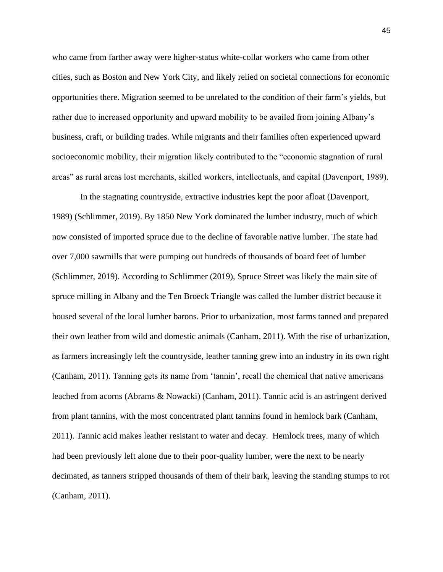who came from farther away were higher-status white-collar workers who came from other cities, such as Boston and New York City, and likely relied on societal connections for economic opportunities there. Migration seemed to be unrelated to the condition of their farm's yields, but rather due to increased opportunity and upward mobility to be availed from joining Albany's business, craft, or building trades. While migrants and their families often experienced upward socioeconomic mobility, their migration likely contributed to the "economic stagnation of rural areas" as rural areas lost merchants, skilled workers, intellectuals, and capital (Davenport, 1989).

In the stagnating countryside, extractive industries kept the poor afloat (Davenport, 1989) (Schlimmer, 2019). By 1850 New York dominated the lumber industry, much of which now consisted of imported spruce due to the decline of favorable native lumber. The state had over 7,000 sawmills that were pumping out hundreds of thousands of board feet of lumber (Schlimmer, 2019). According to Schlimmer (2019), Spruce Street was likely the main site of spruce milling in Albany and the Ten Broeck Triangle was called the lumber district because it housed several of the local lumber barons. Prior to urbanization, most farms tanned and prepared their own leather from wild and domestic animals (Canham, 2011). With the rise of urbanization, as farmers increasingly left the countryside, leather tanning grew into an industry in its own right (Canham, 2011). Tanning gets its name from 'tannin', recall the chemical that native americans leached from acorns (Abrams & Nowacki) (Canham, 2011). Tannic acid is an astringent derived from plant tannins, with the most concentrated plant tannins found in hemlock bark (Canham, 2011). Tannic acid makes leather resistant to water and decay. Hemlock trees, many of which had been previously left alone due to their poor-quality lumber, were the next to be nearly decimated, as tanners stripped thousands of them of their bark, leaving the standing stumps to rot (Canham, 2011).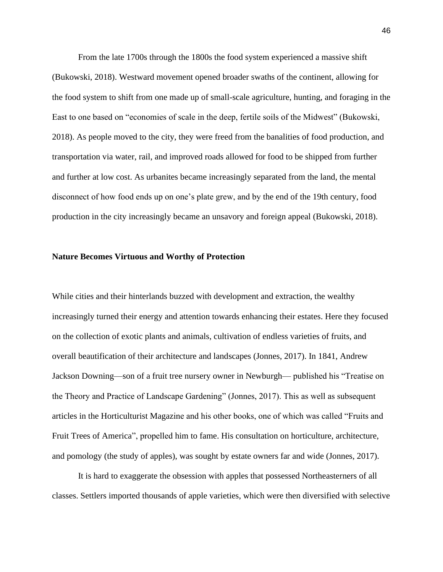From the late 1700s through the 1800s the food system experienced a massive shift (Bukowski, 2018). Westward movement opened broader swaths of the continent, allowing for the food system to shift from one made up of small-scale agriculture, hunting, and foraging in the East to one based on "economies of scale in the deep, fertile soils of the Midwest" (Bukowski, 2018). As people moved to the city, they were freed from the banalities of food production, and transportation via water, rail, and improved roads allowed for food to be shipped from further and further at low cost. As urbanites became increasingly separated from the land, the mental disconnect of how food ends up on one's plate grew, and by the end of the 19th century, food production in the city increasingly became an unsavory and foreign appeal (Bukowski, 2018).

## **Nature Becomes Virtuous and Worthy of Protection**

While cities and their hinterlands buzzed with development and extraction, the wealthy increasingly turned their energy and attention towards enhancing their estates. Here they focused on the collection of exotic plants and animals, cultivation of endless varieties of fruits, and overall beautification of their architecture and landscapes (Jonnes, 2017). In 1841, Andrew Jackson Downing—son of a fruit tree nursery owner in Newburgh— published his "Treatise on the Theory and Practice of Landscape Gardening" (Jonnes, 2017). This as well as subsequent articles in the Horticulturist Magazine and his other books, one of which was called "Fruits and Fruit Trees of America", propelled him to fame. His consultation on horticulture, architecture, and pomology (the study of apples), was sought by estate owners far and wide (Jonnes, 2017).

It is hard to exaggerate the obsession with apples that possessed Northeasterners of all classes. Settlers imported thousands of apple varieties, which were then diversified with selective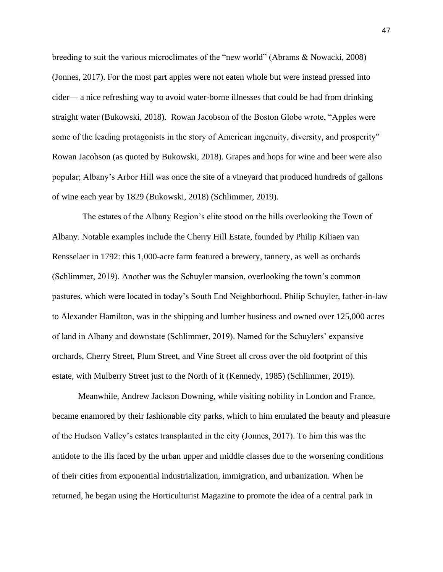breeding to suit the various microclimates of the "new world" (Abrams & Nowacki, 2008) (Jonnes, 2017). For the most part apples were not eaten whole but were instead pressed into cider— a nice refreshing way to avoid water-borne illnesses that could be had from drinking straight water (Bukowski, 2018). Rowan Jacobson of the Boston Globe wrote, "Apples were some of the leading protagonists in the story of American ingenuity, diversity, and prosperity" Rowan Jacobson (as quoted by Bukowski, 2018). Grapes and hops for wine and beer were also popular; Albany's Arbor Hill was once the site of a vineyard that produced hundreds of gallons of wine each year by 1829 (Bukowski, 2018) (Schlimmer, 2019).

 The estates of the Albany Region's elite stood on the hills overlooking the Town of Albany. Notable examples include the Cherry Hill Estate, founded by Philip Kiliaen van Rensselaer in 1792: this 1,000-acre farm featured a brewery, tannery, as well as orchards (Schlimmer, 2019). Another was the Schuyler mansion, overlooking the town's common pastures, which were located in today's South End Neighborhood. Philip Schuyler, father-in-law to Alexander Hamilton, was in the shipping and lumber business and owned over 125,000 acres of land in Albany and downstate (Schlimmer, 2019). Named for the Schuylers' expansive orchards, Cherry Street, Plum Street, and Vine Street all cross over the old footprint of this estate, with Mulberry Street just to the North of it (Kennedy, 1985) (Schlimmer, 2019).

Meanwhile, Andrew Jackson Downing, while visiting nobility in London and France, became enamored by their fashionable city parks, which to him emulated the beauty and pleasure of the Hudson Valley's estates transplanted in the city (Jonnes, 2017). To him this was the antidote to the ills faced by the urban upper and middle classes due to the worsening conditions of their cities from exponential industrialization, immigration, and urbanization. When he returned, he began using the Horticulturist Magazine to promote the idea of a central park in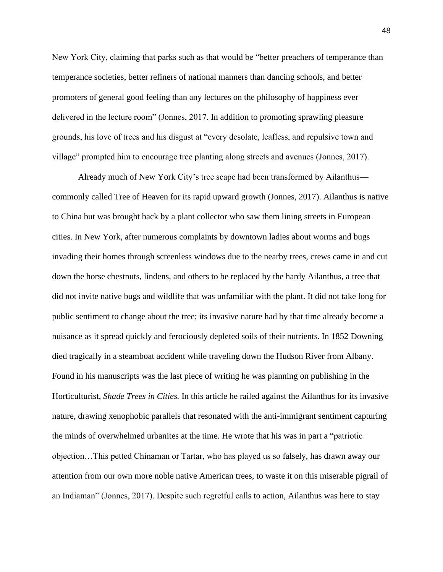New York City, claiming that parks such as that would be "better preachers of temperance than temperance societies, better refiners of national manners than dancing schools, and better promoters of general good feeling than any lectures on the philosophy of happiness ever delivered in the lecture room" (Jonnes, 2017. In addition to promoting sprawling pleasure grounds, his love of trees and his disgust at "every desolate, leafless, and repulsive town and village" prompted him to encourage tree planting along streets and avenues (Jonnes, 2017).

Already much of New York City's tree scape had been transformed by Ailanthus commonly called Tree of Heaven for its rapid upward growth (Jonnes, 2017). Ailanthus is native to China but was brought back by a plant collector who saw them lining streets in European cities. In New York, after numerous complaints by downtown ladies about worms and bugs invading their homes through screenless windows due to the nearby trees, crews came in and cut down the horse chestnuts, lindens, and others to be replaced by the hardy Ailanthus, a tree that did not invite native bugs and wildlife that was unfamiliar with the plant. It did not take long for public sentiment to change about the tree; its invasive nature had by that time already become a nuisance as it spread quickly and ferociously depleted soils of their nutrients. In 1852 Downing died tragically in a steamboat accident while traveling down the Hudson River from Albany. Found in his manuscripts was the last piece of writing he was planning on publishing in the Horticulturist, *Shade Trees in Cities.* In this article he railed against the Ailanthus for its invasive nature, drawing xenophobic parallels that resonated with the anti-immigrant sentiment capturing the minds of overwhelmed urbanites at the time. He wrote that his was in part a "patriotic objection…This petted Chinaman or Tartar, who has played us so falsely, has drawn away our attention from our own more noble native American trees, to waste it on this miserable pigrail of an Indiaman" (Jonnes, 2017). Despite such regretful calls to action, Ailanthus was here to stay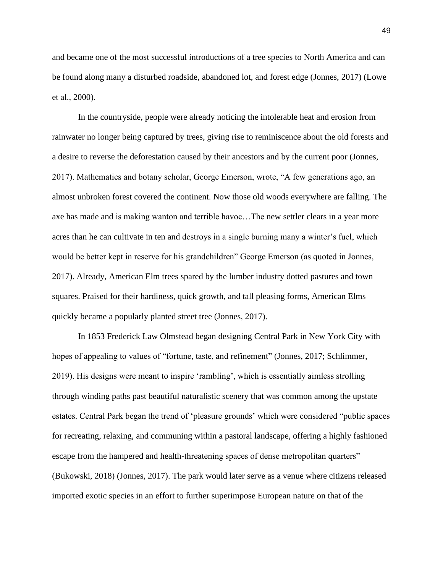and became one of the most successful introductions of a tree species to North America and can be found along many a disturbed roadside, abandoned lot, and forest edge (Jonnes, 2017) (Lowe et al., 2000).

In the countryside, people were already noticing the intolerable heat and erosion from rainwater no longer being captured by trees, giving rise to reminiscence about the old forests and a desire to reverse the deforestation caused by their ancestors and by the current poor (Jonnes, 2017). Mathematics and botany scholar, George Emerson, wrote, "A few generations ago, an almost unbroken forest covered the continent. Now those old woods everywhere are falling. The axe has made and is making wanton and terrible havoc…The new settler clears in a year more acres than he can cultivate in ten and destroys in a single burning many a winter's fuel, which would be better kept in reserve for his grandchildren" George Emerson (as quoted in Jonnes, 2017). Already, American Elm trees spared by the lumber industry dotted pastures and town squares. Praised for their hardiness, quick growth, and tall pleasing forms, American Elms quickly became a popularly planted street tree (Jonnes, 2017).

In 1853 Frederick Law Olmstead began designing Central Park in New York City with hopes of appealing to values of "fortune, taste, and refinement" (Jonnes, 2017; Schlimmer, 2019). His designs were meant to inspire 'rambling', which is essentially aimless strolling through winding paths past beautiful naturalistic scenery that was common among the upstate estates. Central Park began the trend of 'pleasure grounds' which were considered "public spaces for recreating, relaxing, and communing within a pastoral landscape, offering a highly fashioned escape from the hampered and health-threatening spaces of dense metropolitan quarters" (Bukowski, 2018) (Jonnes, 2017). The park would later serve as a venue where citizens released imported exotic species in an effort to further superimpose European nature on that of the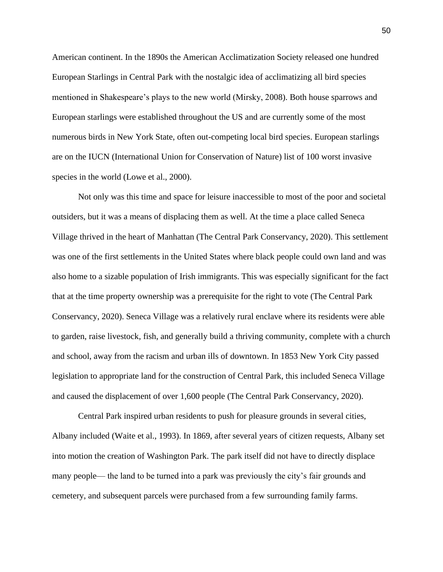American continent. In the 1890s the American Acclimatization Society released one hundred European Starlings in Central Park with the nostalgic idea of acclimatizing all bird species mentioned in Shakespeare's plays to the new world (Mirsky, 2008). Both house sparrows and European starlings were established throughout the US and are currently some of the most numerous birds in New York State, often out-competing local bird species. European starlings are on the IUCN (International Union for Conservation of Nature) list of 100 worst invasive species in the world (Lowe et al., 2000).

Not only was this time and space for leisure inaccessible to most of the poor and societal outsiders, but it was a means of displacing them as well. At the time a place called Seneca Village thrived in the heart of Manhattan (The Central Park Conservancy, 2020). This settlement was one of the first settlements in the United States where black people could own land and was also home to a sizable population of Irish immigrants. This was especially significant for the fact that at the time property ownership was a prerequisite for the right to vote (The Central Park Conservancy, 2020). Seneca Village was a relatively rural enclave where its residents were able to garden, raise livestock, fish, and generally build a thriving community, complete with a church and school, away from the racism and urban ills of downtown. In 1853 New York City passed legislation to appropriate land for the construction of Central Park, this included Seneca Village and caused the displacement of over 1,600 people (The Central Park Conservancy, 2020).

Central Park inspired urban residents to push for pleasure grounds in several cities, Albany included (Waite et al., 1993). In 1869, after several years of citizen requests, Albany set into motion the creation of Washington Park. The park itself did not have to directly displace many people— the land to be turned into a park was previously the city's fair grounds and cemetery, and subsequent parcels were purchased from a few surrounding family farms.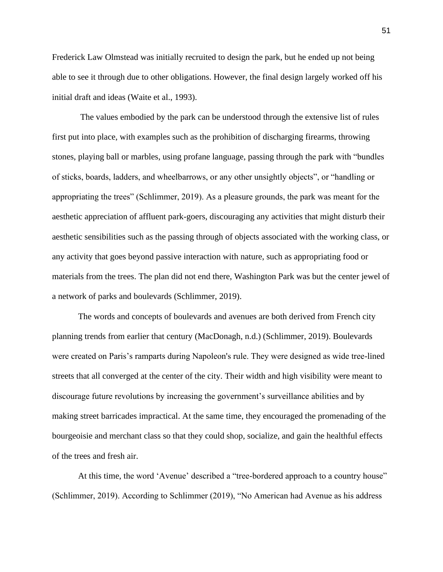Frederick Law Olmstead was initially recruited to design the park, but he ended up not being able to see it through due to other obligations. However, the final design largely worked off his initial draft and ideas (Waite et al., 1993).

The values embodied by the park can be understood through the extensive list of rules first put into place, with examples such as the prohibition of discharging firearms, throwing stones, playing ball or marbles, using profane language, passing through the park with "bundles of sticks, boards, ladders, and wheelbarrows, or any other unsightly objects", or "handling or appropriating the trees" (Schlimmer, 2019). As a pleasure grounds, the park was meant for the aesthetic appreciation of affluent park-goers, discouraging any activities that might disturb their aesthetic sensibilities such as the passing through of objects associated with the working class, or any activity that goes beyond passive interaction with nature, such as appropriating food or materials from the trees. The plan did not end there, Washington Park was but the center jewel of a network of parks and boulevards (Schlimmer, 2019).

The words and concepts of boulevards and avenues are both derived from French city planning trends from earlier that century (MacDonagh, n.d.) (Schlimmer, 2019). Boulevards were created on Paris's ramparts during Napoleon's rule. They were designed as wide tree-lined streets that all converged at the center of the city. Their width and high visibility were meant to discourage future revolutions by increasing the government's surveillance abilities and by making street barricades impractical. At the same time, they encouraged the promenading of the bourgeoisie and merchant class so that they could shop, socialize, and gain the healthful effects of the trees and fresh air.

At this time, the word 'Avenue' described a "tree-bordered approach to a country house" (Schlimmer, 2019). According to Schlimmer (2019), "No American had Avenue as his address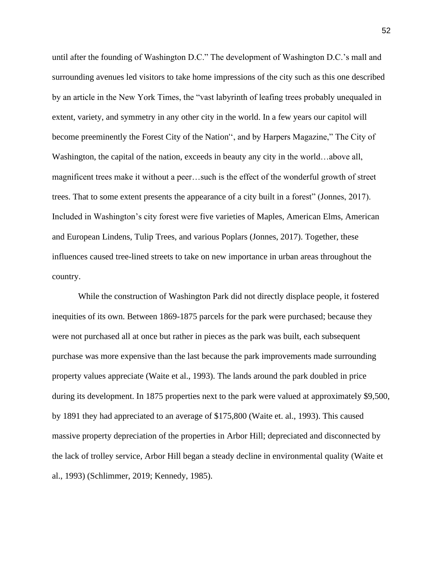until after the founding of Washington D.C." The development of Washington D.C.'s mall and surrounding avenues led visitors to take home impressions of the city such as this one described by an article in the New York Times, the "vast labyrinth of leafing trees probably unequaled in extent, variety, and symmetry in any other city in the world. In a few years our capitol will become preeminently the Forest City of the Nation'', and by Harpers Magazine," The City of Washington, the capital of the nation, exceeds in beauty any city in the world…above all, magnificent trees make it without a peer…such is the effect of the wonderful growth of street trees. That to some extent presents the appearance of a city built in a forest" (Jonnes, 2017). Included in Washington's city forest were five varieties of Maples, American Elms, American and European Lindens, Tulip Trees, and various Poplars (Jonnes, 2017). Together, these influences caused tree-lined streets to take on new importance in urban areas throughout the country.

While the construction of Washington Park did not directly displace people, it fostered inequities of its own. Between 1869-1875 parcels for the park were purchased; because they were not purchased all at once but rather in pieces as the park was built, each subsequent purchase was more expensive than the last because the park improvements made surrounding property values appreciate (Waite et al., 1993). The lands around the park doubled in price during its development. In 1875 properties next to the park were valued at approximately \$9,500, by 1891 they had appreciated to an average of \$175,800 (Waite et. al., 1993). This caused massive property depreciation of the properties in Arbor Hill; depreciated and disconnected by the lack of trolley service, Arbor Hill began a steady decline in environmental quality (Waite et al., 1993) (Schlimmer, 2019; Kennedy, 1985).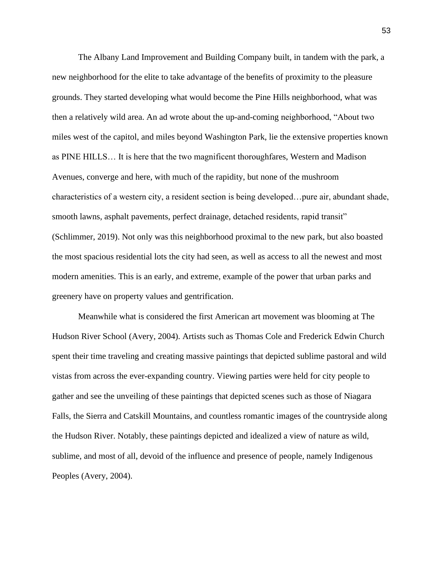The Albany Land Improvement and Building Company built, in tandem with the park, a new neighborhood for the elite to take advantage of the benefits of proximity to the pleasure grounds. They started developing what would become the Pine Hills neighborhood, what was then a relatively wild area. An ad wrote about the up-and-coming neighborhood, "About two miles west of the capitol, and miles beyond Washington Park, lie the extensive properties known as PINE HILLS… It is here that the two magnificent thoroughfares, Western and Madison Avenues, converge and here, with much of the rapidity, but none of the mushroom characteristics of a western city, a resident section is being developed…pure air, abundant shade, smooth lawns, asphalt pavements, perfect drainage, detached residents, rapid transit" (Schlimmer, 2019). Not only was this neighborhood proximal to the new park, but also boasted the most spacious residential lots the city had seen, as well as access to all the newest and most modern amenities. This is an early, and extreme, example of the power that urban parks and greenery have on property values and gentrification.

Meanwhile what is considered the first American art movement was blooming at The Hudson River School (Avery, 2004). Artists such as Thomas Cole and Frederick Edwin Church spent their time traveling and creating massive paintings that depicted sublime pastoral and wild vistas from across the ever-expanding country. Viewing parties were held for city people to gather and see the unveiling of these paintings that depicted scenes such as those of Niagara Falls, the Sierra and Catskill Mountains, and countless romantic images of the countryside along the Hudson River. Notably, these paintings depicted and idealized a view of nature as wild, sublime, and most of all, devoid of the influence and presence of people, namely Indigenous Peoples (Avery, 2004).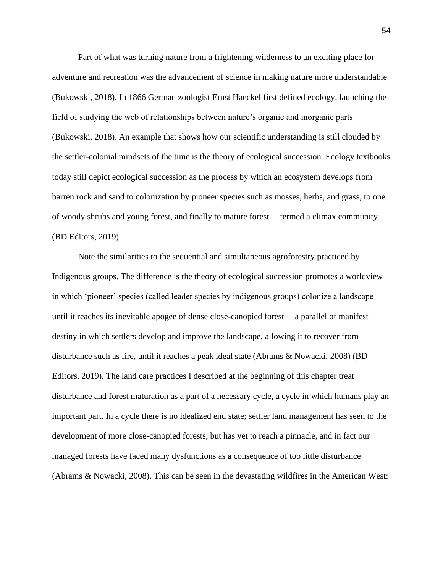Part of what was turning nature from a frightening wilderness to an exciting place for adventure and recreation was the advancement of science in making nature more understandable (Bukowski, 2018). In 1866 German zoologist Ernst Haeckel first defined ecology, launching the field of studying the web of relationships between nature's organic and inorganic parts (Bukowski, 2018). An example that shows how our scientific understanding is still clouded by the settler-colonial mindsets of the time is the theory of ecological succession. Ecology textbooks today still depict ecological succession as the process by which an ecosystem develops from barren rock and sand to colonization by pioneer species such as mosses, herbs, and grass, to one of woody shrubs and young forest, and finally to mature forest— termed a climax community (BD Editors, 2019).

Note the similarities to the sequential and simultaneous agroforestry practiced by Indigenous groups. The difference is the theory of ecological succession promotes a worldview in which 'pioneer' species (called leader species by indigenous groups) colonize a landscape until it reaches its inevitable apogee of dense close-canopied forest— a parallel of manifest destiny in which settlers develop and improve the landscape, allowing it to recover from disturbance such as fire, until it reaches a peak ideal state (Abrams & Nowacki, 2008) (BD Editors, 2019). The land care practices I described at the beginning of this chapter treat disturbance and forest maturation as a part of a necessary cycle, a cycle in which humans play an important part. In a cycle there is no idealized end state; settler land management has seen to the development of more close-canopied forests, but has yet to reach a pinnacle, and in fact our managed forests have faced many dysfunctions as a consequence of too little disturbance (Abrams & Nowacki, 2008). This can be seen in the devastating wildfires in the American West: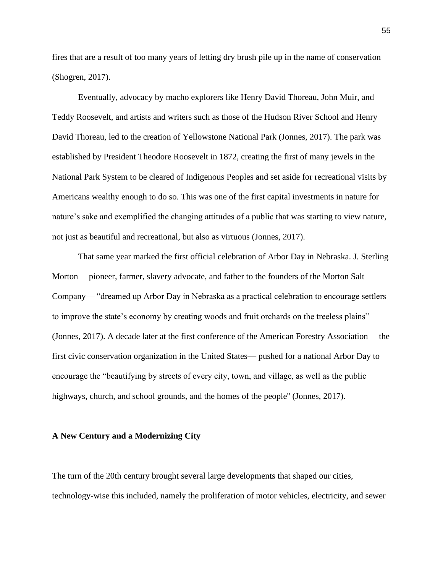fires that are a result of too many years of letting dry brush pile up in the name of conservation (Shogren, 2017).

Eventually, advocacy by macho explorers like Henry David Thoreau, John Muir, and Teddy Roosevelt, and artists and writers such as those of the Hudson River School and Henry David Thoreau, led to the creation of Yellowstone National Park (Jonnes, 2017). The park was established by President Theodore Roosevelt in 1872, creating the first of many jewels in the National Park System to be cleared of Indigenous Peoples and set aside for recreational visits by Americans wealthy enough to do so. This was one of the first capital investments in nature for nature's sake and exemplified the changing attitudes of a public that was starting to view nature, not just as beautiful and recreational, but also as virtuous (Jonnes, 2017).

That same year marked the first official celebration of Arbor Day in Nebraska. J. Sterling Morton— pioneer, farmer, slavery advocate, and father to the founders of the Morton Salt Company— "dreamed up Arbor Day in Nebraska as a practical celebration to encourage settlers to improve the state's economy by creating woods and fruit orchards on the treeless plains" (Jonnes, 2017). A decade later at the first conference of the American Forestry Association— the first civic conservation organization in the United States— pushed for a national Arbor Day to encourage the "beautifying by streets of every city, town, and village, as well as the public highways, church, and school grounds, and the homes of the people'' (Jonnes, 2017).

### **A New Century and a Modernizing City**

The turn of the 20th century brought several large developments that shaped our cities, technology-wise this included, namely the proliferation of motor vehicles, electricity, and sewer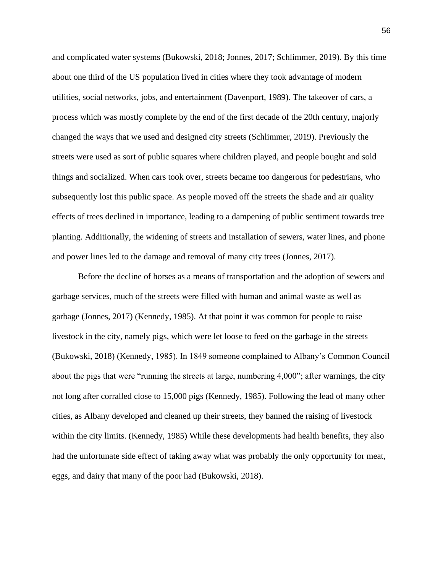and complicated water systems (Bukowski, 2018; Jonnes, 2017; Schlimmer, 2019). By this time about one third of the US population lived in cities where they took advantage of modern utilities, social networks, jobs, and entertainment (Davenport, 1989). The takeover of cars, a process which was mostly complete by the end of the first decade of the 20th century, majorly changed the ways that we used and designed city streets (Schlimmer, 2019). Previously the streets were used as sort of public squares where children played, and people bought and sold things and socialized. When cars took over, streets became too dangerous for pedestrians, who subsequently lost this public space. As people moved off the streets the shade and air quality effects of trees declined in importance, leading to a dampening of public sentiment towards tree planting. Additionally, the widening of streets and installation of sewers, water lines, and phone and power lines led to the damage and removal of many city trees (Jonnes, 2017).

Before the decline of horses as a means of transportation and the adoption of sewers and garbage services, much of the streets were filled with human and animal waste as well as garbage (Jonnes, 2017) (Kennedy, 1985). At that point it was common for people to raise livestock in the city, namely pigs, which were let loose to feed on the garbage in the streets (Bukowski, 2018) (Kennedy, 1985). In 1849 someone complained to Albany's Common Council about the pigs that were "running the streets at large, numbering 4,000"; after warnings, the city not long after corralled close to 15,000 pigs (Kennedy, 1985). Following the lead of many other cities, as Albany developed and cleaned up their streets, they banned the raising of livestock within the city limits. (Kennedy, 1985) While these developments had health benefits, they also had the unfortunate side effect of taking away what was probably the only opportunity for meat, eggs, and dairy that many of the poor had (Bukowski, 2018).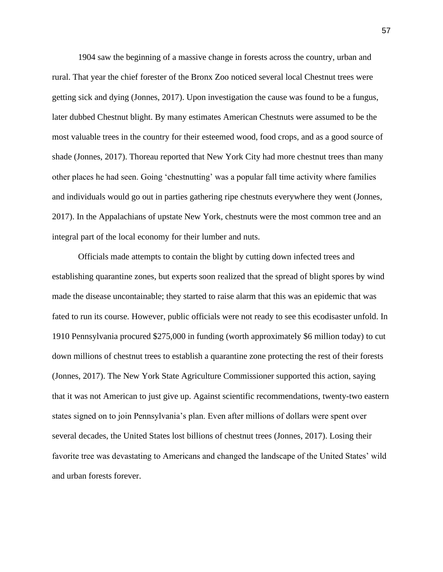1904 saw the beginning of a massive change in forests across the country, urban and rural. That year the chief forester of the Bronx Zoo noticed several local Chestnut trees were getting sick and dying (Jonnes, 2017). Upon investigation the cause was found to be a fungus, later dubbed Chestnut blight. By many estimates American Chestnuts were assumed to be the most valuable trees in the country for their esteemed wood, food crops, and as a good source of shade (Jonnes, 2017). Thoreau reported that New York City had more chestnut trees than many other places he had seen. Going 'chestnutting' was a popular fall time activity where families and individuals would go out in parties gathering ripe chestnuts everywhere they went (Jonnes, 2017). In the Appalachians of upstate New York, chestnuts were the most common tree and an integral part of the local economy for their lumber and nuts.

Officials made attempts to contain the blight by cutting down infected trees and establishing quarantine zones, but experts soon realized that the spread of blight spores by wind made the disease uncontainable; they started to raise alarm that this was an epidemic that was fated to run its course. However, public officials were not ready to see this ecodisaster unfold. In 1910 Pennsylvania procured \$275,000 in funding (worth approximately \$6 million today) to cut down millions of chestnut trees to establish a quarantine zone protecting the rest of their forests (Jonnes, 2017). The New York State Agriculture Commissioner supported this action, saying that it was not American to just give up. Against scientific recommendations, twenty-two eastern states signed on to join Pennsylvania's plan. Even after millions of dollars were spent over several decades, the United States lost billions of chestnut trees (Jonnes, 2017). Losing their favorite tree was devastating to Americans and changed the landscape of the United States' wild and urban forests forever.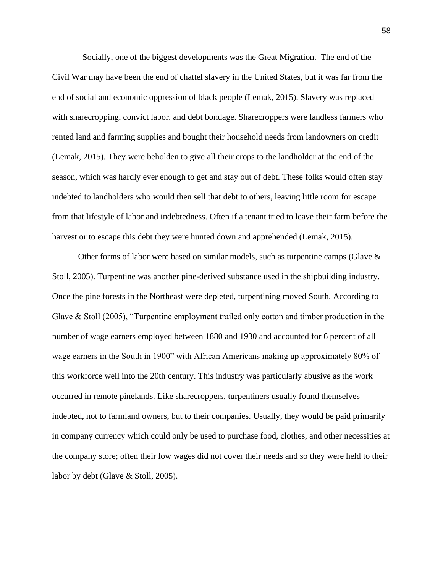Socially, one of the biggest developments was the Great Migration. The end of the Civil War may have been the end of chattel slavery in the United States, but it was far from the end of social and economic oppression of black people (Lemak, 2015). Slavery was replaced with sharecropping, convict labor, and debt bondage. Sharecroppers were landless farmers who rented land and farming supplies and bought their household needs from landowners on credit (Lemak, 2015). They were beholden to give all their crops to the landholder at the end of the season, which was hardly ever enough to get and stay out of debt. These folks would often stay indebted to landholders who would then sell that debt to others, leaving little room for escape from that lifestyle of labor and indebtedness. Often if a tenant tried to leave their farm before the harvest or to escape this debt they were hunted down and apprehended (Lemak, 2015).

Other forms of labor were based on similar models, such as turpentine camps (Glave  $\&$ Stoll, 2005). Turpentine was another pine-derived substance used in the shipbuilding industry. Once the pine forests in the Northeast were depleted, turpentining moved South. According to Glave & Stoll (2005), "Turpentine employment trailed only cotton and timber production in the number of wage earners employed between 1880 and 1930 and accounted for 6 percent of all wage earners in the South in 1900" with African Americans making up approximately 80% of this workforce well into the 20th century. This industry was particularly abusive as the work occurred in remote pinelands. Like sharecroppers, turpentiners usually found themselves indebted, not to farmland owners, but to their companies. Usually, they would be paid primarily in company currency which could only be used to purchase food, clothes, and other necessities at the company store; often their low wages did not cover their needs and so they were held to their labor by debt (Glave & Stoll, 2005).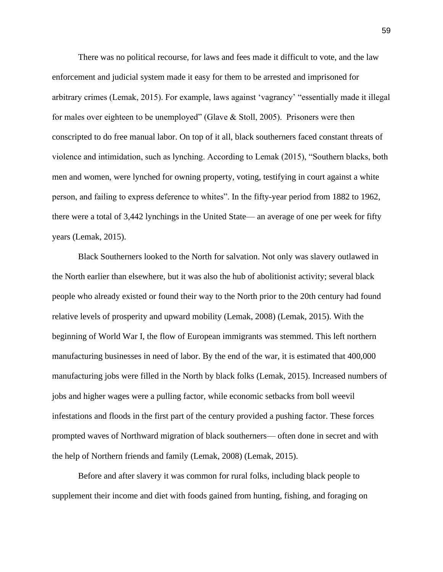There was no political recourse, for laws and fees made it difficult to vote, and the law enforcement and judicial system made it easy for them to be arrested and imprisoned for arbitrary crimes (Lemak, 2015). For example, laws against 'vagrancy' "essentially made it illegal for males over eighteen to be unemployed" (Glave & Stoll, 2005). Prisoners were then conscripted to do free manual labor. On top of it all, black southerners faced constant threats of violence and intimidation, such as lynching. According to Lemak (2015), "Southern blacks, both men and women, were lynched for owning property, voting, testifying in court against a white person, and failing to express deference to whites". In the fifty-year period from 1882 to 1962, there were a total of 3,442 lynchings in the United State— an average of one per week for fifty years (Lemak, 2015).

Black Southerners looked to the North for salvation. Not only was slavery outlawed in the North earlier than elsewhere, but it was also the hub of abolitionist activity; several black people who already existed or found their way to the North prior to the 20th century had found relative levels of prosperity and upward mobility (Lemak, 2008) (Lemak, 2015). With the beginning of World War I, the flow of European immigrants was stemmed. This left northern manufacturing businesses in need of labor. By the end of the war, it is estimated that 400,000 manufacturing jobs were filled in the North by black folks (Lemak, 2015). Increased numbers of jobs and higher wages were a pulling factor, while economic setbacks from boll weevil infestations and floods in the first part of the century provided a pushing factor. These forces prompted waves of Northward migration of black southerners— often done in secret and with the help of Northern friends and family (Lemak, 2008) (Lemak, 2015).

Before and after slavery it was common for rural folks, including black people to supplement their income and diet with foods gained from hunting, fishing, and foraging on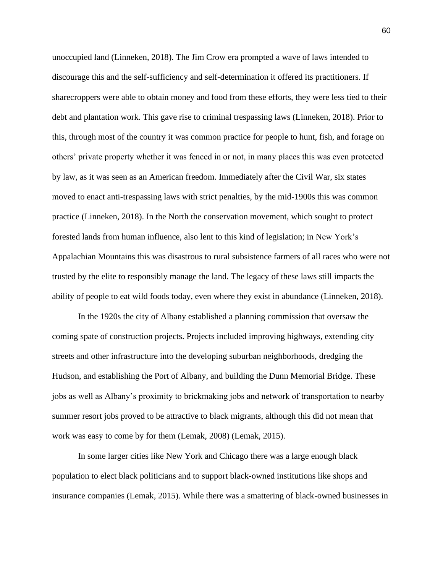unoccupied land (Linneken, 2018). The Jim Crow era prompted a wave of laws intended to discourage this and the self-sufficiency and self-determination it offered its practitioners. If sharecroppers were able to obtain money and food from these efforts, they were less tied to their debt and plantation work. This gave rise to criminal trespassing laws (Linneken, 2018). Prior to this, through most of the country it was common practice for people to hunt, fish, and forage on others' private property whether it was fenced in or not, in many places this was even protected by law, as it was seen as an American freedom. Immediately after the Civil War, six states moved to enact anti-trespassing laws with strict penalties, by the mid-1900s this was common practice (Linneken, 2018). In the North the conservation movement, which sought to protect forested lands from human influence, also lent to this kind of legislation; in New York's Appalachian Mountains this was disastrous to rural subsistence farmers of all races who were not trusted by the elite to responsibly manage the land. The legacy of these laws still impacts the ability of people to eat wild foods today, even where they exist in abundance (Linneken, 2018).

In the 1920s the city of Albany established a planning commission that oversaw the coming spate of construction projects. Projects included improving highways, extending city streets and other infrastructure into the developing suburban neighborhoods, dredging the Hudson, and establishing the Port of Albany, and building the Dunn Memorial Bridge. These jobs as well as Albany's proximity to brickmaking jobs and network of transportation to nearby summer resort jobs proved to be attractive to black migrants, although this did not mean that work was easy to come by for them (Lemak, 2008) (Lemak, 2015).

In some larger cities like New York and Chicago there was a large enough black population to elect black politicians and to support black-owned institutions like shops and insurance companies (Lemak, 2015). While there was a smattering of black-owned businesses in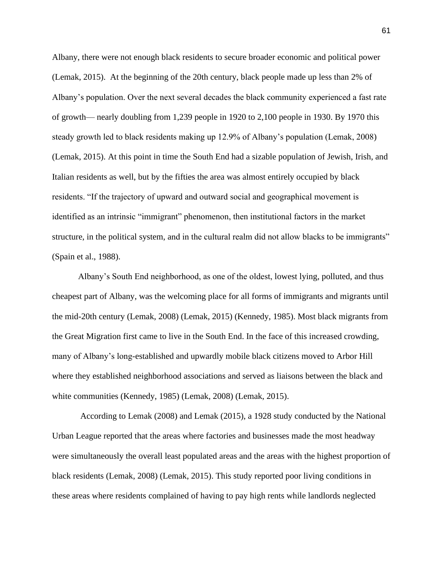Albany, there were not enough black residents to secure broader economic and political power (Lemak, 2015). At the beginning of the 20th century, black people made up less than 2% of Albany's population. Over the next several decades the black community experienced a fast rate of growth— nearly doubling from 1,239 people in 1920 to 2,100 people in 1930. By 1970 this steady growth led to black residents making up 12.9% of Albany's population (Lemak, 2008) (Lemak, 2015). At this point in time the South End had a sizable population of Jewish, Irish, and Italian residents as well, but by the fifties the area was almost entirely occupied by black residents. "If the trajectory of upward and outward social and geographical movement is identified as an intrinsic "immigrant" phenomenon, then institutional factors in the market structure, in the political system, and in the cultural realm did not allow blacks to be immigrants" (Spain et al., 1988).

Albany's South End neighborhood, as one of the oldest, lowest lying, polluted, and thus cheapest part of Albany, was the welcoming place for all forms of immigrants and migrants until the mid-20th century (Lemak, 2008) (Lemak, 2015) (Kennedy, 1985). Most black migrants from the Great Migration first came to live in the South End. In the face of this increased crowding, many of Albany's long-established and upwardly mobile black citizens moved to Arbor Hill where they established neighborhood associations and served as liaisons between the black and white communities (Kennedy, 1985) (Lemak, 2008) (Lemak, 2015).

According to Lemak (2008) and Lemak (2015), a 1928 study conducted by the National Urban League reported that the areas where factories and businesses made the most headway were simultaneously the overall least populated areas and the areas with the highest proportion of black residents (Lemak, 2008) (Lemak, 2015). This study reported poor living conditions in these areas where residents complained of having to pay high rents while landlords neglected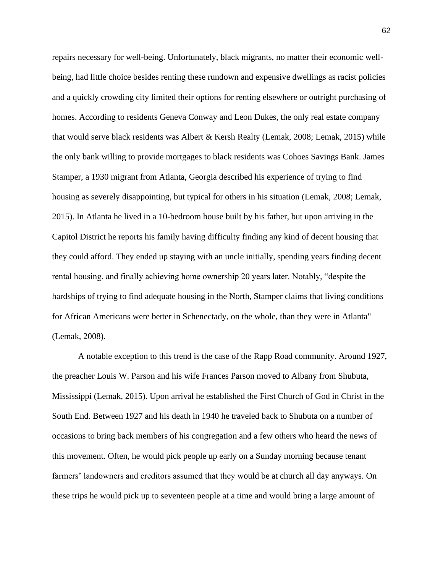repairs necessary for well-being. Unfortunately, black migrants, no matter their economic wellbeing, had little choice besides renting these rundown and expensive dwellings as racist policies and a quickly crowding city limited their options for renting elsewhere or outright purchasing of homes. According to residents Geneva Conway and Leon Dukes, the only real estate company that would serve black residents was Albert & Kersh Realty (Lemak, 2008; Lemak, 2015) while the only bank willing to provide mortgages to black residents was Cohoes Savings Bank. James Stamper, a 1930 migrant from Atlanta, Georgia described his experience of trying to find housing as severely disappointing, but typical for others in his situation (Lemak, 2008; Lemak, 2015). In Atlanta he lived in a 10-bedroom house built by his father, but upon arriving in the Capitol District he reports his family having difficulty finding any kind of decent housing that they could afford. They ended up staying with an uncle initially, spending years finding decent rental housing, and finally achieving home ownership 20 years later. Notably, "despite the hardships of trying to find adequate housing in the North, Stamper claims that living conditions for African Americans were better in Schenectady, on the whole, than they were in Atlanta" (Lemak, 2008).

A notable exception to this trend is the case of the Rapp Road community. Around 1927, the preacher Louis W. Parson and his wife Frances Parson moved to Albany from Shubuta, Mississippi (Lemak, 2015). Upon arrival he established the First Church of God in Christ in the South End. Between 1927 and his death in 1940 he traveled back to Shubuta on a number of occasions to bring back members of his congregation and a few others who heard the news of this movement. Often, he would pick people up early on a Sunday morning because tenant farmers' landowners and creditors assumed that they would be at church all day anyways. On these trips he would pick up to seventeen people at a time and would bring a large amount of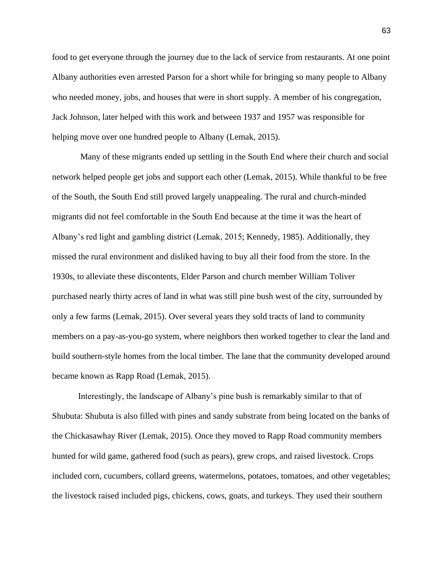food to get everyone through the journey due to the lack of service from restaurants. At one point Albany authorities even arrested Parson for a short while for bringing so many people to Albany who needed money, jobs, and houses that were in short supply. A member of his congregation, Jack Johnson, later helped with this work and between 1937 and 1957 was responsible for helping move over one hundred people to Albany (Lemak, 2015).

Many of these migrants ended up settling in the South End where their church and social network helped people get jobs and support each other (Lemak, 2015). While thankful to be free of the South, the South End still proved largely unappealing. The rural and church-minded migrants did not feel comfortable in the South End because at the time it was the heart of Albany's red light and gambling district (Lemak, 2015; Kennedy, 1985). Additionally, they missed the rural environment and disliked having to buy all their food from the store. In the 1930s, to alleviate these discontents, Elder Parson and church member William Toliver purchased nearly thirty acres of land in what was still pine bush west of the city, surrounded by only a few farms (Lemak, 2015). Over several years they sold tracts of land to community members on a pay-as-you-go system, where neighbors then worked together to clear the land and build southern-style homes from the local timber. The lane that the community developed around became known as Rapp Road (Lemak, 2015).

Interestingly, the landscape of Albany's pine bush is remarkably similar to that of Shubuta: Shubuta is also filled with pines and sandy substrate from being located on the banks of the Chickasawhay River (Lemak, 2015). Once they moved to Rapp Road community members hunted for wild game, gathered food (such as pears), grew crops, and raised livestock. Crops included corn, cucumbers, collard greens, watermelons, potatoes, tomatoes, and other vegetables; the livestock raised included pigs, chickens, cows, goats, and turkeys. They used their southern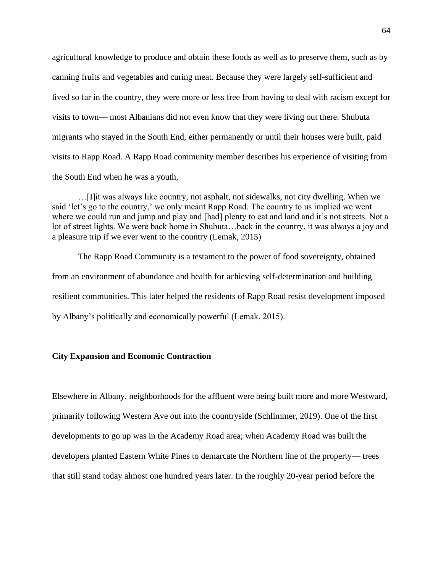agricultural knowledge to produce and obtain these foods as well as to preserve them, such as by canning fruits and vegetables and curing meat. Because they were largely self-sufficient and lived so far in the country, they were more or less free from having to deal with racism except for visits to town— most Albanians did not even know that they were living out there. Shubuta migrants who stayed in the South End, either permanently or until their houses were built, paid visits to Rapp Road. A Rapp Road community member describes his experience of visiting from the South End when he was a youth,

…[I]it was always like country, not asphalt, not sidewalks, not city dwelling. When we said 'let's go to the country,' we only meant Rapp Road. The country to us implied we went where we could run and jump and play and [had] plenty to eat and land and it's not streets. Not a lot of street lights. We were back home in Shubuta…back in the country, it was always a joy and a pleasure trip if we ever went to the country (Lemak, 2015)

The Rapp Road Community is a testament to the power of food sovereignty, obtained from an environment of abundance and health for achieving self-determination and building resilient communities. This later helped the residents of Rapp Road resist development imposed by Albany's politically and economically powerful (Lemak, 2015).

# **City Expansion and Economic Contraction**

Elsewhere in Albany, neighborhoods for the affluent were being built more and more Westward, primarily following Western Ave out into the countryside (Schlimmer, 2019). One of the first developments to go up was in the Academy Road area; when Academy Road was built the developers planted Eastern White Pines to demarcate the Northern line of the property— trees that still stand today almost one hundred years later. In the roughly 20-year period before the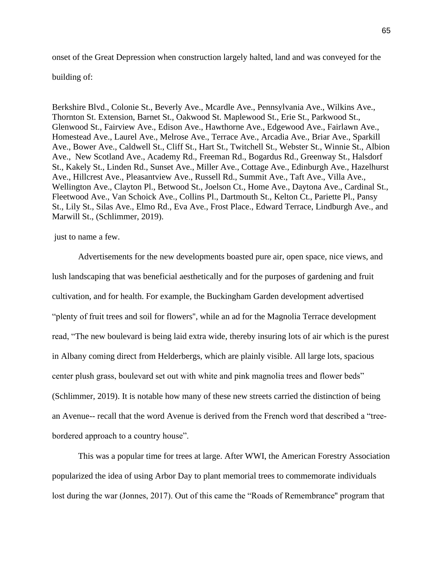onset of the Great Depression when construction largely halted, land and was conveyed for the

## building of:

Berkshire Blvd., Colonie St., Beverly Ave., Mcardle Ave., Pennsylvania Ave., Wilkins Ave., Thornton St. Extension, Barnet St., Oakwood St. Maplewood St., Erie St., Parkwood St., Glenwood St., Fairview Ave., Edison Ave., Hawthorne Ave., Edgewood Ave., Fairlawn Ave., Homestead Ave., Laurel Ave., Melrose Ave., Terrace Ave., Arcadia Ave., Briar Ave., Sparkill Ave., Bower Ave., Caldwell St., Cliff St., Hart St., Twitchell St., Webster St., Winnie St., Albion Ave., New Scotland Ave., Academy Rd., Freeman Rd., Bogardus Rd., Greenway St., Halsdorf St., Kakely St., Linden Rd., Sunset Ave., Miller Ave., Cottage Ave., Edinburgh Ave., Hazelhurst Ave., Hillcrest Ave., Pleasantview Ave., Russell Rd., Summit Ave., Taft Ave., Villa Ave., Wellington Ave., Clayton Pl., Betwood St., Joelson Ct., Home Ave., Daytona Ave., Cardinal St., Fleetwood Ave., Van Schoick Ave., Collins Pl., Dartmouth St., Kelton Ct., Pariette Pl., Pansy St., Lily St., Silas Ave., Elmo Rd., Eva Ave., Frost Place., Edward Terrace, Lindburgh Ave., and Marwill St., (Schlimmer, 2019).

#### just to name a few.

Advertisements for the new developments boasted pure air, open space, nice views, and lush landscaping that was beneficial aesthetically and for the purposes of gardening and fruit cultivation, and for health. For example, the Buckingham Garden development advertised "plenty of fruit trees and soil for flowers'', while an ad for the Magnolia Terrace development read, "The new boulevard is being laid extra wide, thereby insuring lots of air which is the purest in Albany coming direct from Helderbergs, which are plainly visible. All large lots, spacious center plush grass, boulevard set out with white and pink magnolia trees and flower beds" (Schlimmer, 2019). It is notable how many of these new streets carried the distinction of being an Avenue-- recall that the word Avenue is derived from the French word that described a "treebordered approach to a country house".

This was a popular time for trees at large. After WWI, the American Forestry Association popularized the idea of using Arbor Day to plant memorial trees to commemorate individuals lost during the war (Jonnes, 2017). Out of this came the "Roads of Remembrance'' program that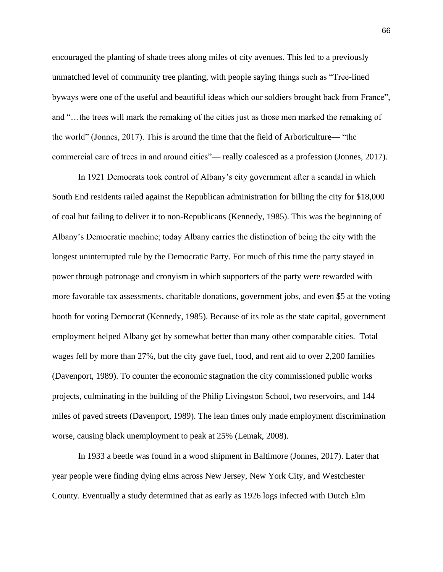encouraged the planting of shade trees along miles of city avenues. This led to a previously unmatched level of community tree planting, with people saying things such as "Tree-lined byways were one of the useful and beautiful ideas which our soldiers brought back from France", and "…the trees will mark the remaking of the cities just as those men marked the remaking of the world" (Jonnes, 2017). This is around the time that the field of Arboriculture— "the commercial care of trees in and around cities"— really coalesced as a profession (Jonnes, 2017).

In 1921 Democrats took control of Albany's city government after a scandal in which South End residents railed against the Republican administration for billing the city for \$18,000 of coal but failing to deliver it to non-Republicans (Kennedy, 1985). This was the beginning of Albany's Democratic machine; today Albany carries the distinction of being the city with the longest uninterrupted rule by the Democratic Party. For much of this time the party stayed in power through patronage and cronyism in which supporters of the party were rewarded with more favorable tax assessments, charitable donations, government jobs, and even \$5 at the voting booth for voting Democrat (Kennedy, 1985). Because of its role as the state capital, government employment helped Albany get by somewhat better than many other comparable cities. Total wages fell by more than 27%, but the city gave fuel, food, and rent aid to over 2,200 families (Davenport, 1989). To counter the economic stagnation the city commissioned public works projects, culminating in the building of the Philip Livingston School, two reservoirs, and 144 miles of paved streets (Davenport, 1989). The lean times only made employment discrimination worse, causing black unemployment to peak at 25% (Lemak, 2008).

In 1933 a beetle was found in a wood shipment in Baltimore (Jonnes, 2017). Later that year people were finding dying elms across New Jersey, New York City, and Westchester County. Eventually a study determined that as early as 1926 logs infected with Dutch Elm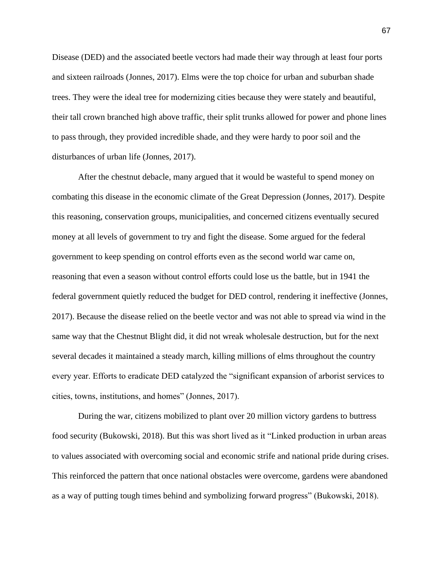Disease (DED) and the associated beetle vectors had made their way through at least four ports and sixteen railroads (Jonnes, 2017). Elms were the top choice for urban and suburban shade trees. They were the ideal tree for modernizing cities because they were stately and beautiful, their tall crown branched high above traffic, their split trunks allowed for power and phone lines to pass through, they provided incredible shade, and they were hardy to poor soil and the disturbances of urban life (Jonnes, 2017).

After the chestnut debacle, many argued that it would be wasteful to spend money on combating this disease in the economic climate of the Great Depression (Jonnes, 2017). Despite this reasoning, conservation groups, municipalities, and concerned citizens eventually secured money at all levels of government to try and fight the disease. Some argued for the federal government to keep spending on control efforts even as the second world war came on, reasoning that even a season without control efforts could lose us the battle, but in 1941 the federal government quietly reduced the budget for DED control, rendering it ineffective (Jonnes, 2017). Because the disease relied on the beetle vector and was not able to spread via wind in the same way that the Chestnut Blight did, it did not wreak wholesale destruction, but for the next several decades it maintained a steady march, killing millions of elms throughout the country every year. Efforts to eradicate DED catalyzed the "significant expansion of arborist services to cities, towns, institutions, and homes" (Jonnes, 2017).

During the war, citizens mobilized to plant over 20 million victory gardens to buttress food security (Bukowski, 2018). But this was short lived as it "Linked production in urban areas to values associated with overcoming social and economic strife and national pride during crises. This reinforced the pattern that once national obstacles were overcome, gardens were abandoned as a way of putting tough times behind and symbolizing forward progress" (Bukowski, 2018).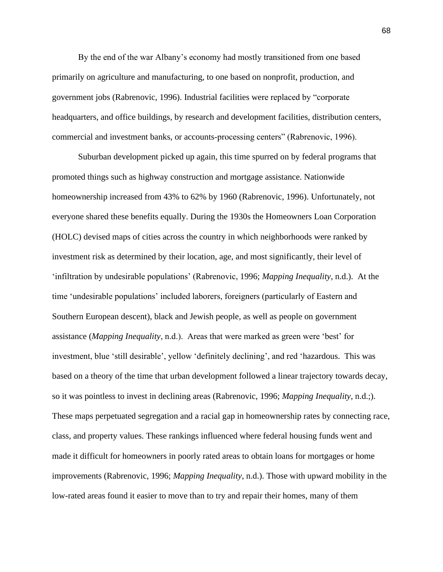By the end of the war Albany's economy had mostly transitioned from one based primarily on agriculture and manufacturing, to one based on nonprofit, production, and government jobs (Rabrenovic, 1996). Industrial facilities were replaced by "corporate headquarters, and office buildings, by research and development facilities, distribution centers, commercial and investment banks, or accounts-processing centers" (Rabrenovic, 1996).

Suburban development picked up again, this time spurred on by federal programs that promoted things such as highway construction and mortgage assistance. Nationwide homeownership increased from 43% to 62% by 1960 (Rabrenovic, 1996). Unfortunately, not everyone shared these benefits equally. During the 1930s the Homeowners Loan Corporation (HOLC) devised maps of cities across the country in which neighborhoods were ranked by investment risk as determined by their location, age, and most significantly, their level of 'infiltration by undesirable populations' (Rabrenovic, 1996; *Mapping Inequality*, n.d.). At the time 'undesirable populations' included laborers, foreigners (particularly of Eastern and Southern European descent), black and Jewish people, as well as people on government assistance (*Mapping Inequality*, n.d.). Areas that were marked as green were 'best' for investment, blue 'still desirable', yellow 'definitely declining', and red 'hazardous. This was based on a theory of the time that urban development followed a linear trajectory towards decay, so it was pointless to invest in declining areas (Rabrenovic, 1996; *Mapping Inequality*, n.d.;). These maps perpetuated segregation and a racial gap in homeownership rates by connecting race, class, and property values. These rankings influenced where federal housing funds went and made it difficult for homeowners in poorly rated areas to obtain loans for mortgages or home improvements (Rabrenovic, 1996; *Mapping Inequality*, n.d.). Those with upward mobility in the low-rated areas found it easier to move than to try and repair their homes, many of them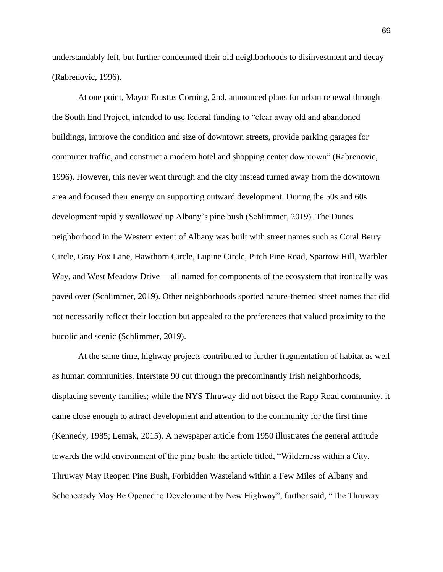understandably left, but further condemned their old neighborhoods to disinvestment and decay (Rabrenovic, 1996).

At one point, Mayor Erastus Corning, 2nd, announced plans for urban renewal through the South End Project, intended to use federal funding to "clear away old and abandoned buildings, improve the condition and size of downtown streets, provide parking garages for commuter traffic, and construct a modern hotel and shopping center downtown" (Rabrenovic, 1996). However, this never went through and the city instead turned away from the downtown area and focused their energy on supporting outward development. During the 50s and 60s development rapidly swallowed up Albany's pine bush (Schlimmer, 2019). The Dunes neighborhood in the Western extent of Albany was built with street names such as Coral Berry Circle, Gray Fox Lane, Hawthorn Circle, Lupine Circle, Pitch Pine Road, Sparrow Hill, Warbler Way, and West Meadow Drive— all named for components of the ecosystem that ironically was paved over (Schlimmer, 2019). Other neighborhoods sported nature-themed street names that did not necessarily reflect their location but appealed to the preferences that valued proximity to the bucolic and scenic (Schlimmer, 2019).

At the same time, highway projects contributed to further fragmentation of habitat as well as human communities. Interstate 90 cut through the predominantly Irish neighborhoods, displacing seventy families; while the NYS Thruway did not bisect the Rapp Road community, it came close enough to attract development and attention to the community for the first time (Kennedy, 1985; Lemak, 2015). A newspaper article from 1950 illustrates the general attitude towards the wild environment of the pine bush: the article titled, "Wilderness within a City, Thruway May Reopen Pine Bush, Forbidden Wasteland within a Few Miles of Albany and Schenectady May Be Opened to Development by New Highway", further said, "The Thruway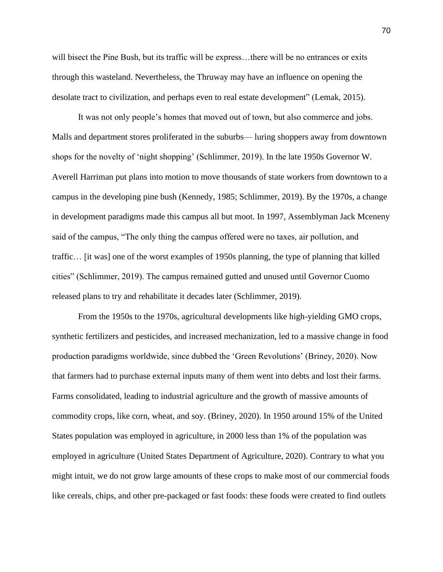will bisect the Pine Bush, but its traffic will be express...there will be no entrances or exits through this wasteland. Nevertheless, the Thruway may have an influence on opening the desolate tract to civilization, and perhaps even to real estate development" (Lemak, 2015).

It was not only people's homes that moved out of town, but also commerce and jobs. Malls and department stores proliferated in the suburbs— luring shoppers away from downtown shops for the novelty of 'night shopping' (Schlimmer, 2019). In the late 1950s Governor W. Averell Harriman put plans into motion to move thousands of state workers from downtown to a campus in the developing pine bush (Kennedy, 1985; Schlimmer, 2019). By the 1970s, a change in development paradigms made this campus all but moot. In 1997, Assemblyman Jack Mceneny said of the campus, "The only thing the campus offered were no taxes, air pollution, and traffic… [it was] one of the worst examples of 1950s planning, the type of planning that killed cities" (Schlimmer, 2019). The campus remained gutted and unused until Governor Cuomo released plans to try and rehabilitate it decades later (Schlimmer, 2019).

From the 1950s to the 1970s, agricultural developments like high-yielding GMO crops, synthetic fertilizers and pesticides, and increased mechanization, led to a massive change in food production paradigms worldwide, since dubbed the 'Green Revolutions' (Briney, 2020). Now that farmers had to purchase external inputs many of them went into debts and lost their farms. Farms consolidated, leading to industrial agriculture and the growth of massive amounts of commodity crops, like corn, wheat, and soy. (Briney, 2020). In 1950 around 15% of the United States population was employed in agriculture, in 2000 less than 1% of the population was employed in agriculture (United States Department of Agriculture, 2020). Contrary to what you might intuit, we do not grow large amounts of these crops to make most of our commercial foods like cereals, chips, and other pre-packaged or fast foods: these foods were created to find outlets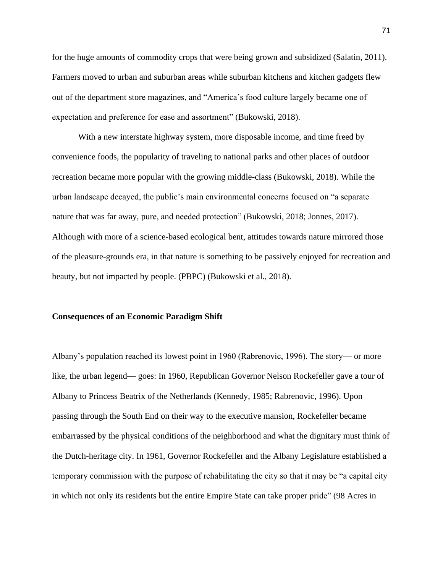for the huge amounts of commodity crops that were being grown and subsidized (Salatin, 2011). Farmers moved to urban and suburban areas while suburban kitchens and kitchen gadgets flew out of the department store magazines, and "America's food culture largely became one of expectation and preference for ease and assortment" (Bukowski, 2018).

With a new interstate highway system, more disposable income, and time freed by convenience foods, the popularity of traveling to national parks and other places of outdoor recreation became more popular with the growing middle-class (Bukowski, 2018). While the urban landscape decayed, the public's main environmental concerns focused on "a separate nature that was far away, pure, and needed protection" (Bukowski, 2018; Jonnes, 2017). Although with more of a science-based ecological bent, attitudes towards nature mirrored those of the pleasure-grounds era, in that nature is something to be passively enjoyed for recreation and beauty, but not impacted by people. (PBPC) (Bukowski et al., 2018).

## **Consequences of an Economic Paradigm Shift**

Albany's population reached its lowest point in 1960 (Rabrenovic, 1996). The story— or more like, the urban legend— goes: In 1960, Republican Governor Nelson Rockefeller gave a tour of Albany to Princess Beatrix of the Netherlands (Kennedy, 1985; Rabrenovic, 1996). Upon passing through the South End on their way to the executive mansion, Rockefeller became embarrassed by the physical conditions of the neighborhood and what the dignitary must think of the Dutch-heritage city. In 1961, Governor Rockefeller and the Albany Legislature established a temporary commission with the purpose of rehabilitating the city so that it may be "a capital city in which not only its residents but the entire Empire State can take proper pride" (98 Acres in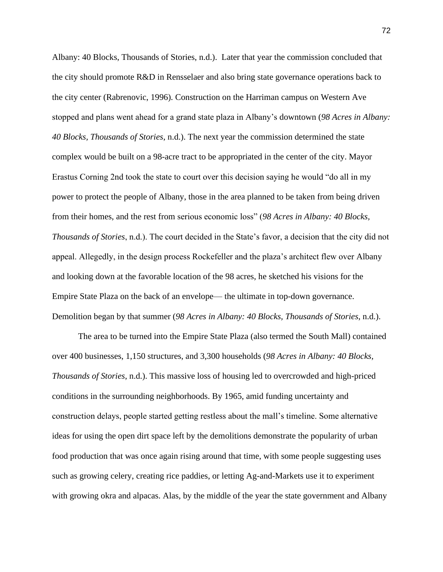Albany: 40 Blocks, Thousands of Stories, n.d.). Later that year the commission concluded that the city should promote R&D in Rensselaer and also bring state governance operations back to the city center (Rabrenovic, 1996). Construction on the Harriman campus on Western Ave stopped and plans went ahead for a grand state plaza in Albany's downtown (*98 Acres in Albany: 40 Blocks, Thousands of Stories*, n.d.). The next year the commission determined the state complex would be built on a 98-acre tract to be appropriated in the center of the city. Mayor Erastus Corning 2nd took the state to court over this decision saying he would "do all in my power to protect the people of Albany, those in the area planned to be taken from being driven from their homes, and the rest from serious economic loss" (*98 Acres in Albany: 40 Blocks, Thousands of Stories*, n.d.). The court decided in the State's favor, a decision that the city did not appeal. Allegedly, in the design process Rockefeller and the plaza's architect flew over Albany and looking down at the favorable location of the 98 acres, he sketched his visions for the Empire State Plaza on the back of an envelope— the ultimate in top-down governance. Demolition began by that summer (*98 Acres in Albany: 40 Blocks, Thousands of Stories*, n.d.).

The area to be turned into the Empire State Plaza (also termed the South Mall) contained over 400 businesses, 1,150 structures, and 3,300 households (*98 Acres in Albany: 40 Blocks, Thousands of Stories*, n.d.). This massive loss of housing led to overcrowded and high-priced conditions in the surrounding neighborhoods. By 1965, amid funding uncertainty and construction delays, people started getting restless about the mall's timeline. Some alternative ideas for using the open dirt space left by the demolitions demonstrate the popularity of urban food production that was once again rising around that time, with some people suggesting uses such as growing celery, creating rice paddies, or letting Ag-and-Markets use it to experiment with growing okra and alpacas. Alas, by the middle of the year the state government and Albany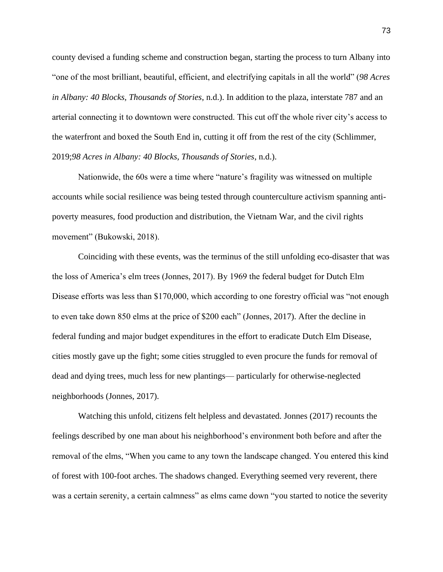county devised a funding scheme and construction began, starting the process to turn Albany into "one of the most brilliant, beautiful, efficient, and electrifying capitals in all the world" (*98 Acres in Albany: 40 Blocks, Thousands of Stories*, n.d.). In addition to the plaza, interstate 787 and an arterial connecting it to downtown were constructed. This cut off the whole river city's access to the waterfront and boxed the South End in, cutting it off from the rest of the city (Schlimmer, 2019;*98 Acres in Albany: 40 Blocks, Thousands of Stories*, n.d.).

Nationwide, the 60s were a time where "nature's fragility was witnessed on multiple accounts while social resilience was being tested through counterculture activism spanning antipoverty measures, food production and distribution, the Vietnam War, and the civil rights movement" (Bukowski, 2018).

Coinciding with these events, was the terminus of the still unfolding eco-disaster that was the loss of America's elm trees (Jonnes, 2017). By 1969 the federal budget for Dutch Elm Disease efforts was less than \$170,000, which according to one forestry official was "not enough to even take down 850 elms at the price of \$200 each" (Jonnes, 2017). After the decline in federal funding and major budget expenditures in the effort to eradicate Dutch Elm Disease, cities mostly gave up the fight; some cities struggled to even procure the funds for removal of dead and dying trees, much less for new plantings— particularly for otherwise-neglected neighborhoods (Jonnes, 2017).

Watching this unfold, citizens felt helpless and devastated. Jonnes (2017) recounts the feelings described by one man about his neighborhood's environment both before and after the removal of the elms, "When you came to any town the landscape changed. You entered this kind of forest with 100-foot arches. The shadows changed. Everything seemed very reverent, there was a certain serenity, a certain calmness" as elms came down "you started to notice the severity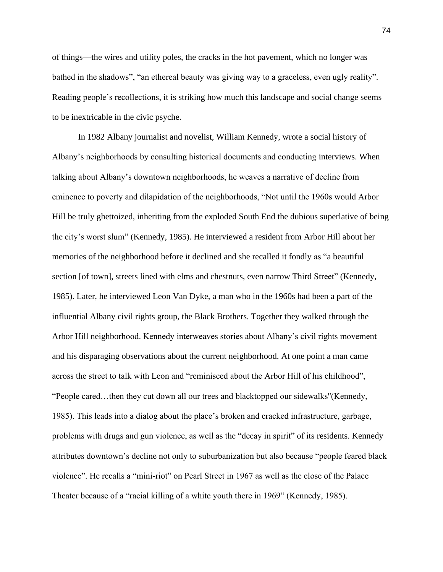of things—the wires and utility poles, the cracks in the hot pavement, which no longer was bathed in the shadows", "an ethereal beauty was giving way to a graceless, even ugly reality". Reading people's recollections, it is striking how much this landscape and social change seems to be inextricable in the civic psyche.

In 1982 Albany journalist and novelist, William Kennedy, wrote a social history of Albany's neighborhoods by consulting historical documents and conducting interviews. When talking about Albany's downtown neighborhoods, he weaves a narrative of decline from eminence to poverty and dilapidation of the neighborhoods, "Not until the 1960s would Arbor Hill be truly ghettoized, inheriting from the exploded South End the dubious superlative of being the city's worst slum" (Kennedy, 1985). He interviewed a resident from Arbor Hill about her memories of the neighborhood before it declined and she recalled it fondly as "a beautiful section [of town], streets lined with elms and chestnuts, even narrow Third Street" (Kennedy, 1985). Later, he interviewed Leon Van Dyke, a man who in the 1960s had been a part of the influential Albany civil rights group, the Black Brothers. Together they walked through the Arbor Hill neighborhood. Kennedy interweaves stories about Albany's civil rights movement and his disparaging observations about the current neighborhood. At one point a man came across the street to talk with Leon and "reminisced about the Arbor Hill of his childhood", "People cared…then they cut down all our trees and blacktopped our sidewalks''(Kennedy, 1985). This leads into a dialog about the place's broken and cracked infrastructure, garbage, problems with drugs and gun violence, as well as the "decay in spirit" of its residents. Kennedy attributes downtown's decline not only to suburbanization but also because "people feared black violence". He recalls a "mini-riot" on Pearl Street in 1967 as well as the close of the Palace Theater because of a "racial killing of a white youth there in 1969" (Kennedy, 1985).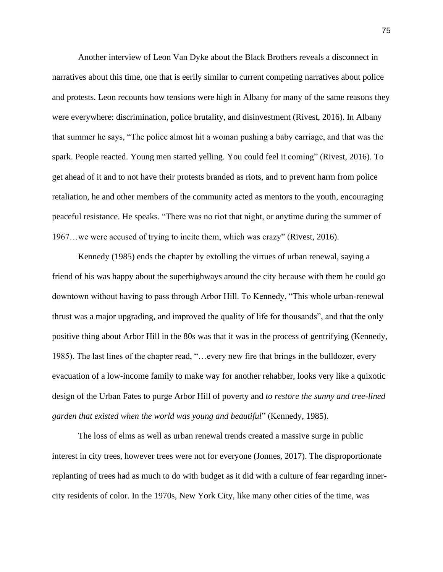Another interview of Leon Van Dyke about the Black Brothers reveals a disconnect in narratives about this time, one that is eerily similar to current competing narratives about police and protests. Leon recounts how tensions were high in Albany for many of the same reasons they were everywhere: discrimination, police brutality, and disinvestment (Rivest, 2016). In Albany that summer he says, "The police almost hit a woman pushing a baby carriage, and that was the spark. People reacted. Young men started yelling. You could feel it coming" (Rivest, 2016). To get ahead of it and to not have their protests branded as riots, and to prevent harm from police retaliation, he and other members of the community acted as mentors to the youth, encouraging peaceful resistance. He speaks. "There was no riot that night, or anytime during the summer of 1967…we were accused of trying to incite them, which was crazy" (Rivest, 2016).

Kennedy (1985) ends the chapter by extolling the virtues of urban renewal, saying a friend of his was happy about the superhighways around the city because with them he could go downtown without having to pass through Arbor Hill. To Kennedy, "This whole urban-renewal thrust was a major upgrading, and improved the quality of life for thousands", and that the only positive thing about Arbor Hill in the 80s was that it was in the process of gentrifying (Kennedy, 1985). The last lines of the chapter read, "…every new fire that brings in the bulldozer, every evacuation of a low-income family to make way for another rehabber, looks very like a quixotic design of the Urban Fates to purge Arbor Hill of poverty and *to restore the sunny and tree-lined garden that existed when the world was young and beautiful*" (Kennedy, 1985).

The loss of elms as well as urban renewal trends created a massive surge in public interest in city trees, however trees were not for everyone (Jonnes, 2017). The disproportionate replanting of trees had as much to do with budget as it did with a culture of fear regarding innercity residents of color. In the 1970s, New York City, like many other cities of the time, was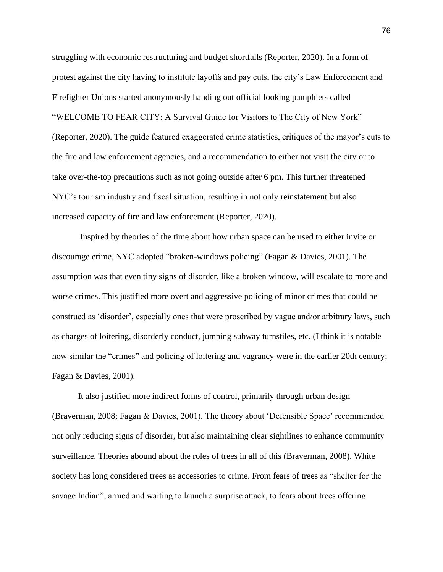struggling with economic restructuring and budget shortfalls (Reporter, 2020). In a form of protest against the city having to institute layoffs and pay cuts, the city's Law Enforcement and Firefighter Unions started anonymously handing out official looking pamphlets called "WELCOME TO FEAR CITY: A Survival Guide for Visitors to The City of New York" (Reporter, 2020). The guide featured exaggerated crime statistics, critiques of the mayor's cuts to the fire and law enforcement agencies, and a recommendation to either not visit the city or to take over-the-top precautions such as not going outside after 6 pm. This further threatened NYC's tourism industry and fiscal situation, resulting in not only reinstatement but also increased capacity of fire and law enforcement (Reporter, 2020).

Inspired by theories of the time about how urban space can be used to either invite or discourage crime, NYC adopted "broken-windows policing" (Fagan & Davies, 2001). The assumption was that even tiny signs of disorder, like a broken window, will escalate to more and worse crimes. This justified more overt and aggressive policing of minor crimes that could be construed as 'disorder', especially ones that were proscribed by vague and/or arbitrary laws, such as charges of loitering, disorderly conduct, jumping subway turnstiles, etc. (I think it is notable how similar the "crimes" and policing of loitering and vagrancy were in the earlier 20th century; Fagan & Davies, 2001).

It also justified more indirect forms of control, primarily through urban design (Braverman, 2008; Fagan & Davies, 2001). The theory about 'Defensible Space' recommended not only reducing signs of disorder, but also maintaining clear sightlines to enhance community surveillance. Theories abound about the roles of trees in all of this (Braverman, 2008). White society has long considered trees as accessories to crime. From fears of trees as "shelter for the savage Indian", armed and waiting to launch a surprise attack, to fears about trees offering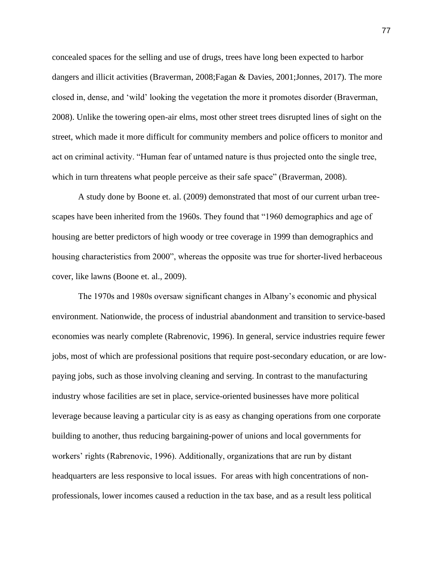concealed spaces for the selling and use of drugs, trees have long been expected to harbor dangers and illicit activities (Braverman, 2008;Fagan & Davies, 2001;Jonnes, 2017). The more closed in, dense, and 'wild' looking the vegetation the more it promotes disorder (Braverman, 2008). Unlike the towering open-air elms, most other street trees disrupted lines of sight on the street, which made it more difficult for community members and police officers to monitor and act on criminal activity. "Human fear of untamed nature is thus projected onto the single tree, which in turn threatens what people perceive as their safe space" (Braverman, 2008).

A study done by Boone et. al. (2009) demonstrated that most of our current urban treescapes have been inherited from the 1960s. They found that "1960 demographics and age of housing are better predictors of high woody or tree coverage in 1999 than demographics and housing characteristics from 2000", whereas the opposite was true for shorter-lived herbaceous cover, like lawns (Boone et. al., 2009).

The 1970s and 1980s oversaw significant changes in Albany's economic and physical environment. Nationwide, the process of industrial abandonment and transition to service-based economies was nearly complete (Rabrenovic, 1996). In general, service industries require fewer jobs, most of which are professional positions that require post-secondary education, or are lowpaying jobs, such as those involving cleaning and serving. In contrast to the manufacturing industry whose facilities are set in place, service-oriented businesses have more political leverage because leaving a particular city is as easy as changing operations from one corporate building to another, thus reducing bargaining-power of unions and local governments for workers' rights (Rabrenovic, 1996). Additionally, organizations that are run by distant headquarters are less responsive to local issues. For areas with high concentrations of nonprofessionals, lower incomes caused a reduction in the tax base, and as a result less political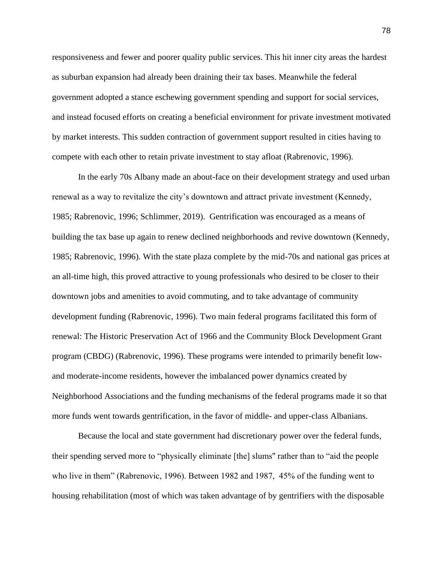responsiveness and fewer and poorer quality public services. This hit inner city areas the hardest as suburban expansion had already been draining their tax bases. Meanwhile the federal government adopted a stance eschewing government spending and support for social services, and instead focused efforts on creating a beneficial environment for private investment motivated by market interests. This sudden contraction of government support resulted in cities having to compete with each other to retain private investment to stay afloat (Rabrenovic, 1996).

In the early 70s Albany made an about-face on their development strategy and used urban renewal as a way to revitalize the city's downtown and attract private investment (Kennedy, 1985; Rabrenovic, 1996; Schlimmer, 2019). Gentrification was encouraged as a means of building the tax base up again to renew declined neighborhoods and revive downtown (Kennedy, 1985; Rabrenovic, 1996). With the state plaza complete by the mid-70s and national gas prices at an all-time high, this proved attractive to young professionals who desired to be closer to their downtown jobs and amenities to avoid commuting, and to take advantage of community development funding (Rabrenovic, 1996). Two main federal programs facilitated this form of renewal: The Historic Preservation Act of 1966 and the Community Block Development Grant program (CBDG) (Rabrenovic, 1996). These programs were intended to primarily benefit lowand moderate-income residents, however the imbalanced power dynamics created by Neighborhood Associations and the funding mechanisms of the federal programs made it so that more funds went towards gentrification, in the favor of middle- and upper-class Albanians.

Because the local and state government had discretionary power over the federal funds, their spending served more to "physically eliminate [the] slums'' rather than to "aid the people who live in them" (Rabrenovic, 1996). Between 1982 and 1987, 45% of the funding went to housing rehabilitation (most of which was taken advantage of by gentrifiers with the disposable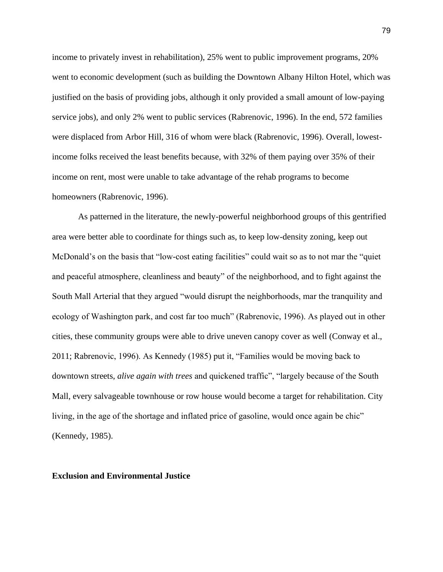income to privately invest in rehabilitation), 25% went to public improvement programs, 20% went to economic development (such as building the Downtown Albany Hilton Hotel, which was justified on the basis of providing jobs, although it only provided a small amount of low-paying service jobs), and only 2% went to public services (Rabrenovic, 1996). In the end, 572 families were displaced from Arbor Hill, 316 of whom were black (Rabrenovic, 1996). Overall, lowestincome folks received the least benefits because, with 32% of them paying over 35% of their income on rent, most were unable to take advantage of the rehab programs to become homeowners (Rabrenovic, 1996).

As patterned in the literature, the newly-powerful neighborhood groups of this gentrified area were better able to coordinate for things such as, to keep low-density zoning, keep out McDonald's on the basis that "low-cost eating facilities" could wait so as to not mar the "quiet and peaceful atmosphere, cleanliness and beauty" of the neighborhood, and to fight against the South Mall Arterial that they argued "would disrupt the neighborhoods, mar the tranquility and ecology of Washington park, and cost far too much" (Rabrenovic, 1996). As played out in other cities, these community groups were able to drive uneven canopy cover as well (Conway et al., 2011; Rabrenovic, 1996). As Kennedy (1985) put it, "Families would be moving back to downtown streets, *alive again with trees* and quickened traffic", "largely because of the South Mall, every salvageable townhouse or row house would become a target for rehabilitation. City living, in the age of the shortage and inflated price of gasoline, would once again be chic" (Kennedy, 1985).

**Exclusion and Environmental Justice**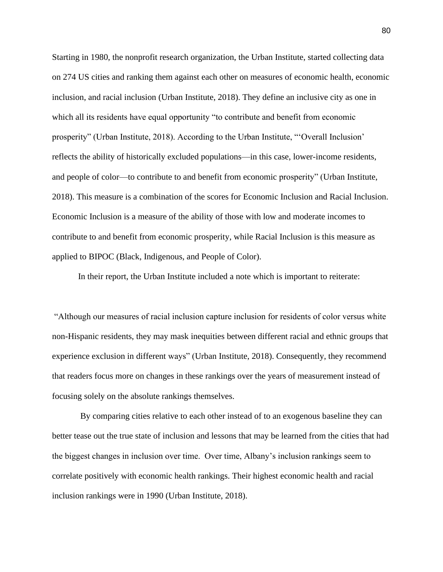Starting in 1980, the nonprofit research organization, the Urban Institute, started collecting data on 274 US cities and ranking them against each other on measures of economic health, economic inclusion, and racial inclusion (Urban Institute, 2018). They define an inclusive city as one in which all its residents have equal opportunity "to contribute and benefit from economic prosperity" (Urban Institute, 2018). According to the Urban Institute, "'Overall Inclusion' reflects the ability of historically excluded populations—in this case, lower-income residents, and people of color—to contribute to and benefit from economic prosperity" (Urban Institute, 2018). This measure is a combination of the scores for Economic Inclusion and Racial Inclusion. Economic Inclusion is a measure of the ability of those with low and moderate incomes to contribute to and benefit from economic prosperity, while Racial Inclusion is this measure as applied to BIPOC (Black, Indigenous, and People of Color).

In their report, the Urban Institute included a note which is important to reiterate:

"Although our measures of racial inclusion capture inclusion for residents of color versus white non-Hispanic residents, they may mask inequities between different racial and ethnic groups that experience exclusion in different ways" (Urban Institute, 2018). Consequently, they recommend that readers focus more on changes in these rankings over the years of measurement instead of focusing solely on the absolute rankings themselves.

By comparing cities relative to each other instead of to an exogenous baseline they can better tease out the true state of inclusion and lessons that may be learned from the cities that had the biggest changes in inclusion over time. Over time, Albany's inclusion rankings seem to correlate positively with economic health rankings. Their highest economic health and racial inclusion rankings were in 1990 (Urban Institute, 2018).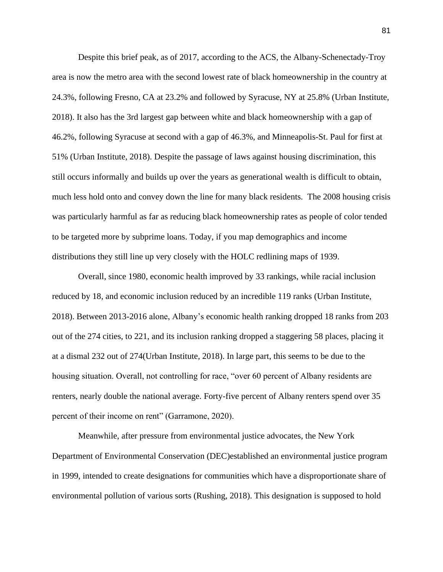Despite this brief peak, as of 2017, according to the ACS, the Albany-Schenectady-Troy area is now the metro area with the second lowest rate of black homeownership in the country at 24.3%, following Fresno, CA at 23.2% and followed by Syracuse, NY at 25.8% (Urban Institute, 2018). It also has the 3rd largest gap between white and black homeownership with a gap of 46.2%, following Syracuse at second with a gap of 46.3%, and Minneapolis-St. Paul for first at 51% (Urban Institute, 2018). Despite the passage of laws against housing discrimination, this still occurs informally and builds up over the years as generational wealth is difficult to obtain, much less hold onto and convey down the line for many black residents. The 2008 housing crisis was particularly harmful as far as reducing black homeownership rates as people of color tended to be targeted more by subprime loans. Today, if you map demographics and income distributions they still line up very closely with the HOLC redlining maps of 1939.

Overall, since 1980, economic health improved by 33 rankings, while racial inclusion reduced by 18, and economic inclusion reduced by an incredible 119 ranks (Urban Institute, 2018). Between 2013-2016 alone, Albany's economic health ranking dropped 18 ranks from 203 out of the 274 cities, to 221, and its inclusion ranking dropped a staggering 58 places, placing it at a dismal 232 out of 274(Urban Institute, 2018). In large part, this seems to be due to the housing situation. Overall, not controlling for race, "over 60 percent of Albany residents are renters, nearly double the national average. Forty-five percent of Albany renters spend over 35 percent of their income on rent" (Garramone, 2020).

Meanwhile, after pressure from environmental justice advocates, the New York Department of Environmental Conservation (DEC)established an environmental justice program in 1999, intended to create designations for communities which have a disproportionate share of environmental pollution of various sorts (Rushing, 2018). This designation is supposed to hold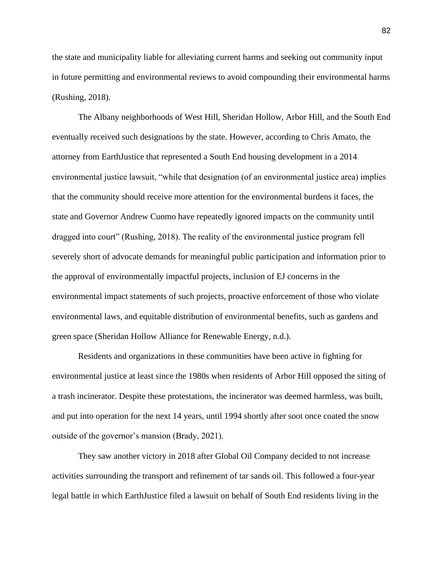the state and municipality liable for alleviating current harms and seeking out community input in future permitting and environmental reviews to avoid compounding their environmental harms (Rushing, 2018).

The Albany neighborhoods of West Hill, Sheridan Hollow, Arbor Hill, and the South End eventually received such designations by the state. However, according to Chris Amato, the attorney from EarthJustice that represented a South End housing development in a 2014 environmental justice lawsuit, "while that designation (of an environmental justice area) implies that the community should receive more attention for the environmental burdens it faces, the state and Governor Andrew Cuomo have repeatedly ignored impacts on the community until dragged into court" (Rushing, 2018). The reality of the environmental justice program fell severely short of advocate demands for meaningful public participation and information prior to the approval of environmentally impactful projects, inclusion of EJ concerns in the environmental impact statements of such projects, proactive enforcement of those who violate environmental laws, and equitable distribution of environmental benefits, such as gardens and green space (Sheridan Hollow Alliance for Renewable Energy, n.d.).

Residents and organizations in these communities have been active in fighting for environmental justice at least since the 1980s when residents of Arbor Hill opposed the siting of a trash incinerator. Despite these protestations, the incinerator was deemed harmless, was built, and put into operation for the next 14 years, until 1994 shortly after soot once coated the snow outside of the governor's mansion (Brady, 2021).

They saw another victory in 2018 after Global Oil Company decided to not increase activities surrounding the transport and refinement of tar sands oil. This followed a four-year legal battle in which EarthJustice filed a lawsuit on behalf of South End residents living in the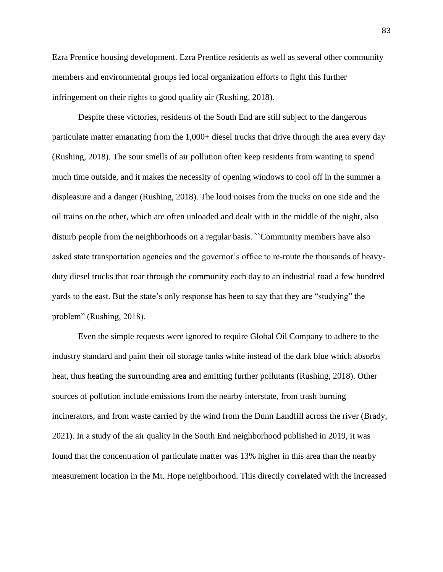Ezra Prentice housing development. Ezra Prentice residents as well as several other community members and environmental groups led local organization efforts to fight this further infringement on their rights to good quality air (Rushing, 2018).

Despite these victories, residents of the South End are still subject to the dangerous particulate matter emanating from the 1,000+ diesel trucks that drive through the area every day (Rushing, 2018). The sour smells of air pollution often keep residents from wanting to spend much time outside, and it makes the necessity of opening windows to cool off in the summer a displeasure and a danger (Rushing, 2018). The loud noises from the trucks on one side and the oil trains on the other, which are often unloaded and dealt with in the middle of the night, also disturb people from the neighborhoods on a regular basis. ``Community members have also asked state transportation agencies and the governor's office to re-route the thousands of heavyduty diesel trucks that roar through the community each day to an industrial road a few hundred yards to the east. But the state's only response has been to say that they are "studying" the problem" (Rushing, 2018).

Even the simple requests were ignored to require Global Oil Company to adhere to the industry standard and paint their oil storage tanks white instead of the dark blue which absorbs heat, thus heating the surrounding area and emitting further pollutants (Rushing, 2018). Other sources of pollution include emissions from the nearby interstate, from trash burning incinerators, and from waste carried by the wind from the Dunn Landfill across the river (Brady, 2021). In a study of the air quality in the South End neighborhood published in 2019, it was found that the concentration of particulate matter was 13% higher in this area than the nearby measurement location in the Mt. Hope neighborhood. This directly correlated with the increased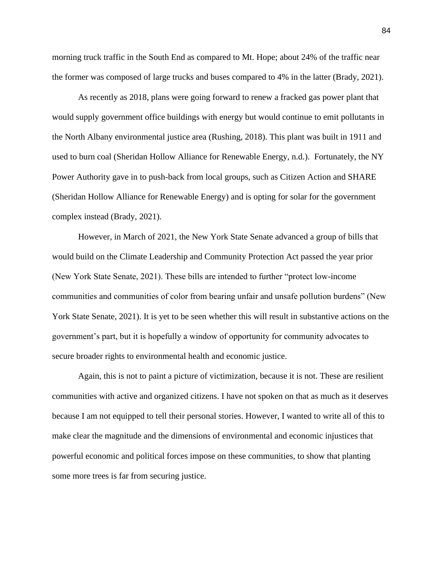morning truck traffic in the South End as compared to Mt. Hope; about 24% of the traffic near the former was composed of large trucks and buses compared to 4% in the latter (Brady, 2021).

As recently as 2018, plans were going forward to renew a fracked gas power plant that would supply government office buildings with energy but would continue to emit pollutants in the North Albany environmental justice area (Rushing, 2018). This plant was built in 1911 and used to burn coal (Sheridan Hollow Alliance for Renewable Energy, n.d.). Fortunately, the NY Power Authority gave in to push-back from local groups, such as Citizen Action and SHARE (Sheridan Hollow Alliance for Renewable Energy) and is opting for solar for the government complex instead (Brady, 2021).

However, in March of 2021, the New York State Senate advanced a group of bills that would build on the Climate Leadership and Community Protection Act passed the year prior (New York State Senate, 2021). These bills are intended to further "protect low-income communities and communities of color from bearing unfair and unsafe pollution burdens" (New York State Senate, 2021). It is yet to be seen whether this will result in substantive actions on the government's part, but it is hopefully a window of opportunity for community advocates to secure broader rights to environmental health and economic justice.

Again, this is not to paint a picture of victimization, because it is not. These are resilient communities with active and organized citizens. I have not spoken on that as much as it deserves because I am not equipped to tell their personal stories. However, I wanted to write all of this to make clear the magnitude and the dimensions of environmental and economic injustices that powerful economic and political forces impose on these communities, to show that planting some more trees is far from securing justice.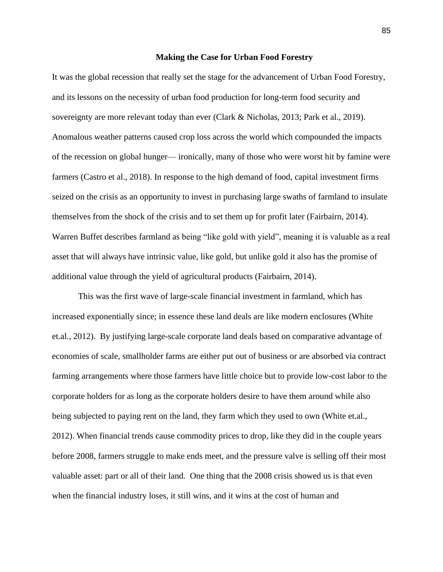#### **Making the Case for Urban Food Forestry**

It was the global recession that really set the stage for the advancement of Urban Food Forestry, and its lessons on the necessity of urban food production for long-term food security and sovereignty are more relevant today than ever (Clark & Nicholas, 2013; Park et al., 2019). Anomalous weather patterns caused crop loss across the world which compounded the impacts of the recession on global hunger— ironically, many of those who were worst hit by famine were farmers (Castro et al., 2018). In response to the high demand of food, capital investment firms seized on the crisis as an opportunity to invest in purchasing large swaths of farmland to insulate themselves from the shock of the crisis and to set them up for profit later (Fairbairn, 2014). Warren Buffet describes farmland as being "like gold with yield", meaning it is valuable as a real asset that will always have intrinsic value, like gold, but unlike gold it also has the promise of additional value through the yield of agricultural products (Fairbairn, 2014).

This was the first wave of large-scale financial investment in farmland, which has increased exponentially since; in essence these land deals are like modern enclosures (White et.al., 2012). By justifying large-scale corporate land deals based on comparative advantage of economies of scale, smallholder farms are either put out of business or are absorbed via contract farming arrangements where those farmers have little choice but to provide low-cost labor to the corporate holders for as long as the corporate holders desire to have them around while also being subjected to paying rent on the land, they farm which they used to own (White et.al., 2012). When financial trends cause commodity prices to drop, like they did in the couple years before 2008, farmers struggle to make ends meet, and the pressure valve is selling off their most valuable asset: part or all of their land. One thing that the 2008 crisis showed us is that even when the financial industry loses, it still wins, and it wins at the cost of human and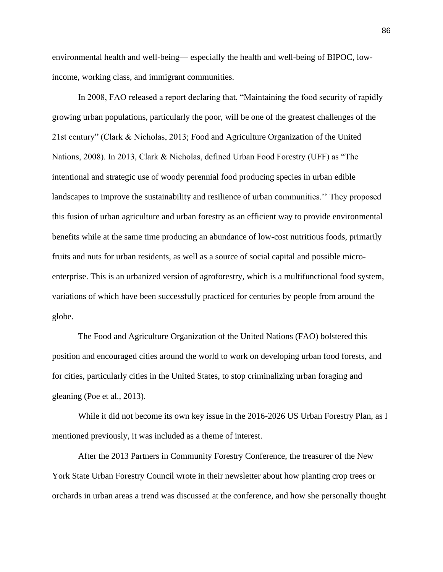environmental health and well-being— especially the health and well-being of BIPOC, lowincome, working class, and immigrant communities.

In 2008, FAO released a report declaring that, "Maintaining the food security of rapidly growing urban populations, particularly the poor, will be one of the greatest challenges of the 21st century" (Clark & Nicholas, 2013; Food and Agriculture Organization of the United Nations, 2008). In 2013, Clark & Nicholas, defined Urban Food Forestry (UFF) as "The intentional and strategic use of woody perennial food producing species in urban edible landscapes to improve the sustainability and resilience of urban communities.'' They proposed this fusion of urban agriculture and urban forestry as an efficient way to provide environmental benefits while at the same time producing an abundance of low-cost nutritious foods, primarily fruits and nuts for urban residents, as well as a source of social capital and possible microenterprise. This is an urbanized version of agroforestry, which is a multifunctional food system, variations of which have been successfully practiced for centuries by people from around the globe.

The Food and Agriculture Organization of the United Nations (FAO) bolstered this position and encouraged cities around the world to work on developing urban food forests, and for cities, particularly cities in the United States, to stop criminalizing urban foraging and gleaning (Poe et al., 2013).

While it did not become its own key issue in the 2016-2026 US Urban Forestry Plan, as I mentioned previously, it was included as a theme of interest.

After the 2013 Partners in Community Forestry Conference, the treasurer of the New York State Urban Forestry Council wrote in their newsletter about how planting crop trees or orchards in urban areas a trend was discussed at the conference, and how she personally thought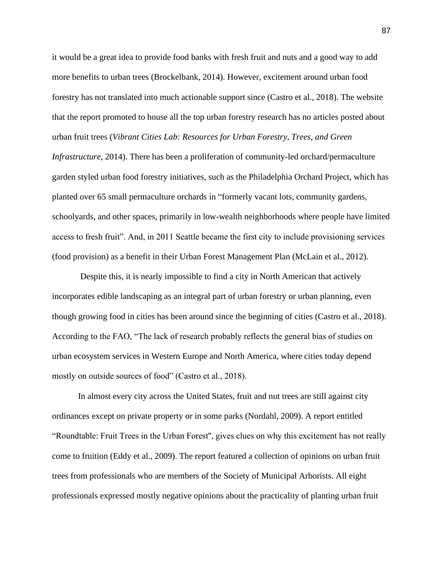it would be a great idea to provide food banks with fresh fruit and nuts and a good way to add more benefits to urban trees (Brockelbank, 2014). However, excitement around urban food forestry has not translated into much actionable support since (Castro et al., 2018). The website that the report promoted to house all the top urban forestry research has no articles posted about urban fruit trees (*Vibrant Cities Lab: Resources for Urban Forestry, Trees, and Green Infrastructure*, 2014). There has been a proliferation of community-led orchard/permaculture garden styled urban food forestry initiatives, such as the Philadelphia Orchard Project, which has planted over 65 small permaculture orchards in "formerly vacant lots, community gardens, schoolyards, and other spaces, primarily in low-wealth neighborhoods where people have limited access to fresh fruit". And, in 2011 Seattle became the first city to include provisioning services (food provision) as a benefit in their Urban Forest Management Plan (McLain et al., 2012).

Despite this, it is nearly impossible to find a city in North American that actively incorporates edible landscaping as an integral part of urban forestry or urban planning, even though growing food in cities has been around since the beginning of cities (Castro et al., 2018). According to the FAO, "The lack of research probably reflects the general bias of studies on urban ecosystem services in Western Europe and North America, where cities today depend mostly on outside sources of food" (Castro et al., 2018).

In almost every city across the United States, fruit and nut trees are still against city ordinances except on private property or in some parks (Nordahl, 2009). A report entitled "Roundtable: Fruit Trees in the Urban Forest'', gives clues on why this excitement has not really come to fruition (Eddy et al., 2009). The report featured a collection of opinions on urban fruit trees from professionals who are members of the Society of Municipal Arborists. All eight professionals expressed mostly negative opinions about the practicality of planting urban fruit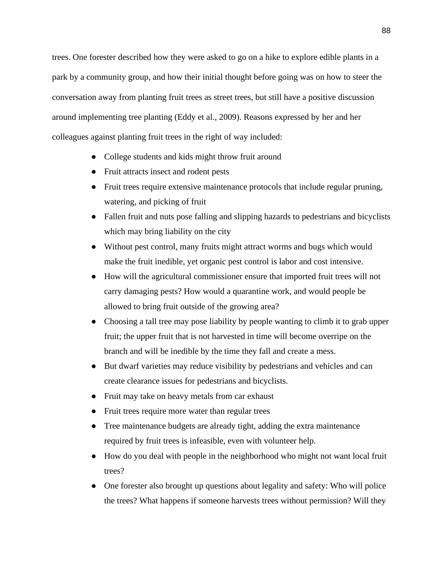trees. One forester described how they were asked to go on a hike to explore edible plants in a park by a community group, and how their initial thought before going was on how to steer the conversation away from planting fruit trees as street trees, but still have a positive discussion around implementing tree planting (Eddy et al., 2009). Reasons expressed by her and her colleagues against planting fruit trees in the right of way included:

- College students and kids might throw fruit around
- Fruit attracts insect and rodent pests
- Fruit trees require extensive maintenance protocols that include regular pruning, watering, and picking of fruit
- Fallen fruit and nuts pose falling and slipping hazards to pedestrians and bicyclists which may bring liability on the city
- Without pest control, many fruits might attract worms and bugs which would make the fruit inedible, yet organic pest control is labor and cost intensive.
- How will the agricultural commissioner ensure that imported fruit trees will not carry damaging pests? How would a quarantine work, and would people be allowed to bring fruit outside of the growing area?
- Choosing a tall tree may pose liability by people wanting to climb it to grab upper fruit; the upper fruit that is not harvested in time will become overripe on the branch and will be inedible by the time they fall and create a mess.
- But dwarf varieties may reduce visibility by pedestrians and vehicles and can create clearance issues for pedestrians and bicyclists.
- Fruit may take on heavy metals from car exhaust
- Fruit trees require more water than regular trees
- Tree maintenance budgets are already tight, adding the extra maintenance required by fruit trees is infeasible, even with volunteer help.
- How do you deal with people in the neighborhood who might not want local fruit trees?
- One forester also brought up questions about legality and safety: Who will police the trees? What happens if someone harvests trees without permission? Will they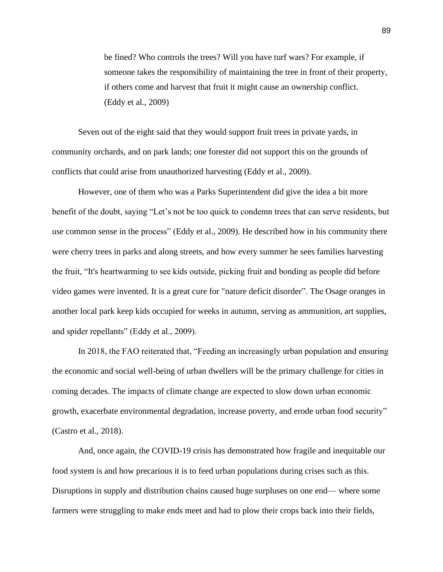be fined? Who controls the trees? Will you have turf wars? For example, if someone takes the responsibility of maintaining the tree in front of their property, if others come and harvest that fruit it might cause an ownership conflict. (Eddy et al., 2009)

Seven out of the eight said that they would support fruit trees in private yards, in community orchards, and on park lands; one forester did not support this on the grounds of conflicts that could arise from unauthorized harvesting (Eddy et al., 2009).

However, one of them who was a Parks Superintendent did give the idea a bit more benefit of the doubt, saying "Let's not be too quick to condemn trees that can serve residents, but use common sense in the process" (Eddy et al., 2009). He described how in his community there were cherry trees in parks and along streets, and how every summer he sees families harvesting the fruit, "It's heartwarming to see kids outside, picking fruit and bonding as people did before video games were invented. It is a great cure for "nature deficit disorder". The Osage oranges in another local park keep kids occupied for weeks in autumn, serving as ammunition, art supplies, and spider repellants" (Eddy et al., 2009).

In 2018, the FAO reiterated that, "Feeding an increasingly urban population and ensuring the economic and social well-being of urban dwellers will be the primary challenge for cities in coming decades. The impacts of climate change are expected to slow down urban economic growth, exacerbate environmental degradation, increase poverty, and erode urban food security" (Castro et al., 2018).

And, once again, the COVID-19 crisis has demonstrated how fragile and inequitable our food system is and how precarious it is to feed urban populations during crises such as this. Disruptions in supply and distribution chains caused huge surpluses on one end— where some farmers were struggling to make ends meet and had to plow their crops back into their fields,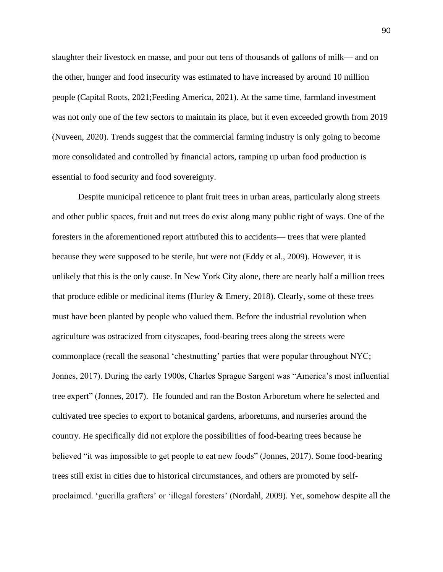slaughter their livestock en masse, and pour out tens of thousands of gallons of milk— and on the other, hunger and food insecurity was estimated to have increased by around 10 million people (Capital Roots, 2021;Feeding America, 2021). At the same time, farmland investment was not only one of the few sectors to maintain its place, but it even exceeded growth from 2019 (Nuveen, 2020). Trends suggest that the commercial farming industry is only going to become more consolidated and controlled by financial actors, ramping up urban food production is essential to food security and food sovereignty.

Despite municipal reticence to plant fruit trees in urban areas, particularly along streets and other public spaces, fruit and nut trees do exist along many public right of ways. One of the foresters in the aforementioned report attributed this to accidents— trees that were planted because they were supposed to be sterile, but were not (Eddy et al., 2009). However, it is unlikely that this is the only cause. In New York City alone, there are nearly half a million trees that produce edible or medicinal items (Hurley  $&$  Emery, 2018). Clearly, some of these trees must have been planted by people who valued them. Before the industrial revolution when agriculture was ostracized from cityscapes, food-bearing trees along the streets were commonplace (recall the seasonal 'chestnutting' parties that were popular throughout NYC; Jonnes, 2017). During the early 1900s, Charles Sprague Sargent was "America's most influential tree expert" (Jonnes, 2017). He founded and ran the Boston Arboretum where he selected and cultivated tree species to export to botanical gardens, arboretums, and nurseries around the country. He specifically did not explore the possibilities of food-bearing trees because he believed "it was impossible to get people to eat new foods" (Jonnes, 2017). Some food-bearing trees still exist in cities due to historical circumstances, and others are promoted by selfproclaimed. 'guerilla grafters' or 'illegal foresters' (Nordahl, 2009). Yet, somehow despite all the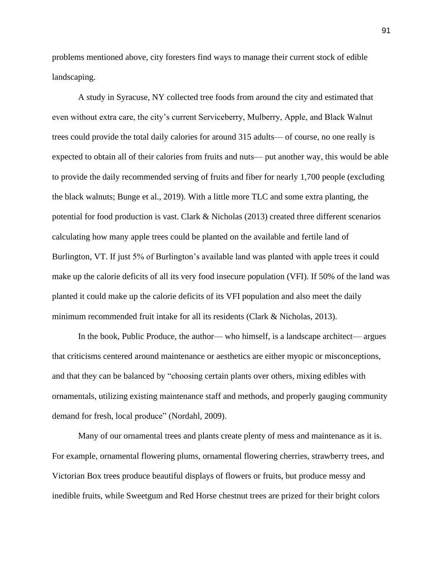problems mentioned above, city foresters find ways to manage their current stock of edible landscaping.

A study in Syracuse, NY collected tree foods from around the city and estimated that even without extra care, the city's current Serviceberry, Mulberry, Apple, and Black Walnut trees could provide the total daily calories for around 315 adults— of course, no one really is expected to obtain all of their calories from fruits and nuts— put another way, this would be able to provide the daily recommended serving of fruits and fiber for nearly 1,700 people (excluding the black walnuts; Bunge et al., 2019). With a little more TLC and some extra planting, the potential for food production is vast. Clark & Nicholas (2013) created three different scenarios calculating how many apple trees could be planted on the available and fertile land of Burlington, VT. If just 5% of Burlington's available land was planted with apple trees it could make up the calorie deficits of all its very food insecure population (VFI). If 50% of the land was planted it could make up the calorie deficits of its VFI population and also meet the daily minimum recommended fruit intake for all its residents (Clark & Nicholas, 2013).

In the book, Public Produce, the author— who himself, is a landscape architect— argues that criticisms centered around maintenance or aesthetics are either myopic or misconceptions, and that they can be balanced by "choosing certain plants over others, mixing edibles with ornamentals, utilizing existing maintenance staff and methods, and properly gauging community demand for fresh, local produce" (Nordahl, 2009).

Many of our ornamental trees and plants create plenty of mess and maintenance as it is. For example, ornamental flowering plums, ornamental flowering cherries, strawberry trees, and Victorian Box trees produce beautiful displays of flowers or fruits, but produce messy and inedible fruits, while Sweetgum and Red Horse chestnut trees are prized for their bright colors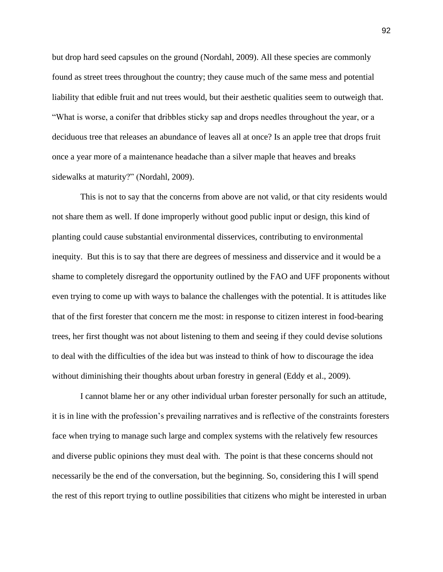but drop hard seed capsules on the ground (Nordahl, 2009). All these species are commonly found as street trees throughout the country; they cause much of the same mess and potential liability that edible fruit and nut trees would, but their aesthetic qualities seem to outweigh that. "What is worse, a conifer that dribbles sticky sap and drops needles throughout the year, or a deciduous tree that releases an abundance of leaves all at once? Is an apple tree that drops fruit once a year more of a maintenance headache than a silver maple that heaves and breaks sidewalks at maturity?" (Nordahl, 2009).

This is not to say that the concerns from above are not valid, or that city residents would not share them as well. If done improperly without good public input or design, this kind of planting could cause substantial environmental disservices, contributing to environmental inequity. But this is to say that there are degrees of messiness and disservice and it would be a shame to completely disregard the opportunity outlined by the FAO and UFF proponents without even trying to come up with ways to balance the challenges with the potential. It is attitudes like that of the first forester that concern me the most: in response to citizen interest in food-bearing trees, her first thought was not about listening to them and seeing if they could devise solutions to deal with the difficulties of the idea but was instead to think of how to discourage the idea without diminishing their thoughts about urban forestry in general (Eddy et al., 2009).

I cannot blame her or any other individual urban forester personally for such an attitude, it is in line with the profession's prevailing narratives and is reflective of the constraints foresters face when trying to manage such large and complex systems with the relatively few resources and diverse public opinions they must deal with. The point is that these concerns should not necessarily be the end of the conversation, but the beginning. So, considering this I will spend the rest of this report trying to outline possibilities that citizens who might be interested in urban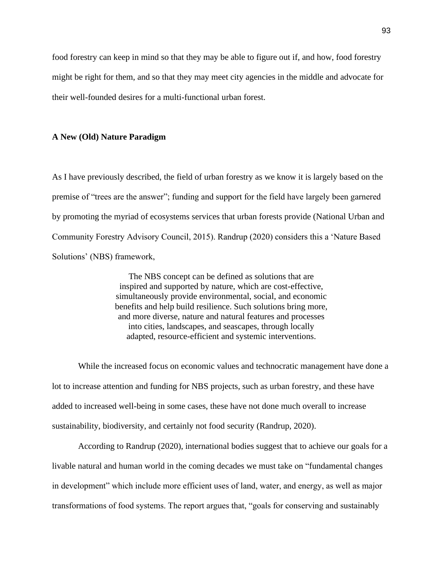food forestry can keep in mind so that they may be able to figure out if, and how, food forestry might be right for them, and so that they may meet city agencies in the middle and advocate for their well-founded desires for a multi-functional urban forest.

## **A New (Old) Nature Paradigm**

As I have previously described, the field of urban forestry as we know it is largely based on the premise of "trees are the answer"; funding and support for the field have largely been garnered by promoting the myriad of ecosystems services that urban forests provide (National Urban and Community Forestry Advisory Council, 2015). Randrup (2020) considers this a 'Nature Based Solutions' (NBS) framework,

> The NBS concept can be defined as solutions that are inspired and supported by nature, which are cost-effective, simultaneously provide environmental, social, and economic benefits and help build resilience. Such solutions bring more, and more diverse, nature and natural features and processes into cities, landscapes, and seascapes, through locally adapted, resource-efficient and systemic interventions.

While the increased focus on economic values and technocratic management have done a lot to increase attention and funding for NBS projects, such as urban forestry, and these have added to increased well-being in some cases, these have not done much overall to increase sustainability, biodiversity, and certainly not food security (Randrup, 2020).

According to Randrup (2020), international bodies suggest that to achieve our goals for a livable natural and human world in the coming decades we must take on "fundamental changes in development" which include more efficient uses of land, water, and energy, as well as major transformations of food systems. The report argues that, "goals for conserving and sustainably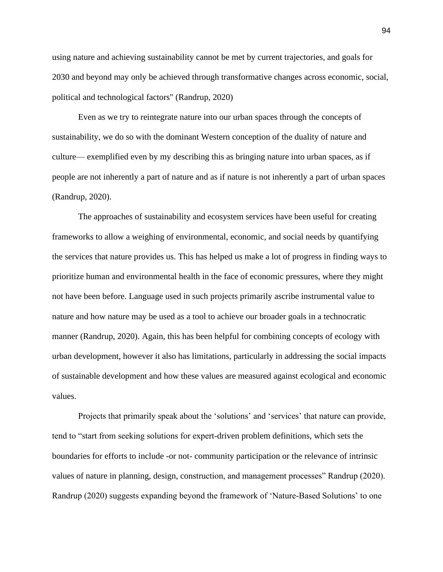using nature and achieving sustainability cannot be met by current trajectories, and goals for 2030 and beyond may only be achieved through transformative changes across economic, social, political and technological factors" (Randrup, 2020)

Even as we try to reintegrate nature into our urban spaces through the concepts of sustainability, we do so with the dominant Western conception of the duality of nature and culture— exemplified even by my describing this as bringing nature into urban spaces, as if people are not inherently a part of nature and as if nature is not inherently a part of urban spaces (Randrup, 2020).

The approaches of sustainability and ecosystem services have been useful for creating frameworks to allow a weighing of environmental, economic, and social needs by quantifying the services that nature provides us. This has helped us make a lot of progress in finding ways to prioritize human and environmental health in the face of economic pressures, where they might not have been before. Language used in such projects primarily ascribe instrumental value to nature and how nature may be used as a tool to achieve our broader goals in a technocratic manner (Randrup, 2020). Again, this has been helpful for combining concepts of ecology with urban development, however it also has limitations, particularly in addressing the social impacts of sustainable development and how these values are measured against ecological and economic values.

Projects that primarily speak about the 'solutions' and 'services' that nature can provide, tend to "start from seeking solutions for expert-driven problem definitions, which sets the boundaries for efforts to include -or not- community participation or the relevance of intrinsic values of nature in planning, design, construction, and management processes" Randrup (2020). Randrup (2020) suggests expanding beyond the framework of 'Nature-Based Solutions' to one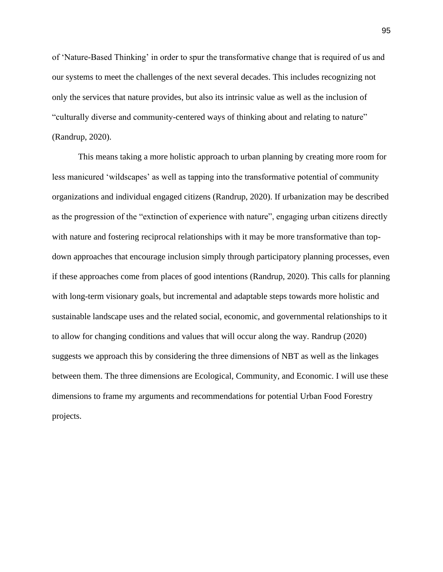of 'Nature-Based Thinking' in order to spur the transformative change that is required of us and our systems to meet the challenges of the next several decades. This includes recognizing not only the services that nature provides, but also its intrinsic value as well as the inclusion of "culturally diverse and community-centered ways of thinking about and relating to nature" (Randrup, 2020).

This means taking a more holistic approach to urban planning by creating more room for less manicured 'wildscapes' as well as tapping into the transformative potential of community organizations and individual engaged citizens (Randrup, 2020). If urbanization may be described as the progression of the "extinction of experience with nature", engaging urban citizens directly with nature and fostering reciprocal relationships with it may be more transformative than topdown approaches that encourage inclusion simply through participatory planning processes, even if these approaches come from places of good intentions (Randrup, 2020). This calls for planning with long-term visionary goals, but incremental and adaptable steps towards more holistic and sustainable landscape uses and the related social, economic, and governmental relationships to it to allow for changing conditions and values that will occur along the way. Randrup (2020) suggests we approach this by considering the three dimensions of NBT as well as the linkages between them. The three dimensions are Ecological, Community, and Economic. I will use these dimensions to frame my arguments and recommendations for potential Urban Food Forestry projects.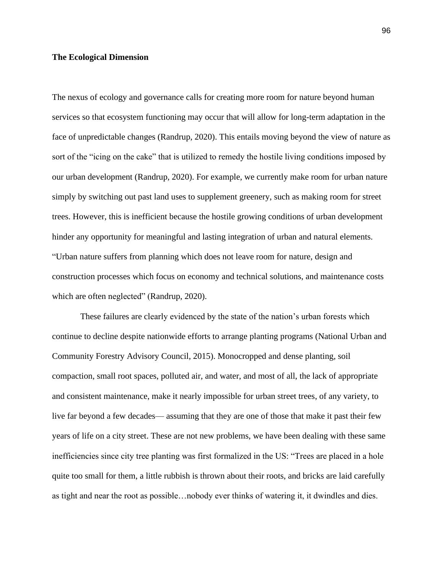# **The Ecological Dimension**

The nexus of ecology and governance calls for creating more room for nature beyond human services so that ecosystem functioning may occur that will allow for long-term adaptation in the face of unpredictable changes (Randrup, 2020). This entails moving beyond the view of nature as sort of the "icing on the cake" that is utilized to remedy the hostile living conditions imposed by our urban development (Randrup, 2020). For example, we currently make room for urban nature simply by switching out past land uses to supplement greenery, such as making room for street trees. However, this is inefficient because the hostile growing conditions of urban development hinder any opportunity for meaningful and lasting integration of urban and natural elements. "Urban nature suffers from planning which does not leave room for nature, design and construction processes which focus on economy and technical solutions, and maintenance costs which are often neglected" (Randrup, 2020).

These failures are clearly evidenced by the state of the nation's urban forests which continue to decline despite nationwide efforts to arrange planting programs (National Urban and Community Forestry Advisory Council, 2015). Monocropped and dense planting, soil compaction, small root spaces, polluted air, and water, and most of all, the lack of appropriate and consistent maintenance, make it nearly impossible for urban street trees, of any variety, to live far beyond a few decades— assuming that they are one of those that make it past their few years of life on a city street. These are not new problems, we have been dealing with these same inefficiencies since city tree planting was first formalized in the US: "Trees are placed in a hole quite too small for them, a little rubbish is thrown about their roots, and bricks are laid carefully as tight and near the root as possible…nobody ever thinks of watering it, it dwindles and dies.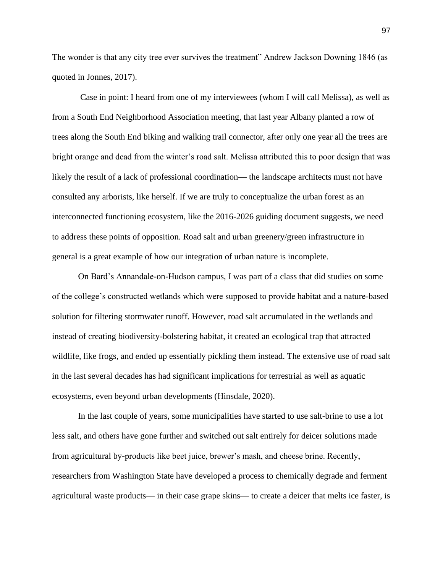The wonder is that any city tree ever survives the treatment" Andrew Jackson Downing 1846 (as quoted in Jonnes, 2017).

Case in point: I heard from one of my interviewees (whom I will call Melissa), as well as from a South End Neighborhood Association meeting, that last year Albany planted a row of trees along the South End biking and walking trail connector, after only one year all the trees are bright orange and dead from the winter's road salt. Melissa attributed this to poor design that was likely the result of a lack of professional coordination— the landscape architects must not have consulted any arborists, like herself. If we are truly to conceptualize the urban forest as an interconnected functioning ecosystem, like the 2016-2026 guiding document suggests, we need to address these points of opposition. Road salt and urban greenery/green infrastructure in general is a great example of how our integration of urban nature is incomplete.

On Bard's Annandale-on-Hudson campus, I was part of a class that did studies on some of the college's constructed wetlands which were supposed to provide habitat and a nature-based solution for filtering stormwater runoff. However, road salt accumulated in the wetlands and instead of creating biodiversity-bolstering habitat, it created an ecological trap that attracted wildlife, like frogs, and ended up essentially pickling them instead. The extensive use of road salt in the last several decades has had significant implications for terrestrial as well as aquatic ecosystems, even beyond urban developments (Hinsdale, 2020).

In the last couple of years, some municipalities have started to use salt-brine to use a lot less salt, and others have gone further and switched out salt entirely for deicer solutions made from agricultural by-products like beet juice, brewer's mash, and cheese brine. Recently, researchers from Washington State have developed a process to chemically degrade and ferment agricultural waste products— in their case grape skins— to create a deicer that melts ice faster, is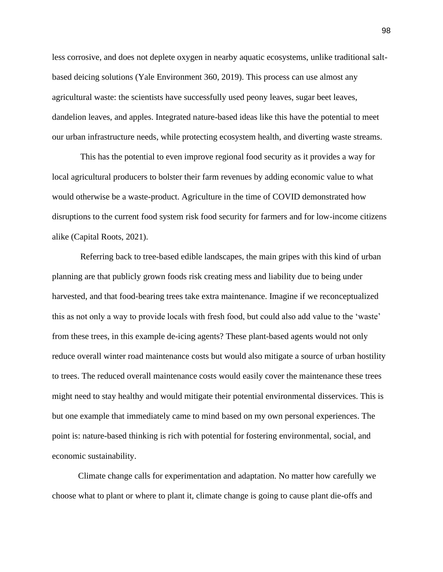less corrosive, and does not deplete oxygen in nearby aquatic ecosystems, unlike traditional saltbased deicing solutions (Yale Environment 360, 2019). This process can use almost any agricultural waste: the scientists have successfully used peony leaves, sugar beet leaves, dandelion leaves, and apples. Integrated nature-based ideas like this have the potential to meet our urban infrastructure needs, while protecting ecosystem health, and diverting waste streams.

This has the potential to even improve regional food security as it provides a way for local agricultural producers to bolster their farm revenues by adding economic value to what would otherwise be a waste-product. Agriculture in the time of COVID demonstrated how disruptions to the current food system risk food security for farmers and for low-income citizens alike (Capital Roots, 2021).

Referring back to tree-based edible landscapes, the main gripes with this kind of urban planning are that publicly grown foods risk creating mess and liability due to being under harvested, and that food-bearing trees take extra maintenance. Imagine if we reconceptualized this as not only a way to provide locals with fresh food, but could also add value to the 'waste' from these trees, in this example de-icing agents? These plant-based agents would not only reduce overall winter road maintenance costs but would also mitigate a source of urban hostility to trees. The reduced overall maintenance costs would easily cover the maintenance these trees might need to stay healthy and would mitigate their potential environmental disservices. This is but one example that immediately came to mind based on my own personal experiences. The point is: nature-based thinking is rich with potential for fostering environmental, social, and economic sustainability.

Climate change calls for experimentation and adaptation. No matter how carefully we choose what to plant or where to plant it, climate change is going to cause plant die-offs and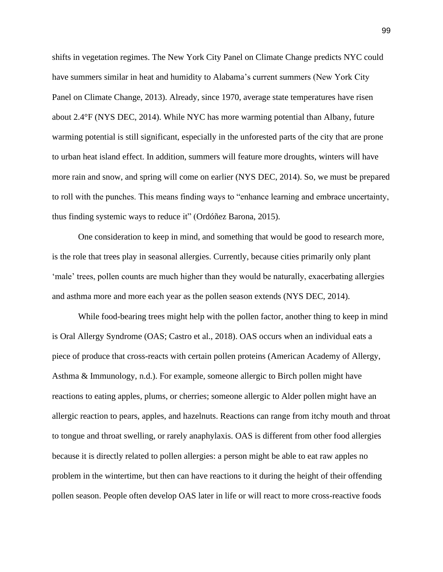shifts in vegetation regimes. The New York City Panel on Climate Change predicts NYC could have summers similar in heat and humidity to Alabama's current summers (New York City Panel on Climate Change, 2013). Already, since 1970, average state temperatures have risen about 2.4°F (NYS DEC, 2014). While NYC has more warming potential than Albany, future warming potential is still significant, especially in the unforested parts of the city that are prone to urban heat island effect. In addition, summers will feature more droughts, winters will have more rain and snow, and spring will come on earlier (NYS DEC, 2014). So, we must be prepared to roll with the punches. This means finding ways to "enhance learning and embrace uncertainty, thus finding systemic ways to reduce it" (Ordóñez Barona, 2015).

One consideration to keep in mind, and something that would be good to research more, is the role that trees play in seasonal allergies. Currently, because cities primarily only plant 'male' trees, pollen counts are much higher than they would be naturally, exacerbating allergies and asthma more and more each year as the pollen season extends (NYS DEC, 2014).

While food-bearing trees might help with the pollen factor, another thing to keep in mind is Oral Allergy Syndrome (OAS; Castro et al., 2018). OAS occurs when an individual eats a piece of produce that cross-reacts with certain pollen proteins (American Academy of Allergy, Asthma & Immunology, n.d.). For example, someone allergic to Birch pollen might have reactions to eating apples, plums, or cherries; someone allergic to Alder pollen might have an allergic reaction to pears, apples, and hazelnuts. Reactions can range from itchy mouth and throat to tongue and throat swelling, or rarely anaphylaxis. OAS is different from other food allergies because it is directly related to pollen allergies: a person might be able to eat raw apples no problem in the wintertime, but then can have reactions to it during the height of their offending pollen season. People often develop OAS later in life or will react to more cross-reactive foods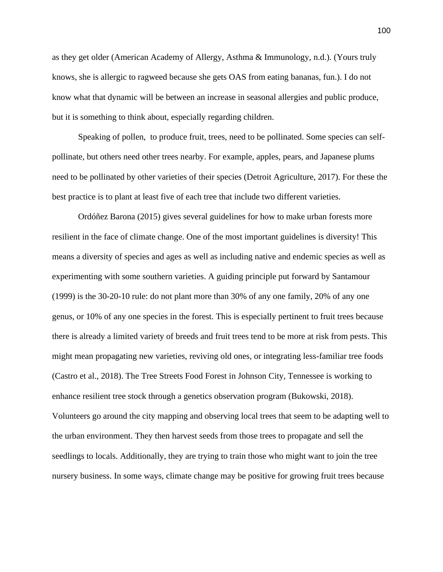as they get older (American Academy of Allergy, Asthma & Immunology, n.d.). (Yours truly knows, she is allergic to ragweed because she gets OAS from eating bananas, fun.). I do not know what that dynamic will be between an increase in seasonal allergies and public produce, but it is something to think about, especially regarding children.

Speaking of pollen, to produce fruit, trees, need to be pollinated. Some species can selfpollinate, but others need other trees nearby. For example, apples, pears, and Japanese plums need to be pollinated by other varieties of their species (Detroit Agriculture, 2017). For these the best practice is to plant at least five of each tree that include two different varieties.

Ordóñez Barona (2015) gives several guidelines for how to make urban forests more resilient in the face of climate change. One of the most important guidelines is diversity! This means a diversity of species and ages as well as including native and endemic species as well as experimenting with some southern varieties. A guiding principle put forward by Santamour (1999) is the 30-20-10 rule: do not plant more than 30% of any one family, 20% of any one genus, or 10% of any one species in the forest. This is especially pertinent to fruit trees because there is already a limited variety of breeds and fruit trees tend to be more at risk from pests. This might mean propagating new varieties, reviving old ones, or integrating less-familiar tree foods (Castro et al., 2018). The Tree Streets Food Forest in Johnson City, Tennessee is working to enhance resilient tree stock through a genetics observation program (Bukowski, 2018). Volunteers go around the city mapping and observing local trees that seem to be adapting well to the urban environment. They then harvest seeds from those trees to propagate and sell the seedlings to locals. Additionally, they are trying to train those who might want to join the tree nursery business. In some ways, climate change may be positive for growing fruit trees because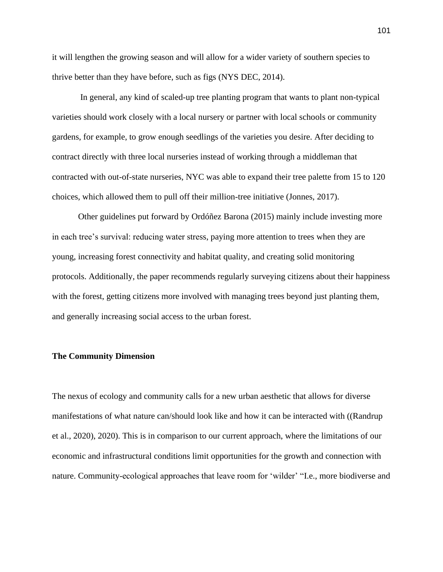it will lengthen the growing season and will allow for a wider variety of southern species to thrive better than they have before, such as figs (NYS DEC, 2014).

In general, any kind of scaled-up tree planting program that wants to plant non-typical varieties should work closely with a local nursery or partner with local schools or community gardens, for example, to grow enough seedlings of the varieties you desire. After deciding to contract directly with three local nurseries instead of working through a middleman that contracted with out-of-state nurseries, NYC was able to expand their tree palette from 15 to 120 choices, which allowed them to pull off their million-tree initiative (Jonnes, 2017).

Other guidelines put forward by Ordóñez Barona (2015) mainly include investing more in each tree's survival: reducing water stress, paying more attention to trees when they are young, increasing forest connectivity and habitat quality, and creating solid monitoring protocols. Additionally, the paper recommends regularly surveying citizens about their happiness with the forest, getting citizens more involved with managing trees beyond just planting them, and generally increasing social access to the urban forest.

## **The Community Dimension**

The nexus of ecology and community calls for a new urban aesthetic that allows for diverse manifestations of what nature can/should look like and how it can be interacted with ((Randrup et al., 2020), 2020). This is in comparison to our current approach, where the limitations of our economic and infrastructural conditions limit opportunities for the growth and connection with nature. Community-ecological approaches that leave room for 'wilder' "I.e., more biodiverse and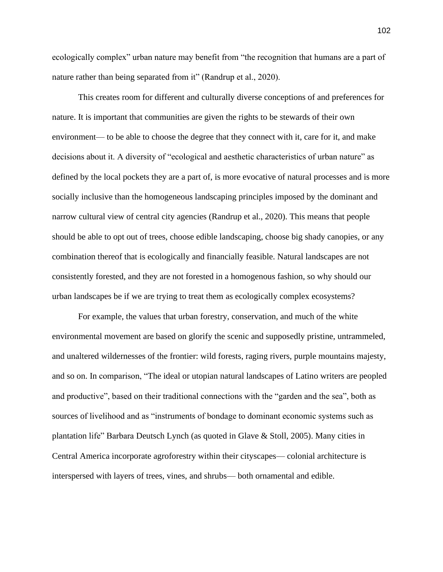ecologically complex" urban nature may benefit from "the recognition that humans are a part of nature rather than being separated from it" (Randrup et al., 2020).

This creates room for different and culturally diverse conceptions of and preferences for nature. It is important that communities are given the rights to be stewards of their own environment— to be able to choose the degree that they connect with it, care for it, and make decisions about it. A diversity of "ecological and aesthetic characteristics of urban nature" as defined by the local pockets they are a part of, is more evocative of natural processes and is more socially inclusive than the homogeneous landscaping principles imposed by the dominant and narrow cultural view of central city agencies (Randrup et al., 2020). This means that people should be able to opt out of trees, choose edible landscaping, choose big shady canopies, or any combination thereof that is ecologically and financially feasible. Natural landscapes are not consistently forested, and they are not forested in a homogenous fashion, so why should our urban landscapes be if we are trying to treat them as ecologically complex ecosystems?

For example, the values that urban forestry, conservation, and much of the white environmental movement are based on glorify the scenic and supposedly pristine, untrammeled, and unaltered wildernesses of the frontier: wild forests, raging rivers, purple mountains majesty, and so on. In comparison, "The ideal or utopian natural landscapes of Latino writers are peopled and productive", based on their traditional connections with the "garden and the sea", both as sources of livelihood and as "instruments of bondage to dominant economic systems such as plantation life" Barbara Deutsch Lynch (as quoted in Glave & Stoll, 2005). Many cities in Central America incorporate agroforestry within their cityscapes— colonial architecture is interspersed with layers of trees, vines, and shrubs— both ornamental and edible.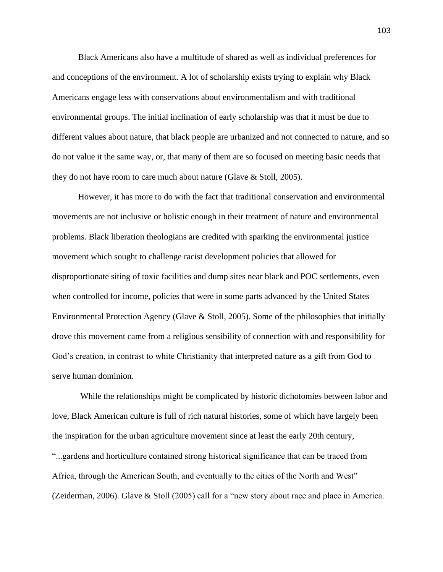Black Americans also have a multitude of shared as well as individual preferences for and conceptions of the environment. A lot of scholarship exists trying to explain why Black Americans engage less with conservations about environmentalism and with traditional environmental groups. The initial inclination of early scholarship was that it must be due to different values about nature, that black people are urbanized and not connected to nature, and so do not value it the same way, or, that many of them are so focused on meeting basic needs that they do not have room to care much about nature (Glave & Stoll, 2005).

However, it has more to do with the fact that traditional conservation and environmental movements are not inclusive or holistic enough in their treatment of nature and environmental problems. Black liberation theologians are credited with sparking the environmental justice movement which sought to challenge racist development policies that allowed for disproportionate siting of toxic facilities and dump sites near black and POC settlements, even when controlled for income, policies that were in some parts advanced by the United States Environmental Protection Agency (Glave & Stoll, 2005). Some of the philosophies that initially drove this movement came from a religious sensibility of connection with and responsibility for God's creation, in contrast to white Christianity that interpreted nature as a gift from God to serve human dominion.

While the relationships might be complicated by historic dichotomies between labor and love, Black American culture is full of rich natural histories, some of which have largely been the inspiration for the urban agriculture movement since at least the early 20th century, "...gardens and horticulture contained strong historical significance that can be traced from Africa, through the American South, and eventually to the cities of the North and West" (Zeiderman, 2006). Glave & Stoll (2005) call for a "new story about race and place in America.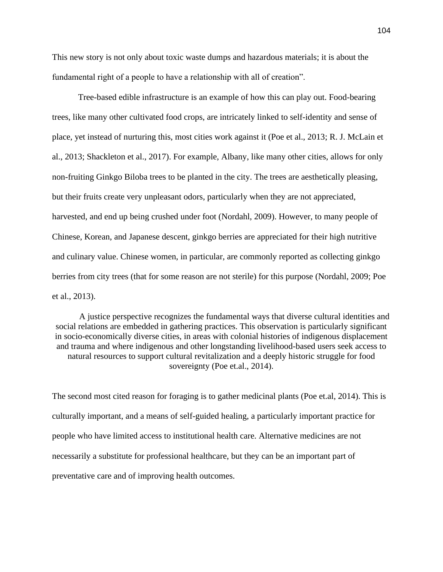This new story is not only about toxic waste dumps and hazardous materials; it is about the fundamental right of a people to have a relationship with all of creation".

Tree-based edible infrastructure is an example of how this can play out. Food-bearing trees, like many other cultivated food crops, are intricately linked to self-identity and sense of place, yet instead of nurturing this, most cities work against it (Poe et al., 2013; R. J. McLain et al., 2013; Shackleton et al., 2017). For example, Albany, like many other cities, allows for only non-fruiting Ginkgo Biloba trees to be planted in the city. The trees are aesthetically pleasing, but their fruits create very unpleasant odors, particularly when they are not appreciated, harvested, and end up being crushed under foot (Nordahl, 2009). However, to many people of Chinese, Korean, and Japanese descent, ginkgo berries are appreciated for their high nutritive and culinary value. Chinese women, in particular, are commonly reported as collecting ginkgo berries from city trees (that for some reason are not sterile) for this purpose (Nordahl, 2009; Poe et al., 2013).

A justice perspective recognizes the fundamental ways that diverse cultural identities and social relations are embedded in gathering practices. This observation is particularly significant in socio-economically diverse cities, in areas with colonial histories of indigenous displacement and trauma and where indigenous and other longstanding livelihood-based users seek access to natural resources to support cultural revitalization and a deeply historic struggle for food sovereignty (Poe et.al., 2014).

The second most cited reason for foraging is to gather medicinal plants (Poe et.al, 2014). This is culturally important, and a means of self-guided healing, a particularly important practice for people who have limited access to institutional health care. Alternative medicines are not necessarily a substitute for professional healthcare, but they can be an important part of preventative care and of improving health outcomes.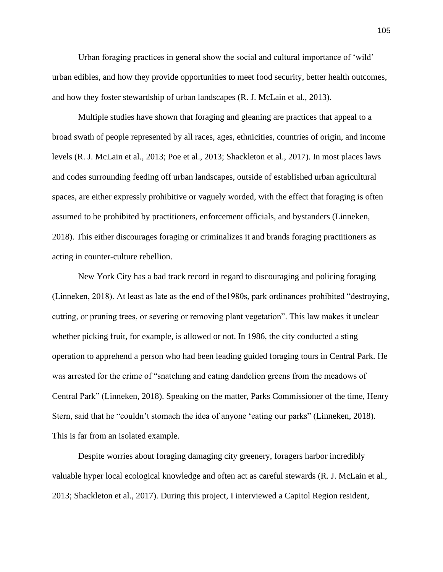Urban foraging practices in general show the social and cultural importance of 'wild' urban edibles, and how they provide opportunities to meet food security, better health outcomes, and how they foster stewardship of urban landscapes (R. J. McLain et al., 2013).

Multiple studies have shown that foraging and gleaning are practices that appeal to a broad swath of people represented by all races, ages, ethnicities, countries of origin, and income levels (R. J. McLain et al., 2013; Poe et al., 2013; Shackleton et al., 2017). In most places laws and codes surrounding feeding off urban landscapes, outside of established urban agricultural spaces, are either expressly prohibitive or vaguely worded, with the effect that foraging is often assumed to be prohibited by practitioners, enforcement officials, and bystanders (Linneken, 2018). This either discourages foraging or criminalizes it and brands foraging practitioners as acting in counter-culture rebellion.

New York City has a bad track record in regard to discouraging and policing foraging (Linneken, 2018). At least as late as the end of the1980s, park ordinances prohibited "destroying, cutting, or pruning trees, or severing or removing plant vegetation". This law makes it unclear whether picking fruit, for example, is allowed or not. In 1986, the city conducted a sting operation to apprehend a person who had been leading guided foraging tours in Central Park. He was arrested for the crime of "snatching and eating dandelion greens from the meadows of Central Park" (Linneken, 2018). Speaking on the matter, Parks Commissioner of the time, Henry Stern, said that he "couldn't stomach the idea of anyone 'eating our parks" (Linneken, 2018). This is far from an isolated example.

Despite worries about foraging damaging city greenery, foragers harbor incredibly valuable hyper local ecological knowledge and often act as careful stewards (R. J. McLain et al., 2013; Shackleton et al., 2017). During this project, I interviewed a Capitol Region resident,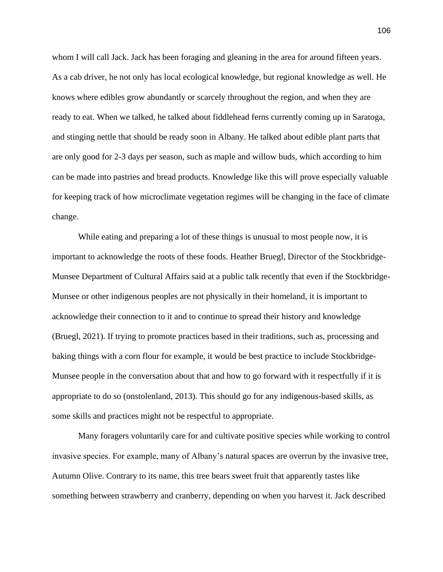whom I will call Jack. Jack has been foraging and gleaning in the area for around fifteen years. As a cab driver, he not only has local ecological knowledge, but regional knowledge as well. He knows where edibles grow abundantly or scarcely throughout the region, and when they are ready to eat. When we talked, he talked about fiddlehead ferns currently coming up in Saratoga, and stinging nettle that should be ready soon in Albany. He talked about edible plant parts that are only good for 2-3 days per season, such as maple and willow buds, which according to him can be made into pastries and bread products. Knowledge like this will prove especially valuable for keeping track of how microclimate vegetation regimes will be changing in the face of climate change.

While eating and preparing a lot of these things is unusual to most people now, it is important to acknowledge the roots of these foods. Heather Bruegl, Director of the Stockbridge-Munsee Department of Cultural Affairs said at a public talk recently that even if the Stockbridge-Munsee or other indigenous peoples are not physically in their homeland, it is important to acknowledge their connection to it and to continue to spread their history and knowledge (Bruegl, 2021). If trying to promote practices based in their traditions, such as, processing and baking things with a corn flour for example, it would be best practice to include Stockbridge-Munsee people in the conversation about that and how to go forward with it respectfully if it is appropriate to do so (onstolenland, 2013). This should go for any indigenous-based skills, as some skills and practices might not be respectful to appropriate.

Many foragers voluntarily care for and cultivate positive species while working to control invasive species. For example, many of Albany's natural spaces are overrun by the invasive tree, Autumn Olive. Contrary to its name, this tree bears sweet fruit that apparently tastes like something between strawberry and cranberry, depending on when you harvest it. Jack described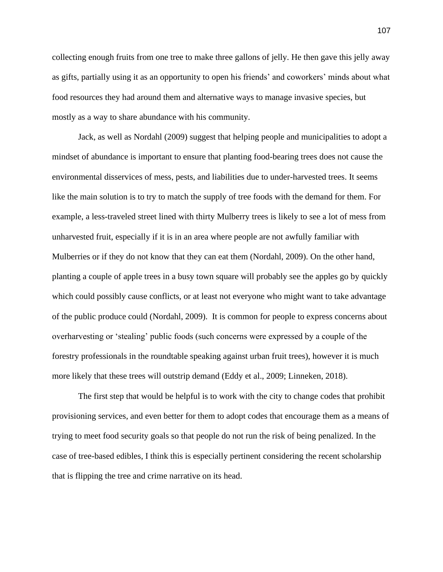collecting enough fruits from one tree to make three gallons of jelly. He then gave this jelly away as gifts, partially using it as an opportunity to open his friends' and coworkers' minds about what food resources they had around them and alternative ways to manage invasive species, but mostly as a way to share abundance with his community.

Jack, as well as Nordahl (2009) suggest that helping people and municipalities to adopt a mindset of abundance is important to ensure that planting food-bearing trees does not cause the environmental disservices of mess, pests, and liabilities due to under-harvested trees. It seems like the main solution is to try to match the supply of tree foods with the demand for them. For example, a less-traveled street lined with thirty Mulberry trees is likely to see a lot of mess from unharvested fruit, especially if it is in an area where people are not awfully familiar with Mulberries or if they do not know that they can eat them (Nordahl, 2009). On the other hand, planting a couple of apple trees in a busy town square will probably see the apples go by quickly which could possibly cause conflicts, or at least not everyone who might want to take advantage of the public produce could (Nordahl, 2009). It is common for people to express concerns about overharvesting or 'stealing' public foods (such concerns were expressed by a couple of the forestry professionals in the roundtable speaking against urban fruit trees), however it is much more likely that these trees will outstrip demand (Eddy et al., 2009; Linneken, 2018).

The first step that would be helpful is to work with the city to change codes that prohibit provisioning services, and even better for them to adopt codes that encourage them as a means of trying to meet food security goals so that people do not run the risk of being penalized. In the case of tree-based edibles, I think this is especially pertinent considering the recent scholarship that is flipping the tree and crime narrative on its head.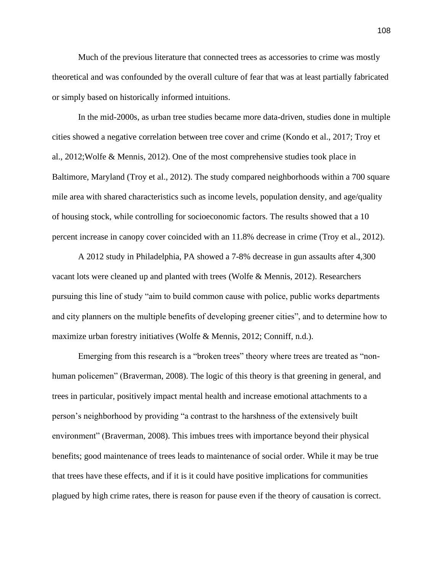Much of the previous literature that connected trees as accessories to crime was mostly theoretical and was confounded by the overall culture of fear that was at least partially fabricated or simply based on historically informed intuitions.

In the mid-2000s, as urban tree studies became more data-driven, studies done in multiple cities showed a negative correlation between tree cover and crime (Kondo et al., 2017; Troy et al., 2012;Wolfe & Mennis, 2012). One of the most comprehensive studies took place in Baltimore, Maryland (Troy et al., 2012). The study compared neighborhoods within a 700 square mile area with shared characteristics such as income levels, population density, and age/quality of housing stock, while controlling for socioeconomic factors. The results showed that a 10 percent increase in canopy cover coincided with an 11.8% decrease in crime (Troy et al., 2012).

A 2012 study in Philadelphia, PA showed a 7-8% decrease in gun assaults after 4,300 vacant lots were cleaned up and planted with trees (Wolfe & Mennis, 2012). Researchers pursuing this line of study "aim to build common cause with police, public works departments and city planners on the multiple benefits of developing greener cities", and to determine how to maximize urban forestry initiatives (Wolfe & Mennis, 2012; Conniff, n.d.).

Emerging from this research is a "broken trees" theory where trees are treated as "nonhuman policemen" (Braverman, 2008). The logic of this theory is that greening in general, and trees in particular, positively impact mental health and increase emotional attachments to a person's neighborhood by providing "a contrast to the harshness of the extensively built environment" (Braverman, 2008). This imbues trees with importance beyond their physical benefits; good maintenance of trees leads to maintenance of social order. While it may be true that trees have these effects, and if it is it could have positive implications for communities plagued by high crime rates, there is reason for pause even if the theory of causation is correct.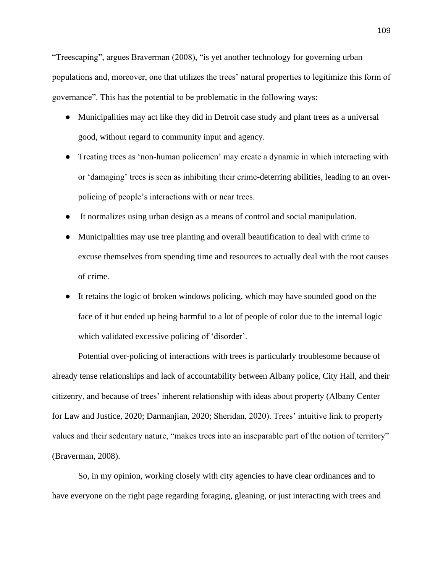"Treescaping", argues Braverman (2008), "is yet another technology for governing urban populations and, moreover, one that utilizes the trees' natural properties to legitimize this form of governance". This has the potential to be problematic in the following ways:

- Municipalities may act like they did in Detroit case study and plant trees as a universal good, without regard to community input and agency.
- Treating trees as 'non-human policemen' may create a dynamic in which interacting with or 'damaging' trees is seen as inhibiting their crime-deterring abilities, leading to an overpolicing of people's interactions with or near trees.
- It normalizes using urban design as a means of control and social manipulation.
- Municipalities may use tree planting and overall beautification to deal with crime to excuse themselves from spending time and resources to actually deal with the root causes of crime.
- It retains the logic of broken windows policing, which may have sounded good on the face of it but ended up being harmful to a lot of people of color due to the internal logic which validated excessive policing of 'disorder'.

Potential over-policing of interactions with trees is particularly troublesome because of already tense relationships and lack of accountability between Albany police, City Hall, and their citizenry, and because of trees' inherent relationship with ideas about property (Albany Center for Law and Justice, 2020; Darmanjian, 2020; Sheridan, 2020). Trees' intuitive link to property values and their sedentary nature, "makes trees into an inseparable part of the notion of territory" (Braverman, 2008).

So, in my opinion, working closely with city agencies to have clear ordinances and to have everyone on the right page regarding foraging, gleaning, or just interacting with trees and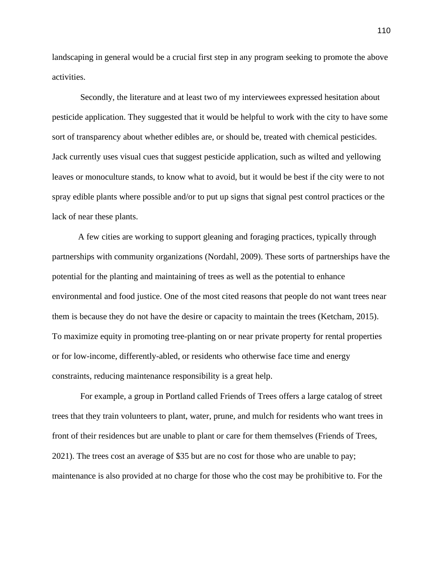landscaping in general would be a crucial first step in any program seeking to promote the above activities.

Secondly, the literature and at least two of my interviewees expressed hesitation about pesticide application. They suggested that it would be helpful to work with the city to have some sort of transparency about whether edibles are, or should be, treated with chemical pesticides. Jack currently uses visual cues that suggest pesticide application, such as wilted and yellowing leaves or monoculture stands, to know what to avoid, but it would be best if the city were to not spray edible plants where possible and/or to put up signs that signal pest control practices or the lack of near these plants.

A few cities are working to support gleaning and foraging practices, typically through partnerships with community organizations (Nordahl, 2009). These sorts of partnerships have the potential for the planting and maintaining of trees as well as the potential to enhance environmental and food justice. One of the most cited reasons that people do not want trees near them is because they do not have the desire or capacity to maintain the trees (Ketcham, 2015). To maximize equity in promoting tree-planting on or near private property for rental properties or for low-income, differently-abled, or residents who otherwise face time and energy constraints, reducing maintenance responsibility is a great help.

For example, a group in Portland called Friends of Trees offers a large catalog of street trees that they train volunteers to plant, water, prune, and mulch for residents who want trees in front of their residences but are unable to plant or care for them themselves (Friends of Trees, 2021). The trees cost an average of \$35 but are no cost for those who are unable to pay; maintenance is also provided at no charge for those who the cost may be prohibitive to. For the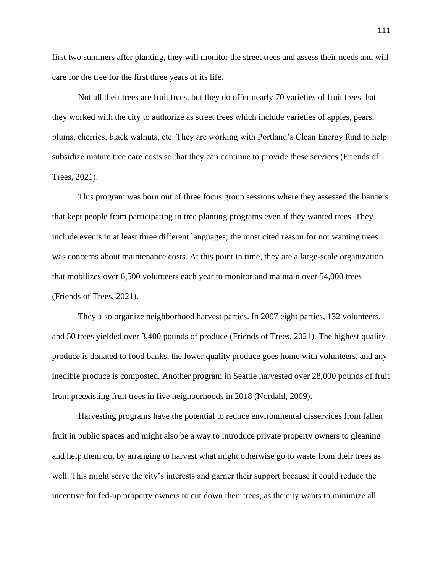first two summers after planting, they will monitor the street trees and assess their needs and will care for the tree for the first three years of its life.

Not all their trees are fruit trees, but they do offer nearly 70 varieties of fruit trees that they worked with the city to authorize as street trees which include varieties of apples, pears, plums, cherries, black walnuts, etc. They are working with Portland's Clean Energy fund to help subsidize mature tree care costs so that they can continue to provide these services (Friends of Trees, 2021).

This program was born out of three focus group sessions where they assessed the barriers that kept people from participating in tree planting programs even if they wanted trees. They include events in at least three different languages; the most cited reason for not wanting trees was concerns about maintenance costs. At this point in time, they are a large-scale organization that mobilizes over 6,500 volunteers each year to monitor and maintain over 54,000 trees (Friends of Trees, 2021).

They also organize neighborhood harvest parties. In 2007 eight parties, 132 volunteers, and 50 trees yielded over 3,400 pounds of produce (Friends of Trees, 2021). The highest quality produce is donated to food banks, the lower quality produce goes home with volunteers, and any inedible produce is composted. Another program in Seattle harvested over 28,000 pounds of fruit from preexisting fruit trees in five neighborhoods in 2018 (Nordahl, 2009).

Harvesting programs have the potential to reduce environmental disservices from fallen fruit in public spaces and might also be a way to introduce private property owners to gleaning and help them out by arranging to harvest what might otherwise go to waste from their trees as well. This might serve the city's interests and garner their support because it could reduce the incentive for fed-up property owners to cut down their trees, as the city wants to minimize all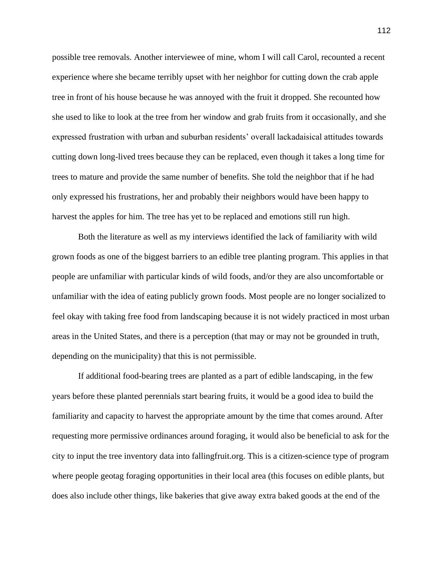possible tree removals. Another interviewee of mine, whom I will call Carol, recounted a recent experience where she became terribly upset with her neighbor for cutting down the crab apple tree in front of his house because he was annoyed with the fruit it dropped. She recounted how she used to like to look at the tree from her window and grab fruits from it occasionally, and she expressed frustration with urban and suburban residents' overall lackadaisical attitudes towards cutting down long-lived trees because they can be replaced, even though it takes a long time for trees to mature and provide the same number of benefits. She told the neighbor that if he had only expressed his frustrations, her and probably their neighbors would have been happy to harvest the apples for him. The tree has yet to be replaced and emotions still run high.

Both the literature as well as my interviews identified the lack of familiarity with wild grown foods as one of the biggest barriers to an edible tree planting program. This applies in that people are unfamiliar with particular kinds of wild foods, and/or they are also uncomfortable or unfamiliar with the idea of eating publicly grown foods. Most people are no longer socialized to feel okay with taking free food from landscaping because it is not widely practiced in most urban areas in the United States, and there is a perception (that may or may not be grounded in truth, depending on the municipality) that this is not permissible.

If additional food-bearing trees are planted as a part of edible landscaping, in the few years before these planted perennials start bearing fruits, it would be a good idea to build the familiarity and capacity to harvest the appropriate amount by the time that comes around. After requesting more permissive ordinances around foraging, it would also be beneficial to ask for the city to input the tree inventory data into fallingfruit.org. This is a citizen-science type of program where people geotag foraging opportunities in their local area (this focuses on edible plants, but does also include other things, like bakeries that give away extra baked goods at the end of the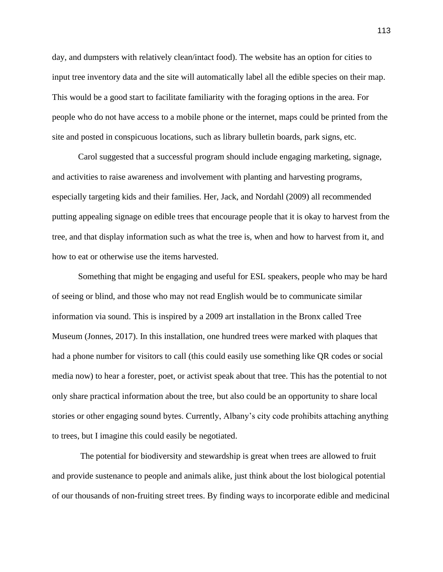day, and dumpsters with relatively clean/intact food). The website has an option for cities to input tree inventory data and the site will automatically label all the edible species on their map. This would be a good start to facilitate familiarity with the foraging options in the area. For people who do not have access to a mobile phone or the internet, maps could be printed from the site and posted in conspicuous locations, such as library bulletin boards, park signs, etc.

Carol suggested that a successful program should include engaging marketing, signage, and activities to raise awareness and involvement with planting and harvesting programs, especially targeting kids and their families. Her, Jack, and Nordahl (2009) all recommended putting appealing signage on edible trees that encourage people that it is okay to harvest from the tree, and that display information such as what the tree is, when and how to harvest from it, and how to eat or otherwise use the items harvested.

Something that might be engaging and useful for ESL speakers, people who may be hard of seeing or blind, and those who may not read English would be to communicate similar information via sound. This is inspired by a 2009 art installation in the Bronx called Tree Museum (Jonnes, 2017). In this installation, one hundred trees were marked with plaques that had a phone number for visitors to call (this could easily use something like QR codes or social media now) to hear a forester, poet, or activist speak about that tree. This has the potential to not only share practical information about the tree, but also could be an opportunity to share local stories or other engaging sound bytes. Currently, Albany's city code prohibits attaching anything to trees, but I imagine this could easily be negotiated.

The potential for biodiversity and stewardship is great when trees are allowed to fruit and provide sustenance to people and animals alike, just think about the lost biological potential of our thousands of non-fruiting street trees. By finding ways to incorporate edible and medicinal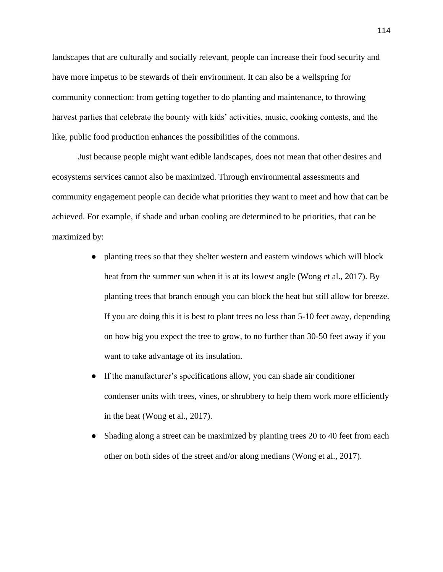landscapes that are culturally and socially relevant, people can increase their food security and have more impetus to be stewards of their environment. It can also be a wellspring for community connection: from getting together to do planting and maintenance, to throwing harvest parties that celebrate the bounty with kids' activities, music, cooking contests, and the like, public food production enhances the possibilities of the commons.

Just because people might want edible landscapes, does not mean that other desires and ecosystems services cannot also be maximized. Through environmental assessments and community engagement people can decide what priorities they want to meet and how that can be achieved. For example, if shade and urban cooling are determined to be priorities, that can be maximized by:

- planting trees so that they shelter western and eastern windows which will block heat from the summer sun when it is at its lowest angle (Wong et al., 2017). By planting trees that branch enough you can block the heat but still allow for breeze. If you are doing this it is best to plant trees no less than 5-10 feet away, depending on how big you expect the tree to grow, to no further than 30-50 feet away if you want to take advantage of its insulation.
- If the manufacturer's specifications allow, you can shade air conditioner condenser units with trees, vines, or shrubbery to help them work more efficiently in the heat (Wong et al., 2017).
- Shading along a street can be maximized by planting trees 20 to 40 feet from each other on both sides of the street and/or along medians (Wong et al., 2017).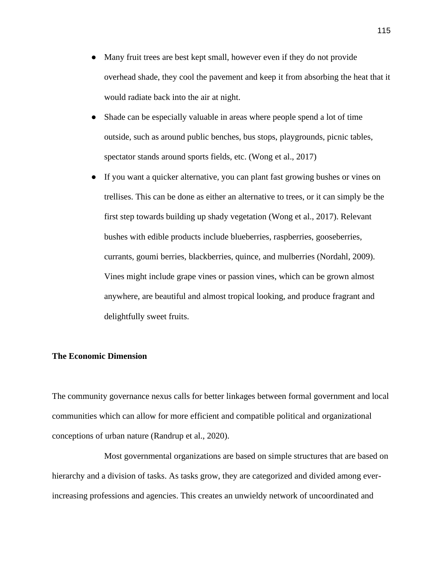- Many fruit trees are best kept small, however even if they do not provide overhead shade, they cool the pavement and keep it from absorbing the heat that it would radiate back into the air at night.
- Shade can be especially valuable in areas where people spend a lot of time outside, such as around public benches, bus stops, playgrounds, picnic tables, spectator stands around sports fields, etc. (Wong et al., 2017)
- If you want a quicker alternative, you can plant fast growing bushes or vines on trellises. This can be done as either an alternative to trees, or it can simply be the first step towards building up shady vegetation (Wong et al., 2017). Relevant bushes with edible products include blueberries, raspberries, gooseberries, currants, goumi berries, blackberries, quince, and mulberries (Nordahl, 2009). Vines might include grape vines or passion vines, which can be grown almost anywhere, are beautiful and almost tropical looking, and produce fragrant and delightfully sweet fruits.

## **The Economic Dimension**

The community governance nexus calls for better linkages between formal government and local communities which can allow for more efficient and compatible political and organizational conceptions of urban nature (Randrup et al., 2020).

Most governmental organizations are based on simple structures that are based on hierarchy and a division of tasks. As tasks grow, they are categorized and divided among everincreasing professions and agencies. This creates an unwieldy network of uncoordinated and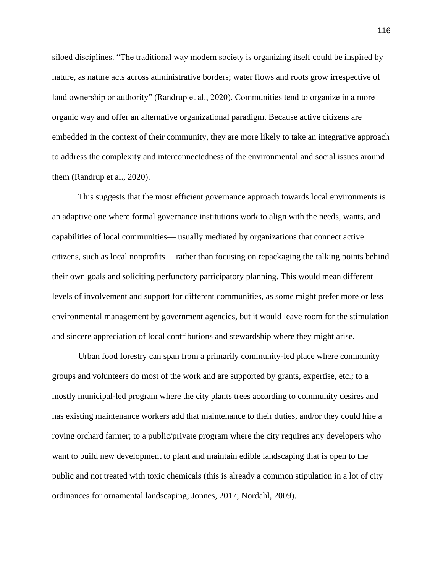siloed disciplines. "The traditional way modern society is organizing itself could be inspired by nature, as nature acts across administrative borders; water flows and roots grow irrespective of land ownership or authority" (Randrup et al., 2020). Communities tend to organize in a more organic way and offer an alternative organizational paradigm. Because active citizens are embedded in the context of their community, they are more likely to take an integrative approach to address the complexity and interconnectedness of the environmental and social issues around them (Randrup et al., 2020).

This suggests that the most efficient governance approach towards local environments is an adaptive one where formal governance institutions work to align with the needs, wants, and capabilities of local communities— usually mediated by organizations that connect active citizens, such as local nonprofits— rather than focusing on repackaging the talking points behind their own goals and soliciting perfunctory participatory planning. This would mean different levels of involvement and support for different communities, as some might prefer more or less environmental management by government agencies, but it would leave room for the stimulation and sincere appreciation of local contributions and stewardship where they might arise.

Urban food forestry can span from a primarily community-led place where community groups and volunteers do most of the work and are supported by grants, expertise, etc.; to a mostly municipal-led program where the city plants trees according to community desires and has existing maintenance workers add that maintenance to their duties, and/or they could hire a roving orchard farmer; to a public/private program where the city requires any developers who want to build new development to plant and maintain edible landscaping that is open to the public and not treated with toxic chemicals (this is already a common stipulation in a lot of city ordinances for ornamental landscaping; Jonnes, 2017; Nordahl, 2009).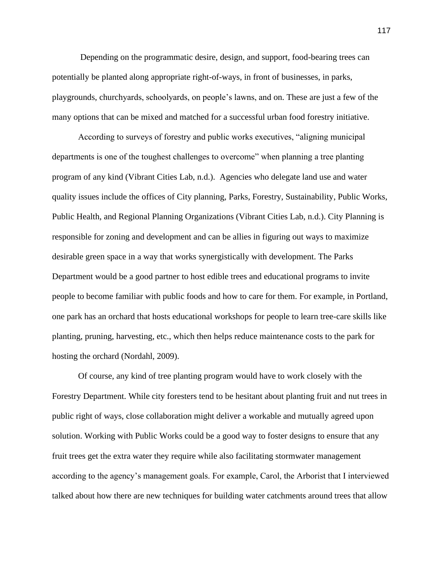Depending on the programmatic desire, design, and support, food-bearing trees can potentially be planted along appropriate right-of-ways, in front of businesses, in parks, playgrounds, churchyards, schoolyards, on people's lawns, and on. These are just a few of the many options that can be mixed and matched for a successful urban food forestry initiative.

According to surveys of forestry and public works executives, "aligning municipal departments is one of the toughest challenges to overcome" when planning a tree planting program of any kind (Vibrant Cities Lab, n.d.). Agencies who delegate land use and water quality issues include the offices of City planning, Parks, Forestry, Sustainability, Public Works, Public Health, and Regional Planning Organizations (Vibrant Cities Lab, n.d.). City Planning is responsible for zoning and development and can be allies in figuring out ways to maximize desirable green space in a way that works synergistically with development. The Parks Department would be a good partner to host edible trees and educational programs to invite people to become familiar with public foods and how to care for them. For example, in Portland, one park has an orchard that hosts educational workshops for people to learn tree-care skills like planting, pruning, harvesting, etc., which then helps reduce maintenance costs to the park for hosting the orchard (Nordahl, 2009).

Of course, any kind of tree planting program would have to work closely with the Forestry Department. While city foresters tend to be hesitant about planting fruit and nut trees in public right of ways, close collaboration might deliver a workable and mutually agreed upon solution. Working with Public Works could be a good way to foster designs to ensure that any fruit trees get the extra water they require while also facilitating stormwater management according to the agency's management goals. For example, Carol, the Arborist that I interviewed talked about how there are new techniques for building water catchments around trees that allow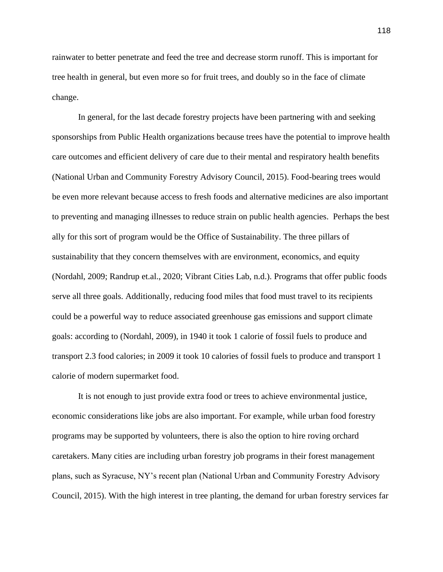rainwater to better penetrate and feed the tree and decrease storm runoff. This is important for tree health in general, but even more so for fruit trees, and doubly so in the face of climate change.

In general, for the last decade forestry projects have been partnering with and seeking sponsorships from Public Health organizations because trees have the potential to improve health care outcomes and efficient delivery of care due to their mental and respiratory health benefits (National Urban and Community Forestry Advisory Council, 2015). Food-bearing trees would be even more relevant because access to fresh foods and alternative medicines are also important to preventing and managing illnesses to reduce strain on public health agencies. Perhaps the best ally for this sort of program would be the Office of Sustainability. The three pillars of sustainability that they concern themselves with are environment, economics, and equity (Nordahl, 2009; Randrup et.al., 2020; Vibrant Cities Lab, n.d.). Programs that offer public foods serve all three goals. Additionally, reducing food miles that food must travel to its recipients could be a powerful way to reduce associated greenhouse gas emissions and support climate goals: according to (Nordahl, 2009), in 1940 it took 1 calorie of fossil fuels to produce and transport 2.3 food calories; in 2009 it took 10 calories of fossil fuels to produce and transport 1 calorie of modern supermarket food.

It is not enough to just provide extra food or trees to achieve environmental justice, economic considerations like jobs are also important. For example, while urban food forestry programs may be supported by volunteers, there is also the option to hire roving orchard caretakers. Many cities are including urban forestry job programs in their forest management plans, such as Syracuse, NY's recent plan (National Urban and Community Forestry Advisory Council, 2015). With the high interest in tree planting, the demand for urban forestry services far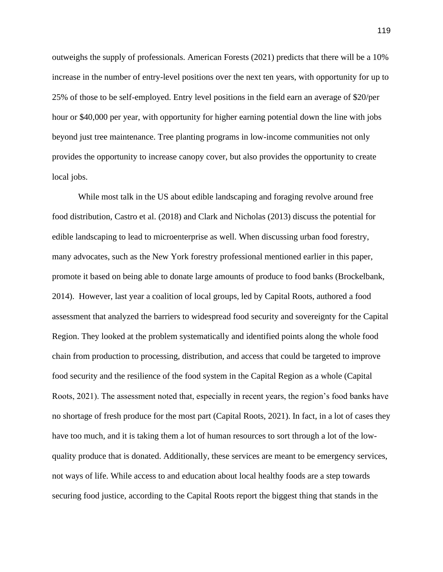outweighs the supply of professionals. American Forests (2021) predicts that there will be a 10% increase in the number of entry-level positions over the next ten years, with opportunity for up to 25% of those to be self-employed. Entry level positions in the field earn an average of \$20/per hour or \$40,000 per year, with opportunity for higher earning potential down the line with jobs beyond just tree maintenance. Tree planting programs in low-income communities not only provides the opportunity to increase canopy cover, but also provides the opportunity to create local jobs.

While most talk in the US about edible landscaping and foraging revolve around free food distribution, Castro et al. (2018) and Clark and Nicholas (2013) discuss the potential for edible landscaping to lead to microenterprise as well. When discussing urban food forestry, many advocates, such as the New York forestry professional mentioned earlier in this paper, promote it based on being able to donate large amounts of produce to food banks (Brockelbank, 2014). However, last year a coalition of local groups, led by Capital Roots, authored a food assessment that analyzed the barriers to widespread food security and sovereignty for the Capital Region. They looked at the problem systematically and identified points along the whole food chain from production to processing, distribution, and access that could be targeted to improve food security and the resilience of the food system in the Capital Region as a whole (Capital Roots, 2021). The assessment noted that, especially in recent years, the region's food banks have no shortage of fresh produce for the most part (Capital Roots, 2021). In fact, in a lot of cases they have too much, and it is taking them a lot of human resources to sort through a lot of the lowquality produce that is donated. Additionally, these services are meant to be emergency services, not ways of life. While access to and education about local healthy foods are a step towards securing food justice, according to the Capital Roots report the biggest thing that stands in the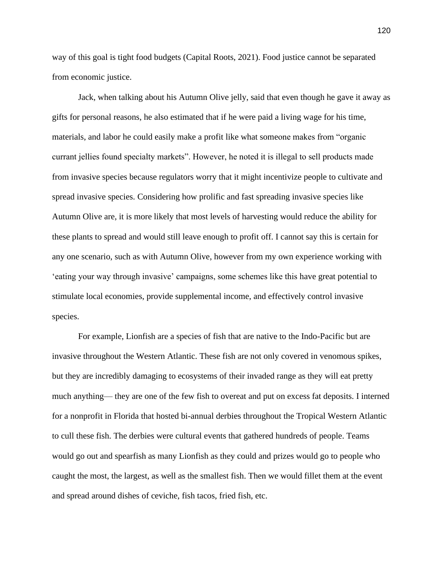way of this goal is tight food budgets (Capital Roots, 2021). Food justice cannot be separated from economic justice.

Jack, when talking about his Autumn Olive jelly, said that even though he gave it away as gifts for personal reasons, he also estimated that if he were paid a living wage for his time, materials, and labor he could easily make a profit like what someone makes from "organic currant jellies found specialty markets". However, he noted it is illegal to sell products made from invasive species because regulators worry that it might incentivize people to cultivate and spread invasive species. Considering how prolific and fast spreading invasive species like Autumn Olive are, it is more likely that most levels of harvesting would reduce the ability for these plants to spread and would still leave enough to profit off. I cannot say this is certain for any one scenario, such as with Autumn Olive, however from my own experience working with 'eating your way through invasive' campaigns, some schemes like this have great potential to stimulate local economies, provide supplemental income, and effectively control invasive species.

For example, Lionfish are a species of fish that are native to the Indo-Pacific but are invasive throughout the Western Atlantic. These fish are not only covered in venomous spikes, but they are incredibly damaging to ecosystems of their invaded range as they will eat pretty much anything— they are one of the few fish to overeat and put on excess fat deposits. I interned for a nonprofit in Florida that hosted bi-annual derbies throughout the Tropical Western Atlantic to cull these fish. The derbies were cultural events that gathered hundreds of people. Teams would go out and spearfish as many Lionfish as they could and prizes would go to people who caught the most, the largest, as well as the smallest fish. Then we would fillet them at the event and spread around dishes of ceviche, fish tacos, fried fish, etc.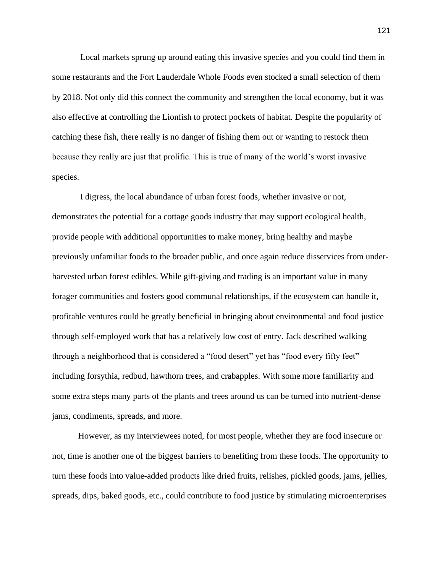Local markets sprung up around eating this invasive species and you could find them in some restaurants and the Fort Lauderdale Whole Foods even stocked a small selection of them by 2018. Not only did this connect the community and strengthen the local economy, but it was also effective at controlling the Lionfish to protect pockets of habitat. Despite the popularity of catching these fish, there really is no danger of fishing them out or wanting to restock them because they really are just that prolific. This is true of many of the world's worst invasive species.

I digress, the local abundance of urban forest foods, whether invasive or not, demonstrates the potential for a cottage goods industry that may support ecological health, provide people with additional opportunities to make money, bring healthy and maybe previously unfamiliar foods to the broader public, and once again reduce disservices from underharvested urban forest edibles. While gift-giving and trading is an important value in many forager communities and fosters good communal relationships, if the ecosystem can handle it, profitable ventures could be greatly beneficial in bringing about environmental and food justice through self-employed work that has a relatively low cost of entry. Jack described walking through a neighborhood that is considered a "food desert" yet has "food every fifty feet" including forsythia, redbud, hawthorn trees, and crabapples. With some more familiarity and some extra steps many parts of the plants and trees around us can be turned into nutrient-dense jams, condiments, spreads, and more.

However, as my interviewees noted, for most people, whether they are food insecure or not, time is another one of the biggest barriers to benefiting from these foods. The opportunity to turn these foods into value-added products like dried fruits, relishes, pickled goods, jams, jellies, spreads, dips, baked goods, etc., could contribute to food justice by stimulating microenterprises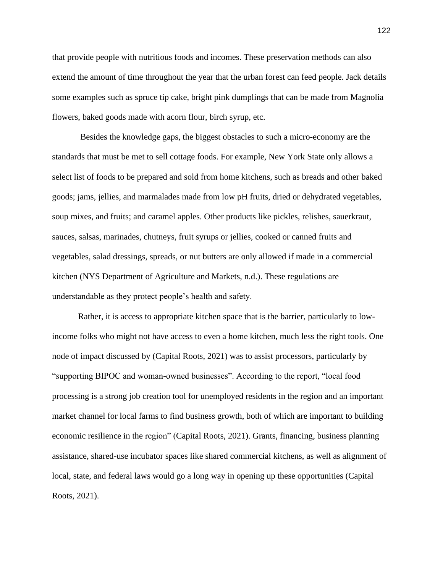that provide people with nutritious foods and incomes. These preservation methods can also extend the amount of time throughout the year that the urban forest can feed people. Jack details some examples such as spruce tip cake, bright pink dumplings that can be made from Magnolia flowers, baked goods made with acorn flour, birch syrup, etc.

Besides the knowledge gaps, the biggest obstacles to such a micro-economy are the standards that must be met to sell cottage foods. For example, New York State only allows a select list of foods to be prepared and sold from home kitchens, such as breads and other baked goods; jams, jellies, and marmalades made from low pH fruits, dried or dehydrated vegetables, soup mixes, and fruits; and caramel apples. Other products like pickles, relishes, sauerkraut, sauces, salsas, marinades, chutneys, fruit syrups or jellies, cooked or canned fruits and vegetables, salad dressings, spreads, or nut butters are only allowed if made in a commercial kitchen (NYS Department of Agriculture and Markets, n.d.). These regulations are understandable as they protect people's health and safety.

Rather, it is access to appropriate kitchen space that is the barrier, particularly to lowincome folks who might not have access to even a home kitchen, much less the right tools. One node of impact discussed by (Capital Roots, 2021) was to assist processors, particularly by "supporting BIPOC and woman-owned businesses". According to the report, "local food processing is a strong job creation tool for unemployed residents in the region and an important market channel for local farms to find business growth, both of which are important to building economic resilience in the region" (Capital Roots, 2021). Grants, financing, business planning assistance, shared-use incubator spaces like shared commercial kitchens, as well as alignment of local, state, and federal laws would go a long way in opening up these opportunities (Capital Roots, 2021).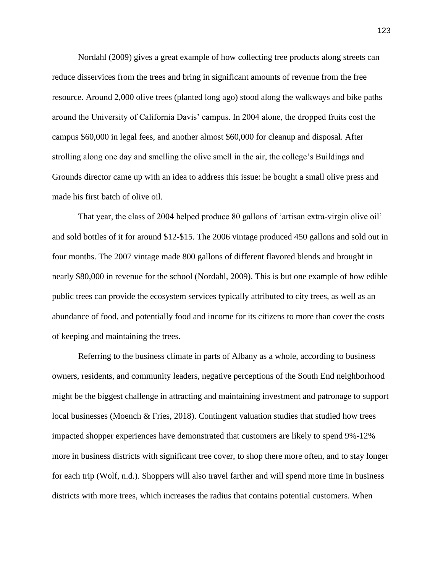Nordahl (2009) gives a great example of how collecting tree products along streets can reduce disservices from the trees and bring in significant amounts of revenue from the free resource. Around 2,000 olive trees (planted long ago) stood along the walkways and bike paths around the University of California Davis' campus. In 2004 alone, the dropped fruits cost the campus \$60,000 in legal fees, and another almost \$60,000 for cleanup and disposal. After strolling along one day and smelling the olive smell in the air, the college's Buildings and Grounds director came up with an idea to address this issue: he bought a small olive press and made his first batch of olive oil.

That year, the class of 2004 helped produce 80 gallons of 'artisan extra-virgin olive oil' and sold bottles of it for around \$12-\$15. The 2006 vintage produced 450 gallons and sold out in four months. The 2007 vintage made 800 gallons of different flavored blends and brought in nearly \$80,000 in revenue for the school (Nordahl, 2009). This is but one example of how edible public trees can provide the ecosystem services typically attributed to city trees, as well as an abundance of food, and potentially food and income for its citizens to more than cover the costs of keeping and maintaining the trees.

Referring to the business climate in parts of Albany as a whole, according to business owners, residents, and community leaders, negative perceptions of the South End neighborhood might be the biggest challenge in attracting and maintaining investment and patronage to support local businesses (Moench & Fries, 2018). Contingent valuation studies that studied how trees impacted shopper experiences have demonstrated that customers are likely to spend 9%-12% more in business districts with significant tree cover, to shop there more often, and to stay longer for each trip (Wolf, n.d.). Shoppers will also travel farther and will spend more time in business districts with more trees, which increases the radius that contains potential customers. When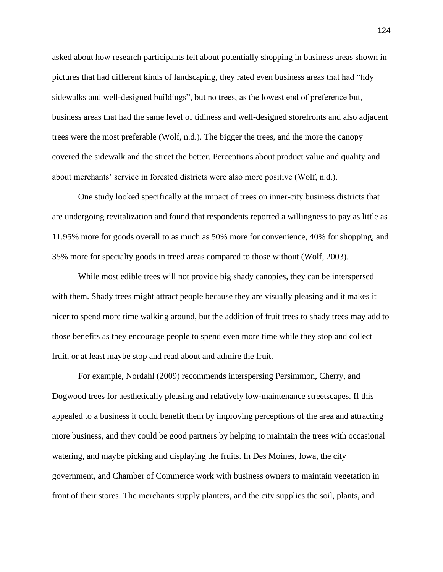asked about how research participants felt about potentially shopping in business areas shown in pictures that had different kinds of landscaping, they rated even business areas that had "tidy sidewalks and well-designed buildings", but no trees, as the lowest end of preference but, business areas that had the same level of tidiness and well-designed storefronts and also adjacent trees were the most preferable (Wolf, n.d.). The bigger the trees, and the more the canopy covered the sidewalk and the street the better. Perceptions about product value and quality and about merchants' service in forested districts were also more positive (Wolf, n.d.).

One study looked specifically at the impact of trees on inner-city business districts that are undergoing revitalization and found that respondents reported a willingness to pay as little as 11.95% more for goods overall to as much as 50% more for convenience, 40% for shopping, and 35% more for specialty goods in treed areas compared to those without (Wolf, 2003).

While most edible trees will not provide big shady canopies, they can be interspersed with them. Shady trees might attract people because they are visually pleasing and it makes it nicer to spend more time walking around, but the addition of fruit trees to shady trees may add to those benefits as they encourage people to spend even more time while they stop and collect fruit, or at least maybe stop and read about and admire the fruit.

For example, Nordahl (2009) recommends interspersing Persimmon, Cherry, and Dogwood trees for aesthetically pleasing and relatively low-maintenance streetscapes. If this appealed to a business it could benefit them by improving perceptions of the area and attracting more business, and they could be good partners by helping to maintain the trees with occasional watering, and maybe picking and displaying the fruits. In Des Moines, Iowa, the city government, and Chamber of Commerce work with business owners to maintain vegetation in front of their stores. The merchants supply planters, and the city supplies the soil, plants, and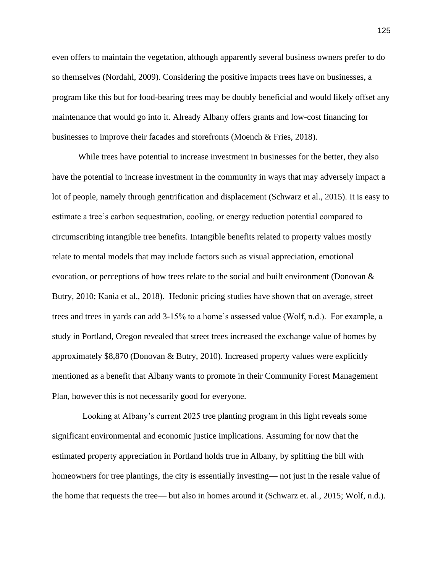even offers to maintain the vegetation, although apparently several business owners prefer to do so themselves (Nordahl, 2009). Considering the positive impacts trees have on businesses, a program like this but for food-bearing trees may be doubly beneficial and would likely offset any maintenance that would go into it. Already Albany offers grants and low-cost financing for businesses to improve their facades and storefronts (Moench & Fries, 2018).

While trees have potential to increase investment in businesses for the better, they also have the potential to increase investment in the community in ways that may adversely impact a lot of people, namely through gentrification and displacement (Schwarz et al., 2015). It is easy to estimate a tree's carbon sequestration, cooling, or energy reduction potential compared to circumscribing intangible tree benefits. Intangible benefits related to property values mostly relate to mental models that may include factors such as visual appreciation, emotional evocation, or perceptions of how trees relate to the social and built environment (Donovan  $\&$ Butry, 2010; Kania et al., 2018). Hedonic pricing studies have shown that on average, street trees and trees in yards can add 3-15% to a home's assessed value (Wolf, n.d.). For example, a study in Portland, Oregon revealed that street trees increased the exchange value of homes by approximately  $$8,870$  (Donovan & Butry, 2010). Increased property values were explicitly mentioned as a benefit that Albany wants to promote in their Community Forest Management Plan, however this is not necessarily good for everyone.

 Looking at Albany's current 2025 tree planting program in this light reveals some significant environmental and economic justice implications. Assuming for now that the estimated property appreciation in Portland holds true in Albany, by splitting the bill with homeowners for tree plantings, the city is essentially investing— not just in the resale value of the home that requests the tree— but also in homes around it (Schwarz et. al., 2015; Wolf, n.d.).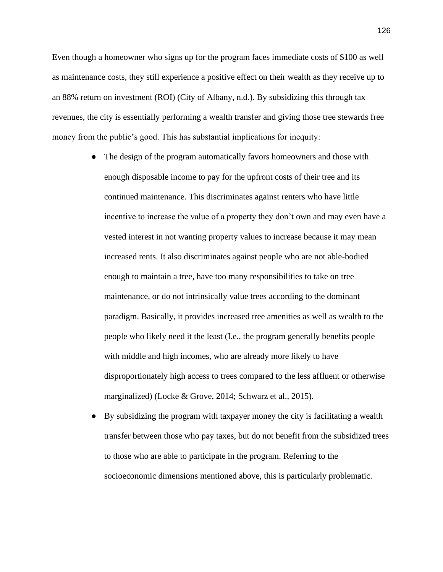Even though a homeowner who signs up for the program faces immediate costs of \$100 as well as maintenance costs, they still experience a positive effect on their wealth as they receive up to an 88% return on investment (ROI) (City of Albany, n.d.). By subsidizing this through tax revenues, the city is essentially performing a wealth transfer and giving those tree stewards free money from the public's good. This has substantial implications for inequity:

- The design of the program automatically favors homeowners and those with enough disposable income to pay for the upfront costs of their tree and its continued maintenance. This discriminates against renters who have little incentive to increase the value of a property they don't own and may even have a vested interest in not wanting property values to increase because it may mean increased rents. It also discriminates against people who are not able-bodied enough to maintain a tree, have too many responsibilities to take on tree maintenance, or do not intrinsically value trees according to the dominant paradigm. Basically, it provides increased tree amenities as well as wealth to the people who likely need it the least (I.e., the program generally benefits people with middle and high incomes, who are already more likely to have disproportionately high access to trees compared to the less affluent or otherwise marginalized) (Locke & Grove, 2014; Schwarz et al., 2015).
- By subsidizing the program with taxpayer money the city is facilitating a wealth transfer between those who pay taxes, but do not benefit from the subsidized trees to those who are able to participate in the program. Referring to the socioeconomic dimensions mentioned above, this is particularly problematic.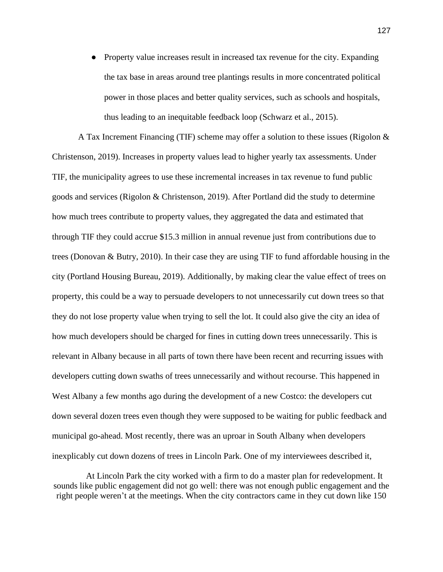• Property value increases result in increased tax revenue for the city. Expanding the tax base in areas around tree plantings results in more concentrated political power in those places and better quality services, such as schools and hospitals, thus leading to an inequitable feedback loop (Schwarz et al., 2015).

A Tax Increment Financing (TIF) scheme may offer a solution to these issues (Rigolon & Christenson, 2019). Increases in property values lead to higher yearly tax assessments. Under TIF, the municipality agrees to use these incremental increases in tax revenue to fund public goods and services (Rigolon & Christenson, 2019). After Portland did the study to determine how much trees contribute to property values, they aggregated the data and estimated that through TIF they could accrue \$15.3 million in annual revenue just from contributions due to trees (Donovan & Butry, 2010). In their case they are using TIF to fund affordable housing in the city (Portland Housing Bureau, 2019). Additionally, by making clear the value effect of trees on property, this could be a way to persuade developers to not unnecessarily cut down trees so that they do not lose property value when trying to sell the lot. It could also give the city an idea of how much developers should be charged for fines in cutting down trees unnecessarily. This is relevant in Albany because in all parts of town there have been recent and recurring issues with developers cutting down swaths of trees unnecessarily and without recourse. This happened in West Albany a few months ago during the development of a new Costco: the developers cut down several dozen trees even though they were supposed to be waiting for public feedback and municipal go-ahead. Most recently, there was an uproar in South Albany when developers inexplicably cut down dozens of trees in Lincoln Park. One of my interviewees described it,

At Lincoln Park the city worked with a firm to do a master plan for redevelopment. It sounds like public engagement did not go well: there was not enough public engagement and the right people weren't at the meetings. When the city contractors came in they cut down like 150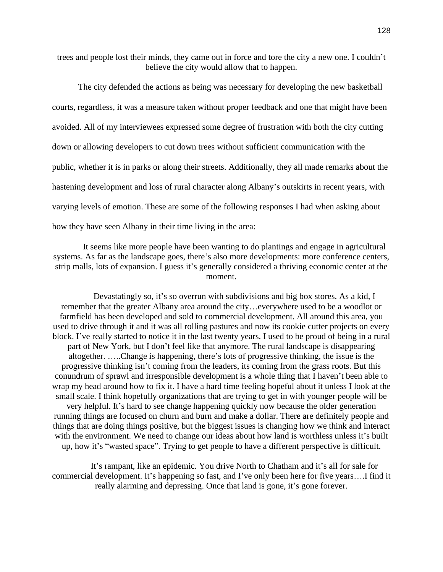trees and people lost their minds, they came out in force and tore the city a new one. I couldn't believe the city would allow that to happen.

The city defended the actions as being was necessary for developing the new basketball courts, regardless, it was a measure taken without proper feedback and one that might have been avoided. All of my interviewees expressed some degree of frustration with both the city cutting down or allowing developers to cut down trees without sufficient communication with the public, whether it is in parks or along their streets. Additionally, they all made remarks about the hastening development and loss of rural character along Albany's outskirts in recent years, with varying levels of emotion. These are some of the following responses I had when asking about how they have seen Albany in their time living in the area:

It seems like more people have been wanting to do plantings and engage in agricultural systems. As far as the landscape goes, there's also more developments: more conference centers, strip malls, lots of expansion. I guess it's generally considered a thriving economic center at the moment.

Devastatingly so, it's so overrun with subdivisions and big box stores. As a kid, I remember that the greater Albany area around the city…everywhere used to be a woodlot or farmfield has been developed and sold to commercial development. All around this area, you used to drive through it and it was all rolling pastures and now its cookie cutter projects on every block. I've really started to notice it in the last twenty years. I used to be proud of being in a rural part of New York, but I don't feel like that anymore. The rural landscape is disappearing altogether. …..Change is happening, there's lots of progressive thinking, the issue is the progressive thinking isn't coming from the leaders, its coming from the grass roots. But this conundrum of sprawl and irresponsible development is a whole thing that I haven't been able to wrap my head around how to fix it. I have a hard time feeling hopeful about it unless I look at the small scale. I think hopefully organizations that are trying to get in with younger people will be very helpful. It's hard to see change happening quickly now because the older generation running things are focused on churn and burn and make a dollar. There are definitely people and things that are doing things positive, but the biggest issues is changing how we think and interact with the environment. We need to change our ideas about how land is worthless unless it's built up, how it's "wasted space". Trying to get people to have a different perspective is difficult.

It's rampant, like an epidemic. You drive North to Chatham and it's all for sale for commercial development. It's happening so fast, and I've only been here for five years….I find it really alarming and depressing. Once that land is gone, it's gone forever.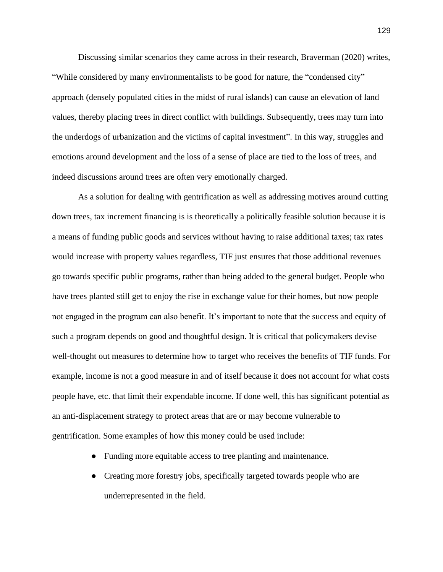Discussing similar scenarios they came across in their research, Braverman (2020) writes, "While considered by many environmentalists to be good for nature, the "condensed city" approach (densely populated cities in the midst of rural islands) can cause an elevation of land values, thereby placing trees in direct conflict with buildings. Subsequently, trees may turn into the underdogs of urbanization and the victims of capital investment". In this way, struggles and emotions around development and the loss of a sense of place are tied to the loss of trees, and indeed discussions around trees are often very emotionally charged.

As a solution for dealing with gentrification as well as addressing motives around cutting down trees, tax increment financing is is theoretically a politically feasible solution because it is a means of funding public goods and services without having to raise additional taxes; tax rates would increase with property values regardless, TIF just ensures that those additional revenues go towards specific public programs, rather than being added to the general budget. People who have trees planted still get to enjoy the rise in exchange value for their homes, but now people not engaged in the program can also benefit. It's important to note that the success and equity of such a program depends on good and thoughtful design. It is critical that policymakers devise well-thought out measures to determine how to target who receives the benefits of TIF funds. For example, income is not a good measure in and of itself because it does not account for what costs people have, etc. that limit their expendable income. If done well, this has significant potential as an anti-displacement strategy to protect areas that are or may become vulnerable to gentrification. Some examples of how this money could be used include:

- Funding more equitable access to tree planting and maintenance.
- Creating more forestry jobs, specifically targeted towards people who are underrepresented in the field.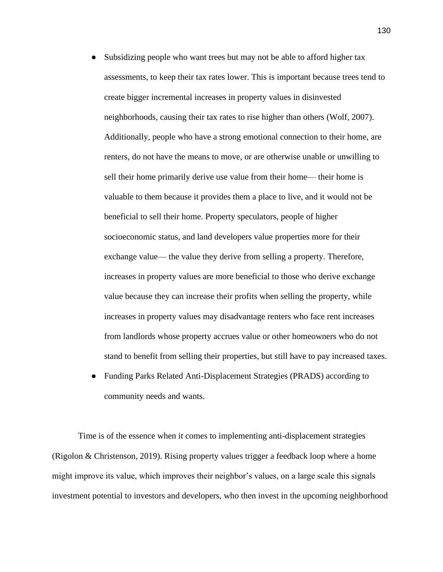- Subsidizing people who want trees but may not be able to afford higher tax assessments, to keep their tax rates lower. This is important because trees tend to create bigger incremental increases in property values in disinvested neighborhoods, causing their tax rates to rise higher than others (Wolf, 2007). Additionally, people who have a strong emotional connection to their home, are renters, do not have the means to move, or are otherwise unable or unwilling to sell their home primarily derive use value from their home— their home is valuable to them because it provides them a place to live, and it would not be beneficial to sell their home. Property speculators, people of higher socioeconomic status, and land developers value properties more for their exchange value— the value they derive from selling a property. Therefore, increases in property values are more beneficial to those who derive exchange value because they can increase their profits when selling the property, while increases in property values may disadvantage renters who face rent increases from landlords whose property accrues value or other homeowners who do not stand to benefit from selling their properties, but still have to pay increased taxes.
- Funding Parks Related Anti-Displacement Strategies (PRADS) according to community needs and wants.

Time is of the essence when it comes to implementing anti-displacement strategies (Rigolon & Christenson, 2019). Rising property values trigger a feedback loop where a home might improve its value, which improves their neighbor's values, on a large scale this signals investment potential to investors and developers, who then invest in the upcoming neighborhood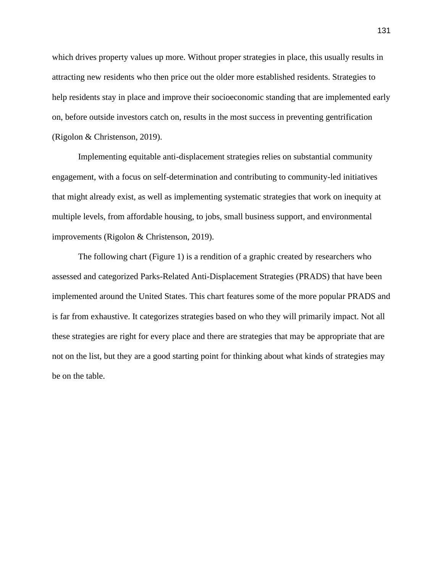which drives property values up more. Without proper strategies in place, this usually results in attracting new residents who then price out the older more established residents. Strategies to help residents stay in place and improve their socioeconomic standing that are implemented early on, before outside investors catch on, results in the most success in preventing gentrification (Rigolon & Christenson, 2019).

Implementing equitable anti-displacement strategies relies on substantial community engagement, with a focus on self-determination and contributing to community-led initiatives that might already exist, as well as implementing systematic strategies that work on inequity at multiple levels, from affordable housing, to jobs, small business support, and environmental improvements (Rigolon & Christenson, 2019).

The following chart (Figure 1) is a rendition of a graphic created by researchers who assessed and categorized Parks-Related Anti-Displacement Strategies (PRADS) that have been implemented around the United States. This chart features some of the more popular PRADS and is far from exhaustive. It categorizes strategies based on who they will primarily impact. Not all these strategies are right for every place and there are strategies that may be appropriate that are not on the list, but they are a good starting point for thinking about what kinds of strategies may be on the table.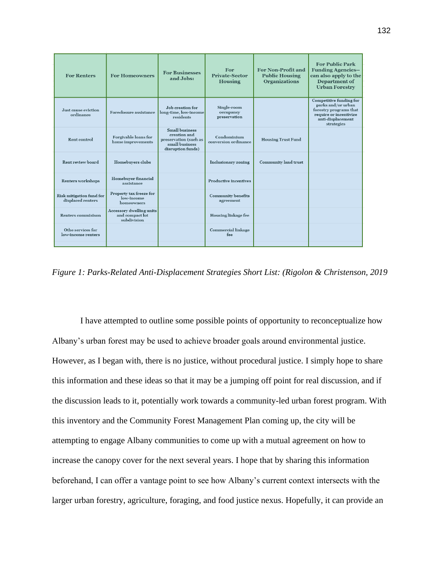| <b>For Renters</b>                            | <b>For Homeowners</b>                                      | <b>For Businesses</b><br>and Jobs:                                                                    | For<br><b>Private-Sector</b><br>Housing  | For Non-Profit and<br><b>Public Housing</b><br><b>Organizations</b> | <b>For Public Park</b><br><b>Funding Agencies--</b><br>can also apply to the<br>Department of<br><b>Urban Forestry</b>               |
|-----------------------------------------------|------------------------------------------------------------|-------------------------------------------------------------------------------------------------------|------------------------------------------|---------------------------------------------------------------------|--------------------------------------------------------------------------------------------------------------------------------------|
| Just cause eviction<br>ordinance              | Foreclosure assistance                                     | Job creation for<br>long-time, low-income<br>residents                                                | Single-room<br>occupancy<br>preservation |                                                                     | Competitive funding for<br>parks and/or urban<br>forestry programs that<br>require or incentivize<br>anti-displacement<br>strategies |
| Rent control                                  | Forgivable loans for<br>home improvements                  | <b>Small business</b><br>creation and<br>preservation (such as<br>small business<br>disruption funds) | Condominium<br>conversion ordinance      | <b>Housing Trust Fund</b>                                           |                                                                                                                                      |
| Rent review board                             | Homebuyers clubs                                           |                                                                                                       | Inclusionary zoning                      | Community land trust                                                |                                                                                                                                      |
| Renters workshops                             | Homebuyer financial<br>assistance                          |                                                                                                       | Productive incentives                    |                                                                     |                                                                                                                                      |
| Risk mitigation fund for<br>displaced renters | Property tax freeze for<br>low-income<br>homeowners        |                                                                                                       | <b>Community benefits</b><br>agreement   |                                                                     |                                                                                                                                      |
| <b>Renters commisison</b>                     | Accessory dwelling units<br>and compact lot<br>subdivision |                                                                                                       | Housing linkage fee                      |                                                                     |                                                                                                                                      |
| Othe services for<br>low-income renters       |                                                            |                                                                                                       | Commercial linkage<br>fee                |                                                                     |                                                                                                                                      |
|                                               |                                                            |                                                                                                       |                                          |                                                                     |                                                                                                                                      |

*Figure 1: Parks-Related Anti-Displacement Strategies Short List: (Rigolon & Christenson, 2019*

I have attempted to outline some possible points of opportunity to reconceptualize how Albany's urban forest may be used to achieve broader goals around environmental justice. However, as I began with, there is no justice, without procedural justice. I simply hope to share this information and these ideas so that it may be a jumping off point for real discussion, and if the discussion leads to it, potentially work towards a community-led urban forest program. With this inventory and the Community Forest Management Plan coming up, the city will be attempting to engage Albany communities to come up with a mutual agreement on how to increase the canopy cover for the next several years. I hope that by sharing this information beforehand, I can offer a vantage point to see how Albany's current context intersects with the larger urban forestry, agriculture, foraging, and food justice nexus. Hopefully, it can provide an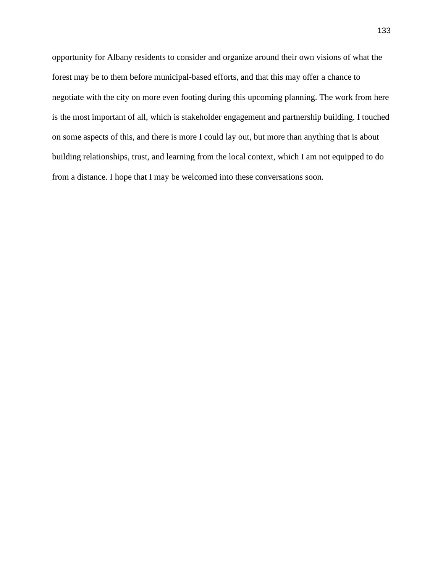opportunity for Albany residents to consider and organize around their own visions of what the forest may be to them before municipal-based efforts, and that this may offer a chance to negotiate with the city on more even footing during this upcoming planning. The work from here is the most important of all, which is stakeholder engagement and partnership building. I touched on some aspects of this, and there is more I could lay out, but more than anything that is about building relationships, trust, and learning from the local context, which I am not equipped to do from a distance. I hope that I may be welcomed into these conversations soon.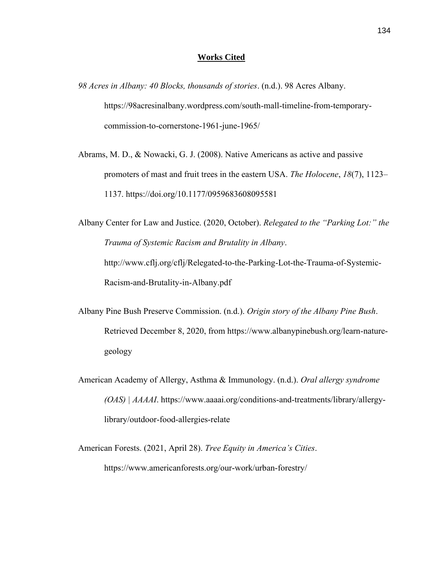## **Works Cited**

- *98 Acres in Albany: 40 Blocks, thousands of stories*. (n.d.). 98 Acres Albany. https://98acresinalbany.wordpress.com/south-mall-timeline-from-temporarycommission-to-cornerstone-1961-june-1965/
- Abrams, M. D., & Nowacki, G. J. (2008). Native Americans as active and passive promoters of mast and fruit trees in the eastern USA. *The Holocene*, *18*(7), 1123– 1137. https://doi.org/10.1177/0959683608095581

Albany Center for Law and Justice. (2020, October). *Relegated to the "Parking Lot:" the Trauma of Systemic Racism and Brutality in Albany*. http://www.cflj.org/cflj/Relegated-to-the-Parking-Lot-the-Trauma-of-Systemic-Racism-and-Brutality-in-Albany.pdf

- Albany Pine Bush Preserve Commission. (n.d.). *Origin story of the Albany Pine Bush*. Retrieved December 8, 2020, from https://www.albanypinebush.org/learn-naturegeology
- American Academy of Allergy, Asthma & Immunology. (n.d.). *Oral allergy syndrome (OAS) | AAAAI*. https://www.aaaai.org/conditions-and-treatments/library/allergylibrary/outdoor-food-allergies-relate

American Forests. (2021, April 28). *Tree Equity in America's Cities*. https://www.americanforests.org/our-work/urban-forestry/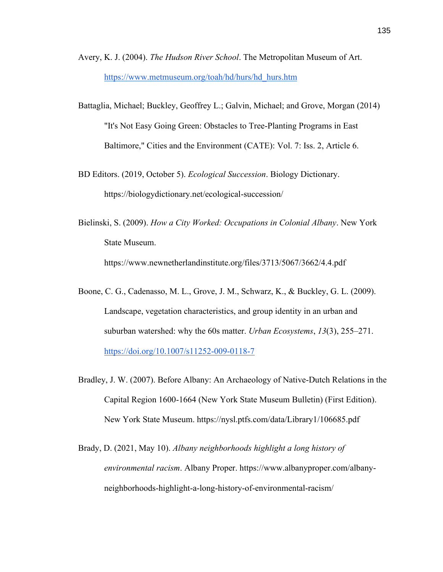- Avery, K. J. (2004). *The Hudson River School*. The Metropolitan Museum of Art. [https://www.metmuseum.org/toah/hd/hurs/hd\\_hurs.htm](https://www.metmuseum.org/toah/hd/hurs/hd_hurs.htm)
- Battaglia, Michael; Buckley, Geoffrey L.; Galvin, Michael; and Grove, Morgan (2014) "It's Not Easy Going Green: Obstacles to Tree-Planting Programs in East Baltimore," Cities and the Environment (CATE): Vol. 7: Iss. 2, Article 6.
- BD Editors. (2019, October 5). *Ecological Succession*. Biology Dictionary. https://biologydictionary.net/ecological-succession/
- Bielinski, S. (2009). *How a City Worked: Occupations in Colonial Albany*. New York State Museum. https://www.newnetherlandinstitute.org/files/3713/5067/3662/4.4.pdf
- Boone, C. G., Cadenasso, M. L., Grove, J. M., Schwarz, K., & Buckley, G. L. (2009). Landscape, vegetation characteristics, and group identity in an urban and suburban watershed: why the 60s matter. *Urban Ecosystems*, *13*(3), 255–271. <https://doi.org/10.1007/s11252-009-0118-7>
- Bradley, J. W. (2007). Before Albany: An Archaeology of Native-Dutch Relations in the Capital Region 1600-1664 (New York State Museum Bulletin) (First Edition). New York State Museum. https://nysl.ptfs.com/data/Library1/106685.pdf
- Brady, D. (2021, May 10). *Albany neighborhoods highlight a long history of environmental racism*. Albany Proper. https://www.albanyproper.com/albanyneighborhoods-highlight-a-long-history-of-environmental-racism/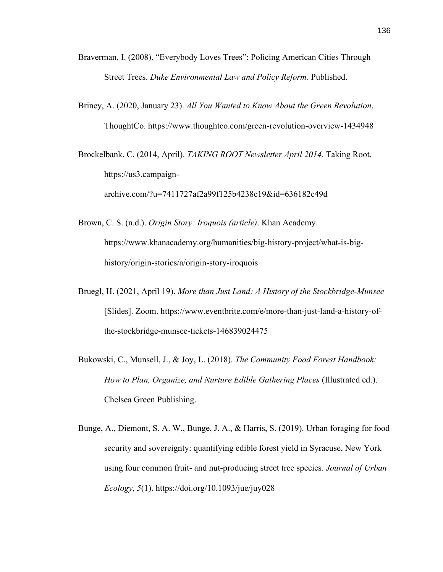- Braverman, I. (2008). "Everybody Loves Trees": Policing American Cities Through Street Trees. *Duke Environmental Law and Policy Reform*. Published.
- Briney, A. (2020, January 23). *All You Wanted to Know About the Green Revolution*. ThoughtCo. https://www.thoughtco.com/green-revolution-overview-1434948

Brockelbank, C. (2014, April). *TAKING ROOT Newsletter April 2014*. Taking Root. https://us3.campaignarchive.com/?u=7411727af2a99f125b4238c19&id=636182c49d

- Brown, C. S. (n.d.). *Origin Story: Iroquois (article)*. Khan Academy. https://www.khanacademy.org/humanities/big-history-project/what-is-bighistory/origin-stories/a/origin-story-iroquois
- Bruegl, H. (2021, April 19). *More than Just Land: A History of the Stockbridge-Munsee* [Slides]. Zoom. https://www.eventbrite.com/e/more-than-just-land-a-history-ofthe-stockbridge-munsee-tickets-146839024475
- Bukowski, C., Munsell, J., & Joy, L. (2018). *The Community Food Forest Handbook: How to Plan, Organize, and Nurture Edible Gathering Places* (Illustrated ed.). Chelsea Green Publishing.
- Bunge, A., Diemont, S. A. W., Bunge, J. A., & Harris, S. (2019). Urban foraging for food security and sovereignty: quantifying edible forest yield in Syracuse, New York using four common fruit- and nut-producing street tree species. *Journal of Urban Ecology*, *5*(1). https://doi.org/10.1093/jue/juy028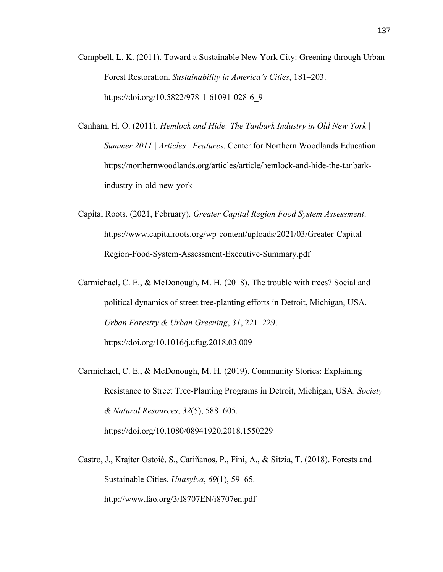- Campbell, L. K. (2011). Toward a Sustainable New York City: Greening through Urban Forest Restoration. *Sustainability in America's Cities*, 181–203. https://doi.org/10.5822/978-1-61091-028-6\_9
- Canham, H. O. (2011). *Hemlock and Hide: The Tanbark Industry in Old New York | Summer 2011 | Articles | Features*. Center for Northern Woodlands Education. https://northernwoodlands.org/articles/article/hemlock-and-hide-the-tanbarkindustry-in-old-new-york
- Capital Roots. (2021, February). *Greater Capital Region Food System Assessment*. https://www.capitalroots.org/wp-content/uploads/2021/03/Greater-Capital-Region-Food-System-Assessment-Executive-Summary.pdf
- Carmichael, C. E., & McDonough, M. H. (2018). The trouble with trees? Social and political dynamics of street tree-planting efforts in Detroit, Michigan, USA. *Urban Forestry & Urban Greening*, *31*, 221–229. https://doi.org/10.1016/j.ufug.2018.03.009
- Carmichael, C. E., & McDonough, M. H. (2019). Community Stories: Explaining Resistance to Street Tree-Planting Programs in Detroit, Michigan, USA. *Society & Natural Resources*, *32*(5), 588–605.

https://doi.org/10.1080/08941920.2018.1550229

Castro, J., Krajter Ostoić, S., Cariñanos, P., Fini, A., & Sitzia, T. (2018). Forests and Sustainable Cities. *Unasylva*, *69*(1), 59–65. http://www.fao.org/3/I8707EN/i8707en.pdf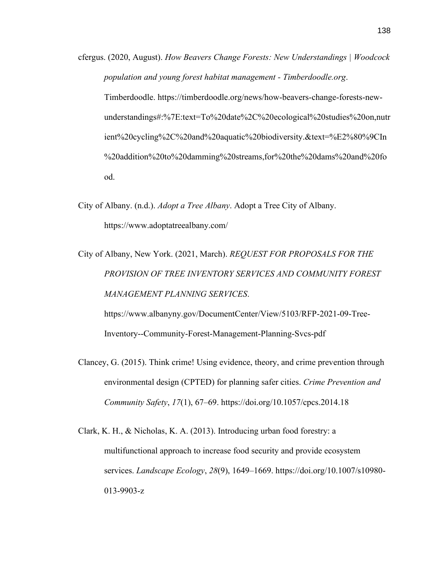- cfergus. (2020, August). *How Beavers Change Forests: New Understandings | Woodcock population and young forest habitat management - Timberdoodle.org*. Timberdoodle. https://timberdoodle.org/news/how-beavers-change-forests-newunderstandings#:%7E:text=To%20date%2C%20ecological%20studies%20on,nutr ient%20cycling%2C%20and%20aquatic%20biodiversity.&text=%E2%80%9CIn %20addition%20to%20damming%20streams,for%20the%20dams%20and%20fo od.
- City of Albany. (n.d.). *Adopt a Tree Albany*. Adopt a Tree City of Albany. https://www.adoptatreealbany.com/
- City of Albany, New York. (2021, March). *REQUEST FOR PROPOSALS FOR THE PROVISION OF TREE INVENTORY SERVICES AND COMMUNITY FOREST MANAGEMENT PLANNING SERVICES*.

https://www.albanyny.gov/DocumentCenter/View/5103/RFP-2021-09-Tree-Inventory--Community-Forest-Management-Planning-Svcs-pdf

- Clancey, G. (2015). Think crime! Using evidence, theory, and crime prevention through environmental design (CPTED) for planning safer cities. *Crime Prevention and Community Safety*, *17*(1), 67–69. https://doi.org/10.1057/cpcs.2014.18
- Clark, K. H., & Nicholas, K. A. (2013). Introducing urban food forestry: a multifunctional approach to increase food security and provide ecosystem services. *Landscape Ecology*, *28*(9), 1649–1669. https://doi.org/10.1007/s10980- 013-9903-z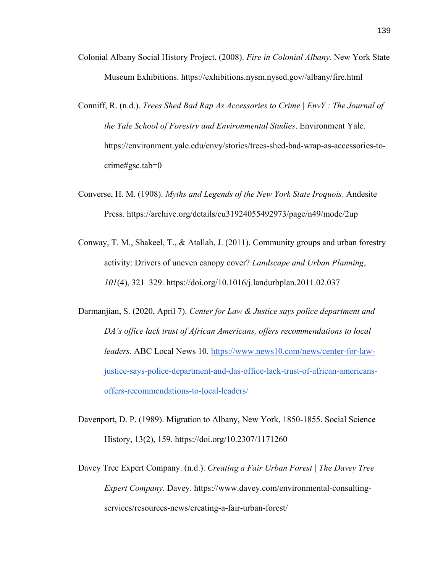- Colonial Albany Social History Project. (2008). *Fire in Colonial Albany*. New York State Museum Exhibitions. https://exhibitions.nysm.nysed.gov//albany/fire.html
- Conniff, R. (n.d.). *Trees Shed Bad Rap As Accessories to Crime | EnvY : The Journal of the Yale School of Forestry and Environmental Studies*. Environment Yale. https://environment.yale.edu/envy/stories/trees-shed-bad-wrap-as-accessories-tocrime#gsc.tab=0
- Converse, H. M. (1908). *Myths and Legends of the New York State Iroquois*. Andesite Press. https://archive.org/details/cu31924055492973/page/n49/mode/2up
- Conway, T. M., Shakeel, T., & Atallah, J. (2011). Community groups and urban forestry activity: Drivers of uneven canopy cover? *Landscape and Urban Planning*, *101*(4), 321–329. https://doi.org/10.1016/j.landurbplan.2011.02.037
- Darmanjian, S. (2020, April 7). *Center for Law & Justice says police department and DA's office lack trust of African Americans, offers recommendations to local leaders*. ABC Local News 10. [https://www.news10.com/news/center-for-law](https://www.news10.com/news/center-for-law-justice-says-police-department-and-das-office-lack-trust-of-african-americans-offers-recommendations-to-local-leaders/)[justice-says-police-department-and-das-office-lack-trust-of-african-americans](https://www.news10.com/news/center-for-law-justice-says-police-department-and-das-office-lack-trust-of-african-americans-offers-recommendations-to-local-leaders/)[offers-recommendations-to-local-leaders/](https://www.news10.com/news/center-for-law-justice-says-police-department-and-das-office-lack-trust-of-african-americans-offers-recommendations-to-local-leaders/)
- Davenport, D. P. (1989). Migration to Albany, New York, 1850-1855. Social Science History, 13(2), 159. https://doi.org/10.2307/1171260
- Davey Tree Expert Company. (n.d.). *Creating a Fair Urban Forest | The Davey Tree Expert Company*. Davey. https://www.davey.com/environmental-consultingservices/resources-news/creating-a-fair-urban-forest/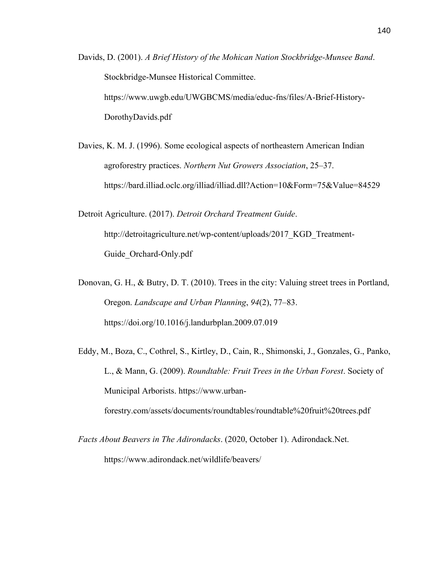Davids, D. (2001). *A Brief History of the Mohican Nation Stockbridge-Munsee Band*. Stockbridge-Munsee Historical Committee. https://www.uwgb.edu/UWGBCMS/media/educ-fns/files/A-Brief-History-DorothyDavids.pdf

Davies, K. M. J. (1996). Some ecological aspects of northeastern American Indian agroforestry practices. *Northern Nut Growers Association*, 25–37. https://bard.illiad.oclc.org/illiad/illiad.dll?Action=10&Form=75&Value=84529

Detroit Agriculture. (2017). *Detroit Orchard Treatment Guide*. http://detroitagriculture.net/wp-content/uploads/2017 KGD Treatment-Guide\_Orchard-Only.pdf

Donovan, G. H., & Butry, D. T. (2010). Trees in the city: Valuing street trees in Portland, Oregon. *Landscape and Urban Planning*, *94*(2), 77–83. https://doi.org/10.1016/j.landurbplan.2009.07.019

Eddy, M., Boza, C., Cothrel, S., Kirtley, D., Cain, R., Shimonski, J., Gonzales, G., Panko, L., & Mann, G. (2009). *Roundtable: Fruit Trees in the Urban Forest*. Society of Municipal Arborists. https://www.urban-

forestry.com/assets/documents/roundtables/roundtable%20fruit%20trees.pdf

*Facts About Beavers in The Adirondacks*. (2020, October 1). Adirondack.Net. https://www.adirondack.net/wildlife/beavers/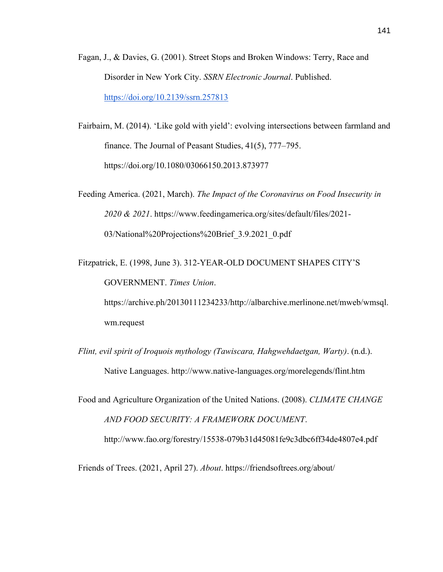- Fagan, J., & Davies, G. (2001). Street Stops and Broken Windows: Terry, Race and Disorder in New York City. *SSRN Electronic Journal*. Published. <https://doi.org/10.2139/ssrn.257813>
- Fairbairn, M. (2014). 'Like gold with yield': evolving intersections between farmland and finance. The Journal of Peasant Studies, 41(5), 777–795. https://doi.org/10.1080/03066150.2013.873977
- Feeding America. (2021, March). *The Impact of the Coronavirus on Food Insecurity in 2020 & 2021*. https://www.feedingamerica.org/sites/default/files/2021- 03/National%20Projections%20Brief\_3.9.2021\_0.pdf
- Fitzpatrick, E. (1998, June 3). 312-YEAR-OLD DOCUMENT SHAPES CITY'S GOVERNMENT. *Times Union*. https://archive.ph/20130111234233/http://albarchive.merlinone.net/mweb/wmsql.

wm.request

*Flint, evil spirit of Iroquois mythology (Tawiscara, Hahgwehdaetgan, Warty)*. (n.d.). Native Languages. http://www.native-languages.org/morelegends/flint.htm

Food and Agriculture Organization of the United Nations. (2008). *CLIMATE CHANGE AND FOOD SECURITY: A FRAMEWORK DOCUMENT*. http://www.fao.org/forestry/15538-079b31d45081fe9c3dbc6ff34de4807e4.pdf

Friends of Trees. (2021, April 27). *About*. https://friendsoftrees.org/about/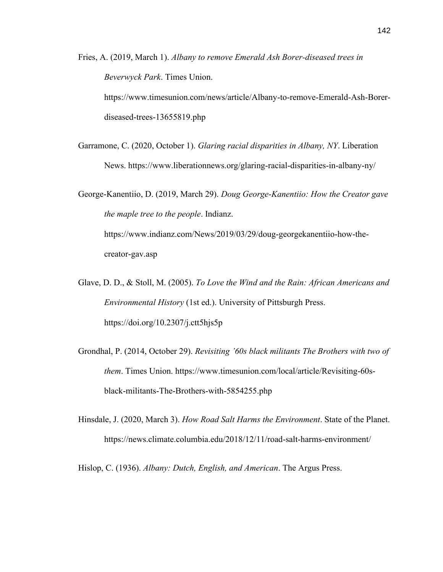Fries, A. (2019, March 1). *Albany to remove Emerald Ash Borer-diseased trees in Beverwyck Park*. Times Union. https://www.timesunion.com/news/article/Albany-to-remove-Emerald-Ash-Borerdiseased-trees-13655819.php

Garramone, C. (2020, October 1). *Glaring racial disparities in Albany, NY*. Liberation News. https://www.liberationnews.org/glaring-racial-disparities-in-albany-ny/

George-Kanentiio, D. (2019, March 29). *Doug George-Kanentiio: How the Creator gave the maple tree to the people*. Indianz. https://www.indianz.com/News/2019/03/29/doug-georgekanentiio-how-thecreator-gav.asp

- Glave, D. D., & Stoll, M. (2005). *To Love the Wind and the Rain: African Americans and Environmental History* (1st ed.). University of Pittsburgh Press. https://doi.org/10.2307/j.ctt5hjs5p
- Grondhal, P. (2014, October 29). *Revisiting '60s black militants The Brothers with two of them*. Times Union. https://www.timesunion.com/local/article/Revisiting-60sblack-militants-The-Brothers-with-5854255.php
- Hinsdale, J. (2020, March 3). *How Road Salt Harms the Environment*. State of the Planet. https://news.climate.columbia.edu/2018/12/11/road-salt-harms-environment/

Hislop, C. (1936). *Albany: Dutch, English, and American*. The Argus Press.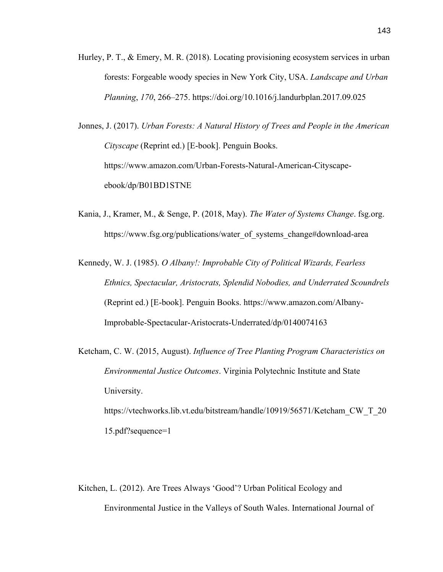Hurley, P. T., & Emery, M. R. (2018). Locating provisioning ecosystem services in urban forests: Forgeable woody species in New York City, USA. *Landscape and Urban Planning*, *170*, 266–275. https://doi.org/10.1016/j.landurbplan.2017.09.025

Jonnes, J. (2017). *Urban Forests: A Natural History of Trees and People in the American Cityscape* (Reprint ed.) [E-book]. Penguin Books. https://www.amazon.com/Urban-Forests-Natural-American-Cityscapeebook/dp/B01BD1STNE

Kania, J., Kramer, M., & Senge, P. (2018, May). *The Water of Systems Change*. fsg.org. https://www.fsg.org/publications/water\_of\_systems\_change#download-area

Kennedy, W. J. (1985). *O Albany!: Improbable City of Political Wizards, Fearless Ethnics, Spectacular, Aristocrats, Splendid Nobodies, and Underrated Scoundrels* (Reprint ed.) [E-book]. Penguin Books. https://www.amazon.com/Albany-Improbable-Spectacular-Aristocrats-Underrated/dp/0140074163

Ketcham, C. W. (2015, August). *Influence of Tree Planting Program Characteristics on Environmental Justice Outcomes*. Virginia Polytechnic Institute and State University. https://vtechworks.lib.vt.edu/bitstream/handle/10919/56571/Ketcham\_CW\_T\_20 15.pdf?sequence=1

Kitchen, L. (2012). Are Trees Always 'Good'? Urban Political Ecology and Environmental Justice in the Valleys of South Wales. International Journal of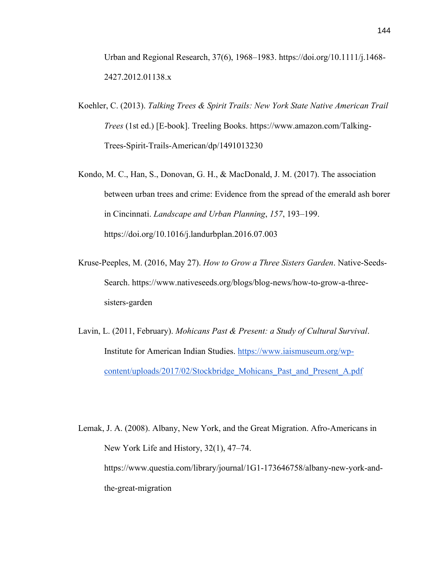Urban and Regional Research, 37(6), 1968–1983. https://doi.org/10.1111/j.1468- 2427.2012.01138.x

- Koehler, C. (2013). *Talking Trees & Spirit Trails: New York State Native American Trail Trees* (1st ed.) [E-book]. Treeling Books. https://www.amazon.com/Talking-Trees-Spirit-Trails-American/dp/1491013230
- Kondo, M. C., Han, S., Donovan, G. H., & MacDonald, J. M. (2017). The association between urban trees and crime: Evidence from the spread of the emerald ash borer in Cincinnati. *Landscape and Urban Planning*, *157*, 193–199. https://doi.org/10.1016/j.landurbplan.2016.07.003
- Kruse-Peeples, M. (2016, May 27). *How to Grow a Three Sisters Garden*. Native-Seeds-Search. https://www.nativeseeds.org/blogs/blog-news/how-to-grow-a-threesisters-garden
- Lavin, L. (2011, February). *Mohicans Past & Present: a Study of Cultural Survival*. Institute for American Indian Studies. [https://www.iaismuseum.org/wp](https://www.iaismuseum.org/wp-content/uploads/2017/02/Stockbridge_Mohicans_Past_and_Present_A.pdf)[content/uploads/2017/02/Stockbridge\\_Mohicans\\_Past\\_and\\_Present\\_A.pdf](https://www.iaismuseum.org/wp-content/uploads/2017/02/Stockbridge_Mohicans_Past_and_Present_A.pdf)
- Lemak, J. A. (2008). Albany, New York, and the Great Migration. Afro-Americans in New York Life and History, 32(1), 47–74. https://www.questia.com/library/journal/1G1-173646758/albany-new-york-andthe-great-migration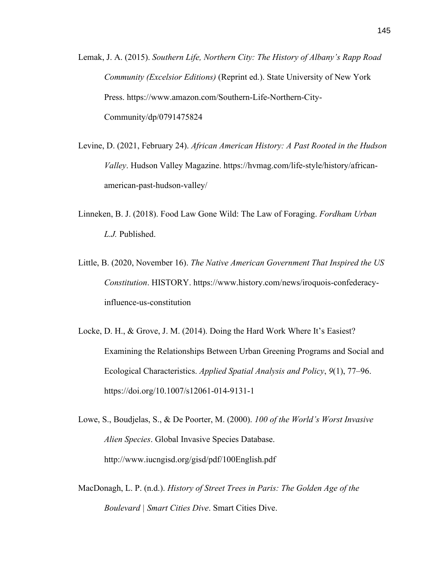- Lemak, J. A. (2015). *Southern Life, Northern City: The History of Albany's Rapp Road Community (Excelsior Editions)* (Reprint ed.). State University of New York Press. https://www.amazon.com/Southern-Life-Northern-City-Community/dp/0791475824
- Levine, D. (2021, February 24). *African American History: A Past Rooted in the Hudson Valley*. Hudson Valley Magazine. https://hvmag.com/life-style/history/africanamerican-past-hudson-valley/
- Linneken, B. J. (2018). Food Law Gone Wild: The Law of Foraging. *Fordham Urban L.J.* Published.
- Little, B. (2020, November 16). *The Native American Government That Inspired the US Constitution*. HISTORY. https://www.history.com/news/iroquois-confederacyinfluence-us-constitution
- Locke, D. H., & Grove, J. M. (2014). Doing the Hard Work Where It's Easiest? Examining the Relationships Between Urban Greening Programs and Social and Ecological Characteristics. *Applied Spatial Analysis and Policy*, *9*(1), 77–96. https://doi.org/10.1007/s12061-014-9131-1
- Lowe, S., Boudjelas, S., & De Poorter, M. (2000). *100 of the World's Worst Invasive Alien Species*. Global Invasive Species Database. http://www.iucngisd.org/gisd/pdf/100English.pdf
- MacDonagh, L. P. (n.d.). *History of Street Trees in Paris: The Golden Age of the Boulevard | Smart Cities Dive*. Smart Cities Dive.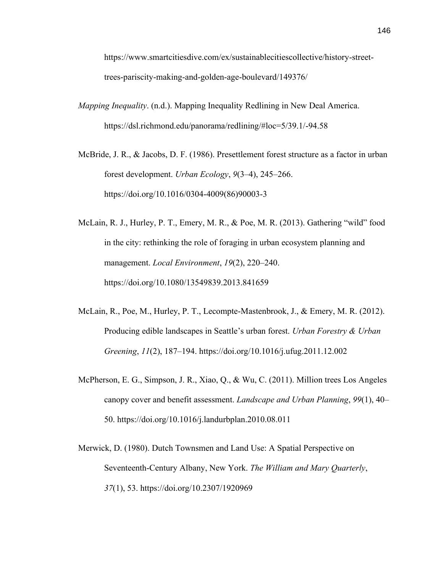https://www.smartcitiesdive.com/ex/sustainablecitiescollective/history-streettrees-pariscity-making-and-golden-age-boulevard/149376/

*Mapping Inequality*. (n.d.). Mapping Inequality Redlining in New Deal America. https://dsl.richmond.edu/panorama/redlining/#loc=5/39.1/-94.58

McBride, J. R., & Jacobs, D. F. (1986). Presettlement forest structure as a factor in urban forest development. *Urban Ecology*, *9*(3–4), 245–266. https://doi.org/10.1016/0304-4009(86)90003-3

- McLain, R. J., Hurley, P. T., Emery, M. R., & Poe, M. R. (2013). Gathering "wild" food in the city: rethinking the role of foraging in urban ecosystem planning and management. *Local Environment*, *19*(2), 220–240. https://doi.org/10.1080/13549839.2013.841659
- McLain, R., Poe, M., Hurley, P. T., Lecompte-Mastenbrook, J., & Emery, M. R. (2012). Producing edible landscapes in Seattle's urban forest. *Urban Forestry & Urban Greening*, *11*(2), 187–194. https://doi.org/10.1016/j.ufug.2011.12.002
- McPherson, E. G., Simpson, J. R., Xiao, Q., & Wu, C. (2011). Million trees Los Angeles canopy cover and benefit assessment. *Landscape and Urban Planning*, *99*(1), 40– 50. https://doi.org/10.1016/j.landurbplan.2010.08.011
- Merwick, D. (1980). Dutch Townsmen and Land Use: A Spatial Perspective on Seventeenth-Century Albany, New York. *The William and Mary Quarterly*, *37*(1), 53. https://doi.org/10.2307/1920969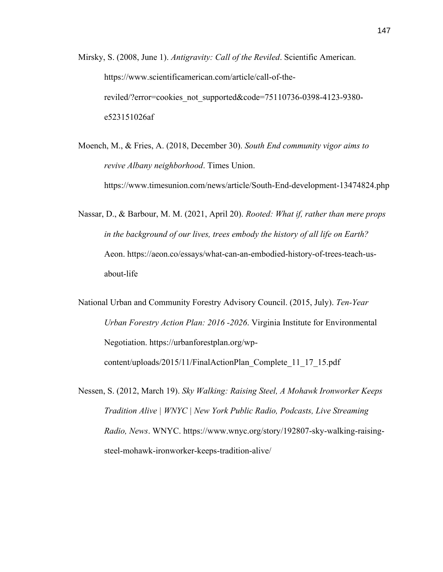Mirsky, S. (2008, June 1). *Antigravity: Call of the Reviled*. Scientific American. https://www.scientificamerican.com/article/call-of-thereviled/?error=cookies\_not\_supported&code=75110736-0398-4123-9380 e523151026af

Moench, M., & Fries, A. (2018, December 30). *South End community vigor aims to revive Albany neighborhood*. Times Union. https://www.timesunion.com/news/article/South-End-development-13474824.php

Nassar, D., & Barbour, M. M. (2021, April 20). *Rooted: What if, rather than mere props in the background of our lives, trees embody the history of all life on Earth?* Aeon. https://aeon.co/essays/what-can-an-embodied-history-of-trees-teach-usabout-life

National Urban and Community Forestry Advisory Council. (2015, July). *Ten-Year Urban Forestry Action Plan: 2016 -2026*. Virginia Institute for Environmental Negotiation. https://urbanforestplan.org/wpcontent/uploads/2015/11/FinalActionPlan\_Complete\_11\_17\_15.pdf

Nessen, S. (2012, March 19). *Sky Walking: Raising Steel, A Mohawk Ironworker Keeps Tradition Alive | WNYC | New York Public Radio, Podcasts, Live Streaming Radio, News*. WNYC. https://www.wnyc.org/story/192807-sky-walking-raisingsteel-mohawk-ironworker-keeps-tradition-alive/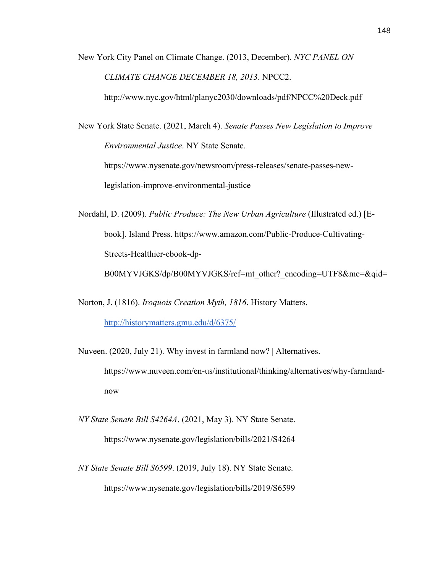New York City Panel on Climate Change. (2013, December). *NYC PANEL ON CLIMATE CHANGE DECEMBER 18, 2013*. NPCC2.

http://www.nyc.gov/html/planyc2030/downloads/pdf/NPCC%20Deck.pdf

New York State Senate. (2021, March 4). *Senate Passes New Legislation to Improve Environmental Justice*. NY State Senate.

https://www.nysenate.gov/newsroom/press-releases/senate-passes-newlegislation-improve-environmental-justice

Nordahl, D. (2009). *Public Produce: The New Urban Agriculture* (Illustrated ed.) [Ebook]. Island Press. https://www.amazon.com/Public-Produce-Cultivating-Streets-Healthier-ebook-dp-

B00MYVJGKS/dp/B00MYVJGKS/ref=mt\_other?\_encoding=UTF8&me=&qid=

Norton, J. (1816). *Iroquois Creation Myth, 1816*. History Matters.

<http://historymatters.gmu.edu/d/6375/>

Nuveen. (2020, July 21). Why invest in farmland now? | Alternatives. https://www.nuveen.com/en-us/institutional/thinking/alternatives/why-farmlandnow

- *NY State Senate Bill S4264A*. (2021, May 3). NY State Senate. https://www.nysenate.gov/legislation/bills/2021/S4264
- *NY State Senate Bill S6599*. (2019, July 18). NY State Senate. https://www.nysenate.gov/legislation/bills/2019/S6599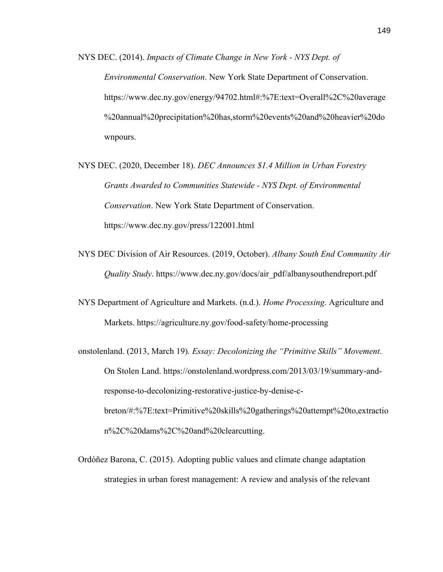NYS DEC. (2014). *Impacts of Climate Change in New York - NYS Dept. of Environmental Conservation*. New York State Department of Conservation. https://www.dec.ny.gov/energy/94702.html#:%7E:text=Overall%2C%20average %20annual%20precipitation%20has,storm%20events%20and%20heavier%20do wnpours.

- NYS DEC. (2020, December 18). *DEC Announces \$1.4 Million in Urban Forestry Grants Awarded to Communities Statewide - NYS Dept. of Environmental Conservation*. New York State Department of Conservation. https://www.dec.ny.gov/press/122001.html
- NYS DEC Division of Air Resources. (2019, October). *Albany South End Community Air Quality Study*. https://www.dec.ny.gov/docs/air\_pdf/albanysouthendreport.pdf
- NYS Department of Agriculture and Markets. (n.d.). *Home Processing*. Agriculture and Markets. https://agriculture.ny.gov/food-safety/home-processing
- onstolenland. (2013, March 19). *Essay: Decolonizing the "Primitive Skills" Movement*. On Stolen Land. https://onstolenland.wordpress.com/2013/03/19/summary-andresponse-to-decolonizing-restorative-justice-by-denise-cbreton/#:%7E:text=Primitive%20skills%20gatherings%20attempt%20to,extractio n%2C%20dams%2C%20and%20clearcutting.
- Ordóñez Barona, C. (2015). Adopting public values and climate change adaptation strategies in urban forest management: A review and analysis of the relevant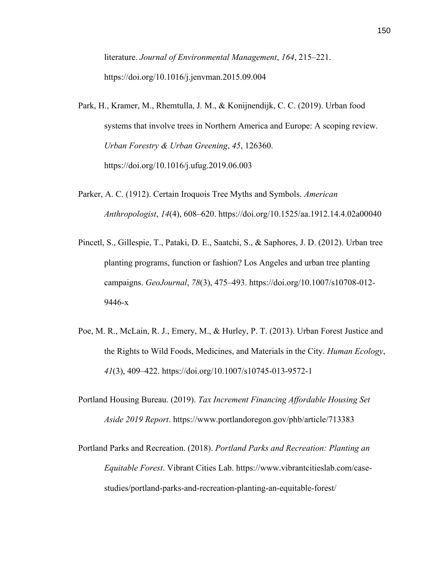literature. *Journal of Environmental Management*, *164*, 215–221. https://doi.org/10.1016/j.jenvman.2015.09.004

- Park, H., Kramer, M., Rhemtulla, J. M., & Konijnendijk, C. C. (2019). Urban food systems that involve trees in Northern America and Europe: A scoping review. *Urban Forestry & Urban Greening*, *45*, 126360. https://doi.org/10.1016/j.ufug.2019.06.003
- Parker, A. C. (1912). Certain Iroquois Tree Myths and Symbols. *American Anthropologist*, *14*(4), 608–620. https://doi.org/10.1525/aa.1912.14.4.02a00040
- Pincetl, S., Gillespie, T., Pataki, D. E., Saatchi, S., & Saphores, J. D. (2012). Urban tree planting programs, function or fashion? Los Angeles and urban tree planting campaigns. *GeoJournal*, *78*(3), 475–493. https://doi.org/10.1007/s10708-012- 9446-x
- Poe, M. R., McLain, R. J., Emery, M., & Hurley, P. T. (2013). Urban Forest Justice and the Rights to Wild Foods, Medicines, and Materials in the City. *Human Ecology*, *41*(3), 409–422. https://doi.org/10.1007/s10745-013-9572-1
- Portland Housing Bureau. (2019). *Tax Increment Financing Affordable Housing Set Aside 2019 Report*. https://www.portlandoregon.gov/phb/article/713383
- Portland Parks and Recreation. (2018). *Portland Parks and Recreation: Planting an Equitable Forest*. Vibrant Cities Lab. https://www.vibrantcitieslab.com/casestudies/portland-parks-and-recreation-planting-an-equitable-forest/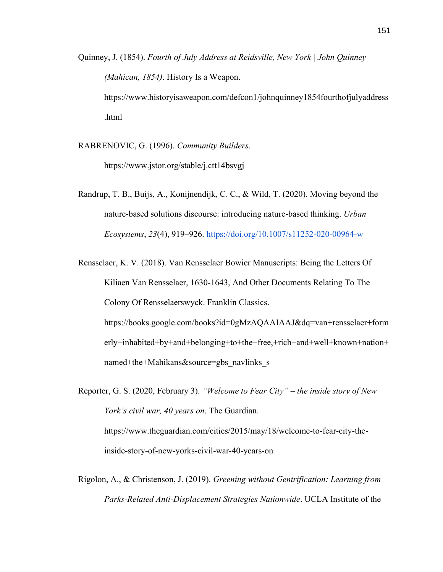Quinney, J. (1854). *Fourth of July Address at Reidsville, New York | John Quinney (Mahican, 1854)*. History Is a Weapon. https://www.historyisaweapon.com/defcon1/johnquinney1854fourthofjulyaddress .html

RABRENOVIC, G. (1996). *Community Builders*.

https://www.jstor.org/stable/j.ctt14bsvgj

Randrup, T. B., Buijs, A., Konijnendijk, C. C., & Wild, T. (2020). Moving beyond the nature-based solutions discourse: introducing nature-based thinking. *Urban Ecosystems*, *23*(4), 919–926.<https://doi.org/10.1007/s11252-020-00964-w>

Rensselaer, K. V. (2018). Van Rensselaer Bowier Manuscripts: Being the Letters Of Kiliaen Van Rensselaer, 1630-1643, And Other Documents Relating To The Colony Of Rensselaerswyck. Franklin Classics. https://books.google.com/books?id=0gMzAQAAIAAJ&dq=van+rensselaer+form erly+inhabited+by+and+belonging+to+the+free,+rich+and+well+known+nation+ named+the+Mahikans&source=gbs\_navlinks\_s

Reporter, G. S. (2020, February 3). *"Welcome to Fear City" – the inside story of New York's civil war, 40 years on*. The Guardian. https://www.theguardian.com/cities/2015/may/18/welcome-to-fear-city-theinside-story-of-new-yorks-civil-war-40-years-on

Rigolon, A., & Christenson, J. (2019). *Greening without Gentrification: Learning from Parks-Related Anti-Displacement Strategies Nationwide*. UCLA Institute of the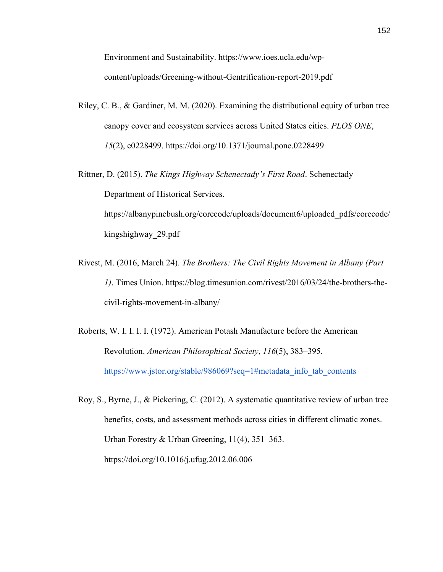Environment and Sustainability. https://www.ioes.ucla.edu/wpcontent/uploads/Greening-without-Gentrification-report-2019.pdf

- Riley, C. B., & Gardiner, M. M. (2020). Examining the distributional equity of urban tree canopy cover and ecosystem services across United States cities. *PLOS ONE*, *15*(2), e0228499. https://doi.org/10.1371/journal.pone.0228499
- Rittner, D. (2015). *The Kings Highway Schenectady's First Road*. Schenectady Department of Historical Services. https://albanypinebush.org/corecode/uploads/document6/uploaded\_pdfs/corecode/

kingshighway\_29.pdf

- Rivest, M. (2016, March 24). *The Brothers: The Civil Rights Movement in Albany (Part 1)*. Times Union. https://blog.timesunion.com/rivest/2016/03/24/the-brothers-thecivil-rights-movement-in-albany/
- Roberts, W. I. I. I. I. (1972). American Potash Manufacture before the American Revolution. *American Philosophical Society*, *116*(5), 383–395. [https://www.jstor.org/stable/986069?seq=1#metadata\\_info\\_tab\\_contents](https://www.jstor.org/stable/986069?seq=1#metadata_info_tab_contents)
- Roy, S., Byrne, J., & Pickering, C. (2012). A systematic quantitative review of urban tree benefits, costs, and assessment methods across cities in different climatic zones. Urban Forestry & Urban Greening, 11(4), 351–363. https://doi.org/10.1016/j.ufug.2012.06.006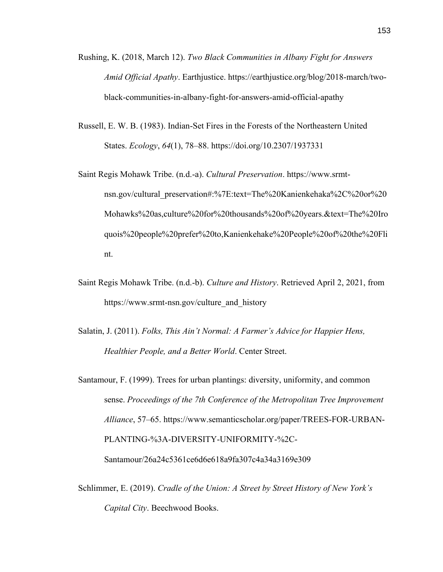- Rushing, K. (2018, March 12). *Two Black Communities in Albany Fight for Answers Amid Official Apathy*. Earthjustice. https://earthjustice.org/blog/2018-march/twoblack-communities-in-albany-fight-for-answers-amid-official-apathy
- Russell, E. W. B. (1983). Indian-Set Fires in the Forests of the Northeastern United States. *Ecology*, *64*(1), 78–88. https://doi.org/10.2307/1937331
- Saint Regis Mohawk Tribe. (n.d.-a). *Cultural Preservation*. https://www.srmtnsn.gov/cultural\_preservation#:%7E:text=The%20Kanienkehaka%2C%20or%20 Mohawks%20as,culture%20for%20thousands%20of%20years.&text=The%20Iro quois%20people%20prefer%20to,Kanienkehake%20People%20of%20the%20Fli nt.
- Saint Regis Mohawk Tribe. (n.d.-b). *Culture and History*. Retrieved April 2, 2021, from https://www.srmt-nsn.gov/culture\_and\_history
- Salatin, J. (2011). *Folks, This Ain't Normal: A Farmer's Advice for Happier Hens, Healthier People, and a Better World*. Center Street.
- Santamour, F. (1999). Trees for urban plantings: diversity, uniformity, and common sense. *Proceedings of the 7th Conference of the Metropolitan Tree Improvement Alliance*, 57–65. https://www.semanticscholar.org/paper/TREES-FOR-URBAN-PLANTING-%3A-DIVERSITY-UNIFORMITY-%2C-Santamour/26a24c5361ce6d6e618a9fa307c4a34a3169e309
- Schlimmer, E. (2019). *Cradle of the Union: A Street by Street History of New York's Capital City*. Beechwood Books.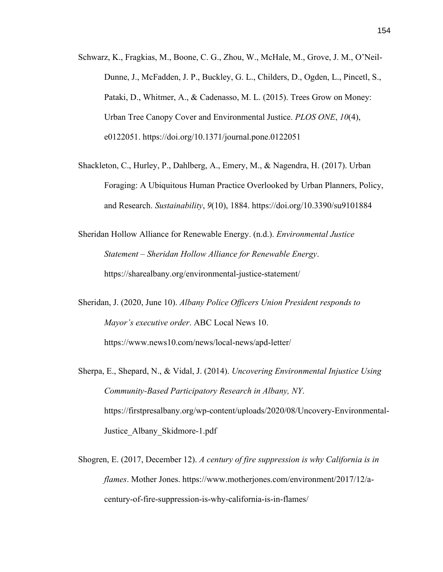- Schwarz, K., Fragkias, M., Boone, C. G., Zhou, W., McHale, M., Grove, J. M., O'Neil-Dunne, J., McFadden, J. P., Buckley, G. L., Childers, D., Ogden, L., Pincetl, S., Pataki, D., Whitmer, A., & Cadenasso, M. L. (2015). Trees Grow on Money: Urban Tree Canopy Cover and Environmental Justice. *PLOS ONE*, *10*(4), e0122051. https://doi.org/10.1371/journal.pone.0122051
- Shackleton, C., Hurley, P., Dahlberg, A., Emery, M., & Nagendra, H. (2017). Urban Foraging: A Ubiquitous Human Practice Overlooked by Urban Planners, Policy, and Research. *Sustainability*, *9*(10), 1884. https://doi.org/10.3390/su9101884
- Sheridan Hollow Alliance for Renewable Energy. (n.d.). *Environmental Justice Statement – Sheridan Hollow Alliance for Renewable Energy*. https://sharealbany.org/environmental-justice-statement/
- Sheridan, J. (2020, June 10). *Albany Police Officers Union President responds to Mayor's executive order*. ABC Local News 10. https://www.news10.com/news/local-news/apd-letter/
- Sherpa, E., Shepard, N., & Vidal, J. (2014). *Uncovering Environmental Injustice Using Community-Based Participatory Research in Albany, NY*. https://firstpresalbany.org/wp-content/uploads/2020/08/Uncovery-Environmental-Justice\_Albany\_Skidmore-1.pdf
- Shogren, E. (2017, December 12). *A century of fire suppression is why California is in flames*. Mother Jones. https://www.motherjones.com/environment/2017/12/acentury-of-fire-suppression-is-why-california-is-in-flames/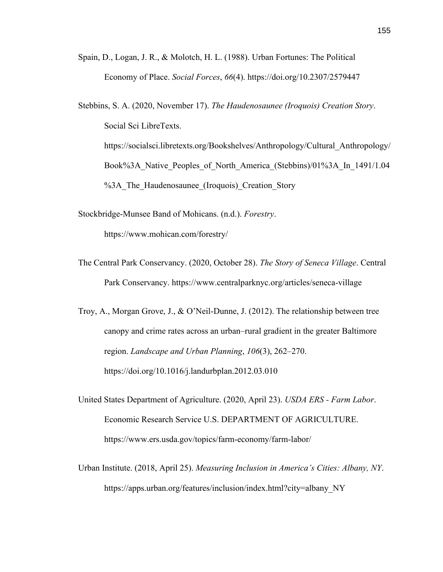- Spain, D., Logan, J. R., & Molotch, H. L. (1988). Urban Fortunes: The Political Economy of Place. *Social Forces*, *66*(4). https://doi.org/10.2307/2579447
- Stebbins, S. A. (2020, November 17). *The Haudenosaunee (Iroquois) Creation Story*. Social Sci LibreTexts. https://socialsci.libretexts.org/Bookshelves/Anthropology/Cultural\_Anthropology/ Book%3A Native Peoples of North America (Stebbins)/01%3A In 1491/1.04 %3A The Haudenosaunee (Iroquois) Creation Story
- Stockbridge-Munsee Band of Mohicans. (n.d.). *Forestry*. https://www.mohican.com/forestry/
- The Central Park Conservancy. (2020, October 28). *The Story of Seneca Village*. Central Park Conservancy. https://www.centralparknyc.org/articles/seneca-village
- Troy, A., Morgan Grove, J., & O'Neil-Dunne, J. (2012). The relationship between tree canopy and crime rates across an urban–rural gradient in the greater Baltimore region. *Landscape and Urban Planning*, *106*(3), 262–270. https://doi.org/10.1016/j.landurbplan.2012.03.010
- United States Department of Agriculture. (2020, April 23). *USDA ERS - Farm Labor*. Economic Research Service U.S. DEPARTMENT OF AGRICULTURE. https://www.ers.usda.gov/topics/farm-economy/farm-labor/
- Urban Institute. (2018, April 25). *Measuring Inclusion in America's Cities: Albany, NY*. https://apps.urban.org/features/inclusion/index.html?city=albany\_NY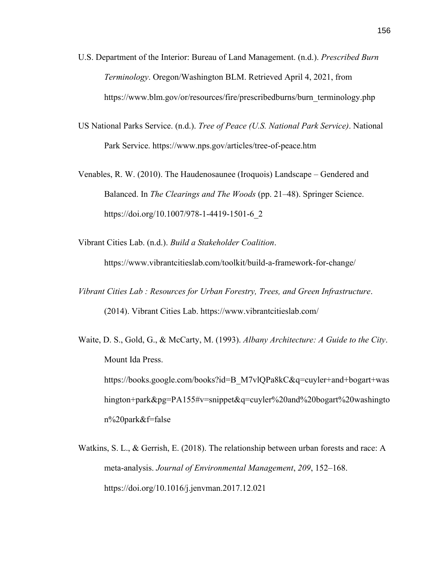- U.S. Department of the Interior: Bureau of Land Management. (n.d.). *Prescribed Burn Terminology*. Oregon/Washington BLM. Retrieved April 4, 2021, from https://www.blm.gov/or/resources/fire/prescribedburns/burn\_terminology.php
- US National Parks Service. (n.d.). *Tree of Peace (U.S. National Park Service)*. National Park Service. https://www.nps.gov/articles/tree-of-peace.htm
- Venables, R. W. (2010). The Haudenosaunee (Iroquois) Landscape Gendered and Balanced. In *The Clearings and The Woods* (pp. 21–48). Springer Science. https://doi.org/10.1007/978-1-4419-1501-6\_2

Vibrant Cities Lab. (n.d.). *Build a Stakeholder Coalition*.

https://www.vibrantcitieslab.com/toolkit/build-a-framework-for-change/

- *Vibrant Cities Lab : Resources for Urban Forestry, Trees, and Green Infrastructure*. (2014). Vibrant Cities Lab. https://www.vibrantcitieslab.com/
- Waite, D. S., Gold, G., & McCarty, M. (1993). *Albany Architecture: A Guide to the City*. Mount Ida Press. https://books.google.com/books?id=B\_M7vlQPa8kC&q=cuyler+and+bogart+was hington+park&pg=PA155#v=snippet&q=cuyler%20and%20bogart%20washingto n%20park&f=false
- Watkins, S. L., & Gerrish, E. (2018). The relationship between urban forests and race: A meta-analysis. *Journal of Environmental Management*, *209*, 152–168. https://doi.org/10.1016/j.jenvman.2017.12.021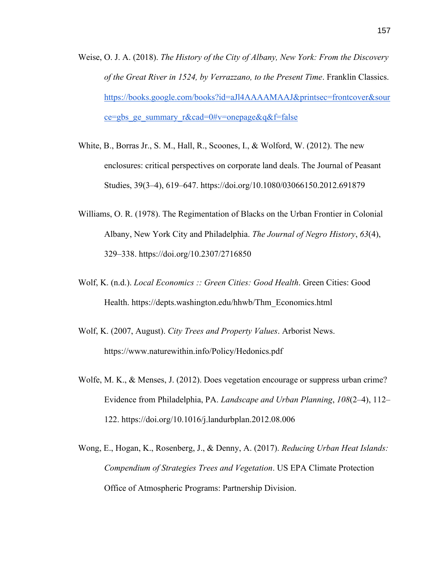- Weise, O. J. A. (2018). *The History of the City of Albany, New York: From the Discovery of the Great River in 1524, by Verrazzano, to the Present Time*. Franklin Classics. [https://books.google.com/books?id=aJl4AAAAMAAJ&printsec=frontcover&sour](https://books.google.com/books?id=aJl4AAAAMAAJ&printsec=frontcover&source=gbs_ge_summary_r&cad=0#v=onepage&q&f=false) [ce=gbs\\_ge\\_summary\\_r&cad=0#v=onepage&q&f=false](https://books.google.com/books?id=aJl4AAAAMAAJ&printsec=frontcover&source=gbs_ge_summary_r&cad=0#v=onepage&q&f=false)
- White, B., Borras Jr., S. M., Hall, R., Scoones, I., & Wolford, W. (2012). The new enclosures: critical perspectives on corporate land deals. The Journal of Peasant Studies, 39(3–4), 619–647. https://doi.org/10.1080/03066150.2012.691879
- Williams, O. R. (1978). The Regimentation of Blacks on the Urban Frontier in Colonial Albany, New York City and Philadelphia. *The Journal of Negro History*, *63*(4), 329–338. https://doi.org/10.2307/2716850
- Wolf, K. (n.d.). *Local Economics :: Green Cities: Good Health*. Green Cities: Good Health. https://depts.washington.edu/hhwb/Thm\_Economics.html
- Wolf, K. (2007, August). *City Trees and Property Values*. Arborist News. https://www.naturewithin.info/Policy/Hedonics.pdf
- Wolfe, M. K., & Menses, J. (2012). Does vegetation encourage or suppress urban crime? Evidence from Philadelphia, PA. *Landscape and Urban Planning*, *108*(2–4), 112– 122. https://doi.org/10.1016/j.landurbplan.2012.08.006
- Wong, E., Hogan, K., Rosenberg, J., & Denny, A. (2017). *Reducing Urban Heat Islands: Compendium of Strategies Trees and Vegetation*. US EPA Climate Protection Office of Atmospheric Programs: Partnership Division.